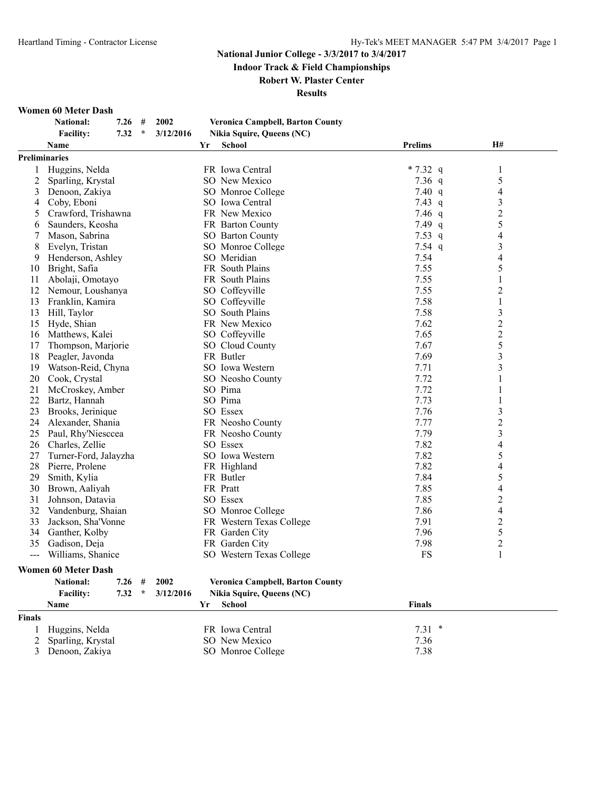**Indoor Track & Field Championships**

#### **Robert W. Plaster Center**

**Results**

#### **Women 60 Meter Dash**

|                | <b>National:</b>           | 7.26 | #       | 2002      |    | <b>Veronica Campbell, Barton County</b> |               |                          |
|----------------|----------------------------|------|---------|-----------|----|-----------------------------------------|---------------|--------------------------|
|                | <b>Facility:</b>           | 7.32 | $\star$ | 3/12/2016 |    | Nikia Squire, Queens (NC)               |               |                          |
|                | Name                       |      |         |           | Yr | <b>School</b>                           | Prelims       | H#                       |
|                | <b>Preliminaries</b>       |      |         |           |    |                                         |               |                          |
| 1              | Huggins, Nelda             |      |         |           |    | FR Iowa Central                         | $* 7.32 q$    | 1                        |
| $\overline{c}$ | Sparling, Krystal          |      |         |           |    | SO New Mexico                           | $7.36$ q      | 5                        |
| 3              | Denoon, Zakiya             |      |         |           |    | SO Monroe College                       | 7.40 q        | 4                        |
| 4              | Coby, Eboni                |      |         |           |    | SO Iowa Central                         | 7.43 q        | 3                        |
| 5              | Crawford, Trishawna        |      |         |           |    | FR New Mexico                           | 7.46 $q$      | $\overline{c}$           |
| 6              | Saunders, Keosha           |      |         |           |    | FR Barton County                        | 7.49 $q$      | 5                        |
| 7              | Mason, Sabrina             |      |         |           |    | <b>SO</b> Barton County                 | 7.53 q        | $\overline{\mathcal{A}}$ |
| 8              | Evelyn, Tristan            |      |         |           |    | SO Monroe College                       | 7.54 $q$      | 3                        |
| 9              | Henderson, Ashley          |      |         |           |    | SO Meridian                             | 7.54          | 4                        |
| 10             | Bright, Safia              |      |         |           |    | FR South Plains                         | 7.55          | 5                        |
| 11             | Abolaji, Omotayo           |      |         |           |    | FR South Plains                         | 7.55          | 1                        |
| 12             | Nemour, Loushanya          |      |         |           |    | SO Coffeyville                          | 7.55          | $\overline{c}$           |
| 13             | Franklin, Kamira           |      |         |           |    | SO Coffeyville                          | 7.58          | 1                        |
| 13             | Hill, Taylor               |      |         |           |    | SO South Plains                         | 7.58          | 3                        |
| 15             | Hyde, Shian                |      |         |           |    | FR New Mexico                           | 7.62          | $\overline{c}$           |
| 16             | Matthews, Kalei            |      |         |           |    | SO Coffeyville                          | 7.65          | $\overline{c}$           |
| 17             | Thompson, Marjorie         |      |         |           |    | SO Cloud County                         | 7.67          | 5                        |
| 18             | Peagler, Javonda           |      |         |           |    | FR Butler                               | 7.69          | $\mathfrak{Z}$           |
| 19             | Watson-Reid, Chyna         |      |         |           |    | SO Iowa Western                         | 7.71          | 3                        |
| 20             | Cook, Crystal              |      |         |           |    | SO Neosho County                        | 7.72          | 1                        |
| 21             | McCroskey, Amber           |      |         |           |    | SO Pima                                 | 7.72          | 1                        |
| 22             | Bartz, Hannah              |      |         |           |    | SO Pima                                 | 7.73          | 1                        |
| 23             | Brooks, Jerinique          |      |         |           |    | SO Essex                                | 7.76          | 3                        |
| 24             | Alexander, Shania          |      |         |           |    | FR Neosho County                        | 7.77          | $\overline{c}$           |
| 25             | Paul, Rhy'Niesccea         |      |         |           |    | FR Neosho County                        | 7.79          | $\mathfrak{Z}$           |
| 26             | Charles, Zellie            |      |         |           |    | SO Essex                                | 7.82          | $\overline{\mathcal{L}}$ |
| 27             | Turner-Ford, Jalayzha      |      |         |           |    | SO Iowa Western                         | 7.82          | 5                        |
| 28             | Pierre, Prolene            |      |         |           |    | FR Highland                             | 7.82          | 4                        |
| 29             | Smith, Kylia               |      |         |           |    | FR Butler                               | 7.84          | 5                        |
| 30             | Brown, Aaliyah             |      |         |           |    | FR Pratt                                | 7.85          | $\overline{\mathcal{A}}$ |
| 31             | Johnson, Datavia           |      |         |           |    | SO Essex                                | 7.85          | $\overline{c}$           |
| 32             | Vandenburg, Shaian         |      |         |           |    | SO Monroe College                       | 7.86          | $\overline{\mathcal{L}}$ |
| 33             | Jackson, Sha'Vonne         |      |         |           |    | FR Western Texas College                | 7.91          | $\overline{c}$           |
| 34             | Ganther, Kolby             |      |         |           |    | FR Garden City                          | 7.96          | 5                        |
| 35             | Gadison, Deja              |      |         |           |    | FR Garden City                          | 7.98          | $\overline{c}$           |
| $- - -$        | Williams, Shanice          |      |         |           |    | SO Western Texas College                | <b>FS</b>     | 1                        |
|                | <b>Women 60 Meter Dash</b> |      |         |           |    |                                         |               |                          |
|                | National:                  | 7.26 | #       | 2002      |    | <b>Veronica Campbell, Barton County</b> |               |                          |
|                | <b>Facility:</b>           | 7.32 | $\star$ | 3/12/2016 |    | Nikia Squire, Queens (NC)               |               |                          |
|                | Name                       |      |         |           | Yr | <b>School</b>                           | <b>Finals</b> |                          |
|                |                            |      |         |           |    |                                         |               |                          |
| <b>Finals</b>  |                            |      |         |           |    |                                         |               |                          |
| 1              | Huggins, Nelda             |      |         |           |    | FR Iowa Central                         | $7.31$ *      |                          |
| 2              | Sparling, Krystal          |      |         |           |    | SO New Mexico                           | 7.36          |                          |
| 3              | Denoon, Zakiya             |      |         |           |    | SO Monroe College                       | 7.38          |                          |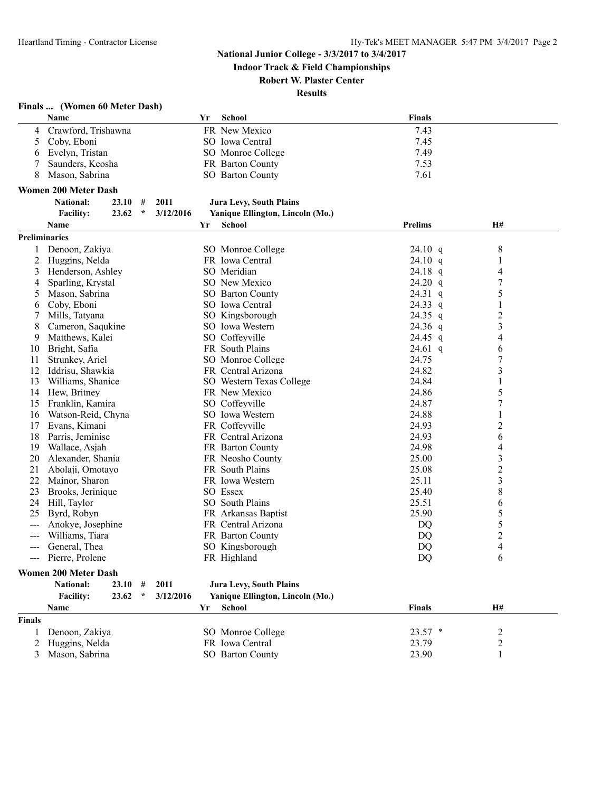**Indoor Track & Field Championships**

**Robert W. Plaster Center**

**Results**

#### **Finals ... (Women 60 Meter Dash)**

|                   | Name                                                     | School<br>Yr                                  | <b>Finals</b>  |                |
|-------------------|----------------------------------------------------------|-----------------------------------------------|----------------|----------------|
| 4                 | Crawford, Trishawna                                      | FR New Mexico                                 | 7.43           |                |
| 5                 | Coby, Eboni                                              | SO Iowa Central                               | 7.45           |                |
| 6                 | Evelyn, Tristan                                          | SO Monroe College                             | 7.49           |                |
|                   | Saunders, Keosha                                         | FR Barton County                              | 7.53           |                |
| 8                 | Mason, Sabrina                                           | SO Barton County                              | 7.61           |                |
|                   | <b>Women 200 Meter Dash</b>                              |                                               |                |                |
|                   | <b>National:</b><br>23.10#                               | <b>Jura Levy, South Plains</b><br>2011        |                |                |
|                   | $\star$<br>23.62<br><b>Facility:</b>                     | 3/12/2016<br>Yanique Ellington, Lincoln (Mo.) |                |                |
|                   | Name                                                     | Yr<br>School                                  | <b>Prelims</b> | H#             |
|                   | <b>Preliminaries</b>                                     |                                               |                |                |
| 1                 | Denoon, Zakiya                                           | SO Monroe College                             | 24.10 q        | 8              |
| 2                 | Huggins, Nelda                                           | FR Iowa Central                               | 24.10 q        | 1              |
|                   | Henderson, Ashley                                        | SO Meridian                                   | $24.18$ q      | 4              |
| 3                 |                                                          | SO New Mexico                                 | 24.20 $q$      | 7              |
| 4                 | Sparling, Krystal                                        |                                               | 24.31 q        | 5              |
| 5                 | Mason, Sabrina                                           | SO Barton County                              |                |                |
| 6                 | Coby, Eboni                                              | SO Iowa Central                               | 24.33 q        | 1              |
| 7                 | Mills, Tatyana                                           | SO Kingsborough                               | 24.35 q        | $\overline{c}$ |
| 8                 | Cameron, Saqukine                                        | SO Iowa Western                               | 24.36 q        | 3              |
| 9                 | Matthews, Kalei                                          | SO Coffeyville                                | 24.45 q        | 4              |
| 10                | Bright, Safia                                            | FR South Plains                               | 24.61 $q$      | 6              |
| 11                | Strunkey, Ariel                                          | SO Monroe College                             | 24.75          | $\sqrt{ }$     |
| 12                | Iddrisu, Shawkia                                         | FR Central Arizona                            | 24.82          | 3              |
| 13                | Williams, Shanice                                        | SO Western Texas College                      | 24.84          | 1              |
| 14                | Hew, Britney                                             | FR New Mexico                                 | 24.86          | 5              |
| 15                | Franklin, Kamira                                         | SO Coffeyville                                | 24.87          | 7              |
| 16                | Watson-Reid, Chyna                                       | SO Iowa Western                               | 24.88          | 1              |
| 17                | Evans, Kimani                                            | FR Coffeyville                                | 24.93          | $\overline{c}$ |
| 18                | Parris, Jeminise                                         | FR Central Arizona                            | 24.93          | 6              |
| 19                | Wallace, Asjah                                           | FR Barton County                              | 24.98          | 4              |
| 20                | Alexander, Shania                                        | FR Neosho County                              | 25.00          | 3              |
| 21                | Abolaji, Omotayo                                         | FR South Plains                               | 25.08          | $\overline{c}$ |
| 22                | Mainor, Sharon                                           | FR Iowa Western                               | 25.11          | 3              |
| 23                | Brooks, Jerinique                                        | SO Essex                                      | 25.40          | $\,$ $\,$      |
| 24                | Hill, Taylor                                             | SO South Plains                               | 25.51          | 6              |
| 25                | Byrd, Robyn                                              | FR Arkansas Baptist                           | 25.90          | 5              |
| $---$             | Anokye, Josephine                                        | FR Central Arizona                            | DQ             | 5              |
| $---$             | Williams, Tiara                                          | FR Barton County                              | DQ             | $\overline{c}$ |
|                   | General, Thea                                            | SO Kingsborough                               | DQ             | 4              |
| $\qquad \qquad -$ | Pierre, Prolene                                          | FR Highland                                   | DQ             | 6              |
|                   |                                                          |                                               |                |                |
|                   | <b>Women 200 Meter Dash</b><br><b>National:</b><br>23.10 |                                               |                |                |
|                   | #                                                        | 2011<br><b>Jura Levy, South Plains</b>        |                |                |
|                   | 23.62<br>$\star$<br><b>Facility:</b>                     | 3/12/2016<br>Yanique Ellington, Lincoln (Mo.) |                |                |
|                   | <b>Name</b>                                              | <b>School</b><br>Yr                           | <b>Finals</b>  | H#             |
| <b>Finals</b>     |                                                          |                                               |                |                |
| 1                 | Denoon, Zakiya                                           | SO Monroe College                             | $23.57$ *      | 2              |
| 2                 | Huggins, Nelda                                           | FR Iowa Central                               | 23.79          | $\overline{c}$ |
| 3                 | Mason, Sabrina                                           | SO Barton County                              | 23.90          | 1              |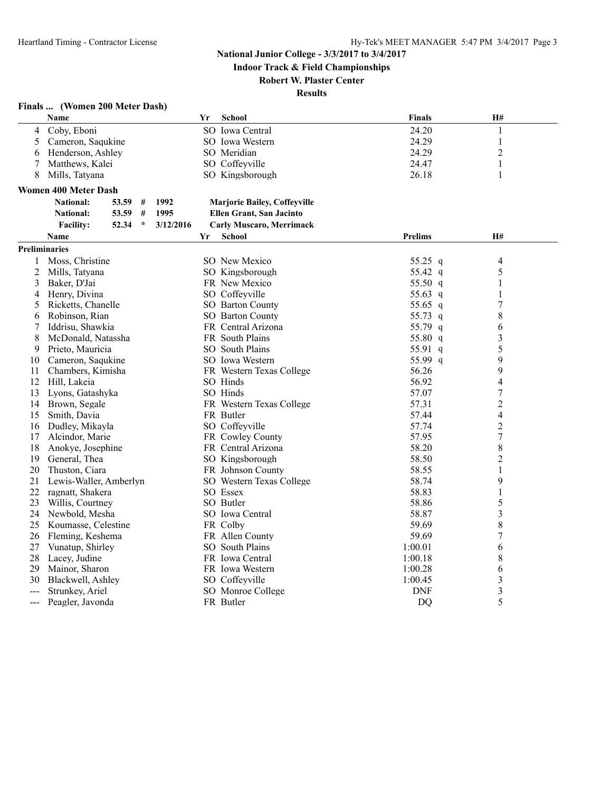**Indoor Track & Field Championships**

**Robert W. Plaster Center**

| Finals  (Women 200 Meter Dash) |  |  |  |  |
|--------------------------------|--|--|--|--|
|--------------------------------|--|--|--|--|

|       | Name                              |           | Yr | <b>School</b>                             | <b>Finals</b>  | <b>H#</b>        |  |
|-------|-----------------------------------|-----------|----|-------------------------------------------|----------------|------------------|--|
| 4     | Coby, Eboni                       |           |    | SO Iowa Central                           | 24.20          | 1                |  |
| 5     | Cameron, Saqukine                 |           |    | SO Iowa Western                           | 24.29          | 1                |  |
| 6     | Henderson, Ashley                 |           |    | SO Meridian                               | 24.29          | $\overline{2}$   |  |
| 7     | Matthews, Kalei                   |           |    | SO Coffevville                            | 24.47          | 1                |  |
| 8     | Mills, Tatyana                    |           |    | SO Kingsborough                           | 26.18          | 1                |  |
|       | <b>Women 400 Meter Dash</b>       |           |    |                                           |                |                  |  |
|       | <b>National:</b><br>53.59<br>#    | 1992      |    | <b>Marjorie Bailey, Coffeyville</b>       |                |                  |  |
|       | $\#$<br><b>National:</b><br>53.59 | 1995      |    | <b>Ellen Grant, San Jacinto</b>           |                |                  |  |
|       | $\star$                           | 3/12/2016 |    |                                           |                |                  |  |
|       | <b>Facility:</b><br>52.34         |           | Yr | <b>Carly Muscaro, Merrimack</b><br>School | <b>Prelims</b> | <b>H#</b>        |  |
|       | Name                              |           |    |                                           |                |                  |  |
|       | <b>Preliminaries</b>              |           |    |                                           |                |                  |  |
| 1     | Moss, Christine                   |           |    | SO New Mexico                             | 55.25 q        | 4                |  |
| 2     | Mills, Tatyana                    |           |    | SO Kingsborough                           | 55.42 q        | 5                |  |
| 3     | Baker, D'Jai                      |           |    | FR New Mexico                             | 55.50 q        | $\mathbf{1}$     |  |
| 4     | Henry, Divina                     |           |    | SO Coffeyville                            | 55.63 q        | 1                |  |
| 5     | Ricketts, Chanelle                |           |    | SO Barton County                          | 55.65 q        | 7                |  |
| 6     | Robinson, Rian                    |           |    | SO Barton County                          | 55.73 q        | 8                |  |
| 7     | Iddrisu, Shawkia                  |           |    | FR Central Arizona                        | 55.79 q        | 6                |  |
| 8     | McDonald, Natassha                |           |    | FR South Plains                           | 55.80 q        | 3                |  |
| 9     | Prieto, Mauricia                  |           |    | SO South Plains                           | 55.91 q        | 5                |  |
| 10    | Cameron, Saqukine                 |           |    | SO Iowa Western                           | 55.99 q        | 9                |  |
| 11    | Chambers, Kimisha                 |           |    | FR Western Texas College                  | 56.26          | 9                |  |
| 12    | Hill, Lakeia                      |           |    | SO Hinds                                  | 56.92          | $\overline{4}$   |  |
| 13    | Lyons, Gatashyka                  |           |    | SO Hinds                                  | 57.07          | $\boldsymbol{7}$ |  |
| 14    | Brown, Segale                     |           |    | FR Western Texas College                  | 57.31          | $\overline{2}$   |  |
| 15    | Smith, Davia                      |           |    | FR Butler                                 | 57.44          | 4                |  |
| 16    | Dudley, Mikayla                   |           |    | SO Coffeyville                            | 57.74          | $\overline{2}$   |  |
| 17    | Alcindor, Marie                   |           |    | FR Cowley County                          | 57.95          | $\boldsymbol{7}$ |  |
| 18    | Anokye, Josephine                 |           |    | FR Central Arizona                        | 58.20          | 8                |  |
| 19    | General, Thea                     |           |    | SO Kingsborough                           | 58.50          | 2                |  |
| 20    | Thuston, Ciara                    |           |    | FR Johnson County                         | 58.55          | 1                |  |
| 21    | Lewis-Waller, Amberlyn            |           |    | SO Western Texas College                  | 58.74          | 9                |  |
| 22    | ragnatt, Shakera                  |           |    | SO Essex                                  | 58.83          | 1                |  |
| 23    | Willis, Courtney                  |           |    | SO Butler                                 | 58.86          | 5                |  |
| 24    | Newbold, Mesha                    |           |    | SO Iowa Central                           | 58.87          | $\mathfrak{Z}$   |  |
| 25    | Koumasse, Celestine               |           |    | FR Colby                                  | 59.69          | 8                |  |
| 26    | Fleming, Keshema                  |           |    | FR Allen County                           | 59.69          | $\boldsymbol{7}$ |  |
| 27    | Vunatup, Shirley                  |           |    | SO South Plains                           | 1:00.01        | 6                |  |
| 28    | Lacey, Judine                     |           |    | FR Iowa Central                           | 1:00.18        | 8                |  |
| 29    | Mainor, Sharon                    |           |    | FR Iowa Western                           | 1:00.28        | 6                |  |
| 30    | Blackwell, Ashley                 |           |    | SO Coffeyville                            | 1:00.45        | $\mathfrak{Z}$   |  |
| $---$ | Strunkey, Ariel                   |           |    | SO Monroe College                         | <b>DNF</b>     | $\mathfrak{Z}$   |  |
|       | Peagler, Javonda                  |           |    | FR Butler                                 | D <sub>O</sub> | 5                |  |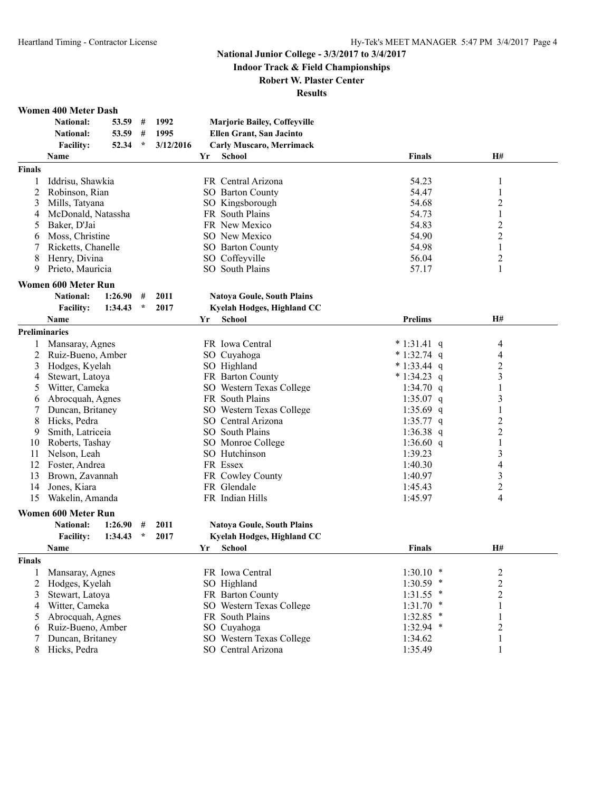**Indoor Track & Field Championships**

**Robert W. Plaster Center**

**Results**

#### **Women 400 Meter Dash**

|        | ношси тоо нісісі <i>D</i> ash |         |              |           |    |                                     |                |                  |  |
|--------|-------------------------------|---------|--------------|-----------|----|-------------------------------------|----------------|------------------|--|
|        | National:                     | 53.59   | #            | 1992      |    | <b>Marjorie Bailey, Coffeyville</b> |                |                  |  |
|        | <b>National:</b>              | 53.59   | #            | 1995      |    | Ellen Grant, San Jacinto            |                |                  |  |
|        | <b>Facility:</b>              | 52.34   | $\star$      | 3/12/2016 |    | <b>Carly Muscaro, Merrimack</b>     |                |                  |  |
|        | Name                          |         |              |           | Yr | <b>School</b>                       | <b>Finals</b>  | H#               |  |
| Finals |                               |         |              |           |    |                                     |                |                  |  |
| 1      | Iddrisu, Shawkia              |         |              |           |    | FR Central Arizona                  | 54.23          | 1                |  |
| 2      | Robinson, Rian                |         |              |           |    | <b>SO</b> Barton County             | 54.47          | 1                |  |
| 3      | Mills, Tatyana                |         |              |           |    | SO Kingsborough                     | 54.68          | $\overline{c}$   |  |
| 4      | McDonald, Natassha            |         |              |           |    | FR South Plains                     | 54.73          | $\mathbf{1}$     |  |
| 5      | Baker, D'Jai                  |         |              |           |    | FR New Mexico                       | 54.83          | $\overline{c}$   |  |
| 6      | Moss, Christine               |         |              |           |    | SO New Mexico                       | 54.90          | $\overline{2}$   |  |
| 7      | Ricketts, Chanelle            |         |              |           |    | <b>SO</b> Barton County             | 54.98          | 1                |  |
| 8      | Henry, Divina                 |         |              |           |    | SO Coffeyville                      | 56.04          | $\overline{c}$   |  |
| 9      | Prieto, Mauricia              |         |              |           |    | SO South Plains                     | 57.17          | 1                |  |
|        |                               |         |              |           |    |                                     |                |                  |  |
|        | <b>Women 600 Meter Run</b>    |         |              |           |    |                                     |                |                  |  |
|        | <b>National:</b>              | 1:26.90 | #            | 2011      |    | <b>Natoya Goule, South Plains</b>   |                |                  |  |
|        | <b>Facility:</b>              | 1:34.43 | $\star$      | 2017      |    | Kyelah Hodges, Highland CC          |                |                  |  |
|        | Name                          |         |              |           | Yr | <b>School</b>                       | <b>Prelims</b> | H#               |  |
|        | <b>Preliminaries</b>          |         |              |           |    |                                     |                |                  |  |
| 1      | Mansaray, Agnes               |         |              |           |    | FR Iowa Central                     | $*1:31.41 q$   | 4                |  |
| 2      | Ruiz-Bueno, Amber             |         |              |           |    | SO Cuyahoga                         | $*1:32.74$ q   | 4                |  |
| 3      | Hodges, Kyelah                |         |              |           |    | SO Highland                         | $*1:33.44$ q   | $\overline{c}$   |  |
| 4      | Stewart, Latoya               |         |              |           |    | FR Barton County                    | $*1:34.23$ q   | $\mathfrak{Z}$   |  |
| 5      | Witter, Cameka                |         |              |           |    | SO Western Texas College            | 1:34.70 $q$    |                  |  |
| 6      | Abrocquah, Agnes              |         |              |           |    | FR South Plains                     | 1:35.07 $q$    | $\mathfrak{Z}$   |  |
| 7      | Duncan, Britaney              |         |              |           |    | SO Western Texas College            | $1:35.69$ q    |                  |  |
| 8      | Hicks, Pedra                  |         |              |           |    | SO Central Arizona                  | $1:35.77$ q    | $\overline{c}$   |  |
| 9      | Smith, Latriceia              |         |              |           |    | SO South Plains                     | 1:36.38 q      | $\overline{c}$   |  |
| 10     | Roberts, Tashay               |         |              |           |    | SO Monroe College                   | 1:36.60 $q$    | $\mathbf{1}$     |  |
| 11     | Nelson, Leah                  |         |              |           |    | SO Hutchinson                       | 1:39.23        | 3                |  |
| 12     | Foster, Andrea                |         |              |           |    | FR Essex                            | 1:40.30        | 4                |  |
| 13     | Brown, Zavannah               |         |              |           |    | FR Cowley County                    | 1:40.97        | 3                |  |
| 14     | Jones, Kiara                  |         |              |           |    | FR Glendale                         | 1:45.43        | 2                |  |
| 15     | Wakelin, Amanda               |         |              |           |    | FR Indian Hills                     | 1:45.97        | 4                |  |
|        | Women 600 Meter Run           |         |              |           |    |                                     |                |                  |  |
|        |                               |         |              |           |    |                                     |                |                  |  |
|        | <b>National:</b>              | 1:26.90 | #<br>$\star$ | 2011      |    | <b>Natoya Goule, South Plains</b>   |                |                  |  |
|        | <b>Facility:</b>              | 1:34.43 |              | 2017      |    | Kyelah Hodges, Highland CC          |                |                  |  |
|        | Name                          |         |              |           | Yr | School                              | <b>Finals</b>  | H#               |  |
| Finals |                               |         |              |           |    |                                     |                |                  |  |
| 1      | Mansaray, Agnes               |         |              |           |    | FR Iowa Central                     | $1:30.10$ *    | $\overline{c}$   |  |
| 2      | Hodges, Kyelah                |         |              |           |    | SO Highland                         | $1:30.59$ *    | $\boldsymbol{2}$ |  |
| 3      | Stewart, Latoya               |         |              |           |    | FR Barton County                    | $1:31.55$ *    | $\boldsymbol{2}$ |  |
| 4      | Witter, Cameka                |         |              |           |    | SO Western Texas College            | $1:31.70$ *    | 1                |  |
| 5      | Abrocquah, Agnes              |         |              |           |    | FR South Plains                     | $1:32.85$ *    | $\mathbf{1}$     |  |
| 6      | Ruiz-Bueno, Amber             |         |              |           |    | SO Cuyahoga                         | $1:32.94$ *    | $\overline{c}$   |  |
| 7      | Duncan, Britaney              |         |              |           |    | SO Western Texas College            | 1:34.62        | $\mathbf{1}$     |  |
| 8      | Hicks, Pedra                  |         |              |           |    | SO Central Arizona                  | 1:35.49        | $\mathbf{1}$     |  |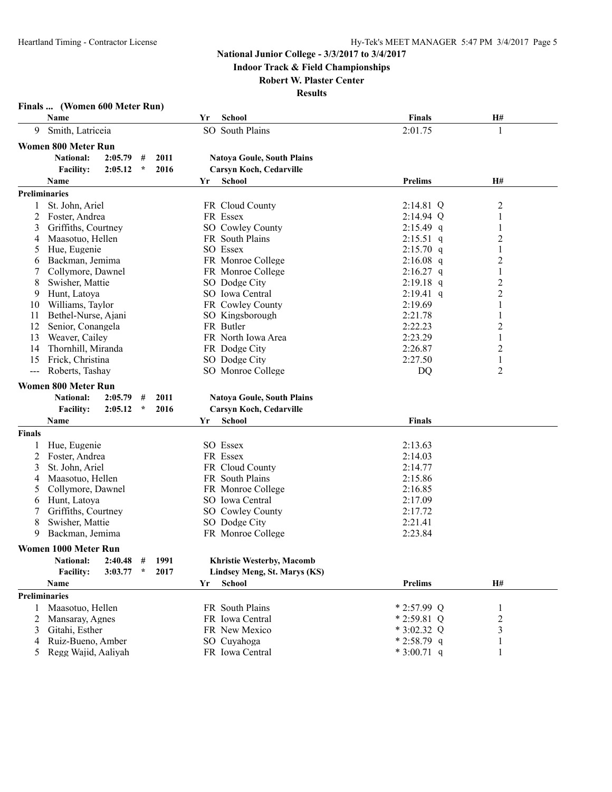**Indoor Track & Field Championships**

#### **Robert W. Plaster Center**

|                      | Finals  (Women 600 Meter Run)                  |                                   |                |                         |
|----------------------|------------------------------------------------|-----------------------------------|----------------|-------------------------|
|                      | Name                                           | <b>School</b><br>Yr               | Finals         | H#                      |
| 9                    | Smith, Latriceia                               | SO South Plains                   | 2:01.75        | 1                       |
|                      | <b>Women 800 Meter Run</b>                     |                                   |                |                         |
|                      | 2011<br><b>National:</b><br>2:05.79<br>#       | <b>Natoya Goule, South Plains</b> |                |                         |
|                      | <b>Facility:</b><br>2:05.12<br>$\star$<br>2016 | Carsyn Koch, Cedarville           |                |                         |
|                      | Name                                           | <b>School</b><br>Yr               | <b>Prelims</b> | H#                      |
|                      | <b>Preliminaries</b>                           |                                   |                |                         |
| 1                    | St. John, Ariel                                | FR Cloud County                   | 2:14.81 Q      | $\overline{\mathbf{c}}$ |
| 2                    | Foster, Andrea                                 | FR Essex                          | 2:14.94 Q      | 1                       |
| 3                    | Griffiths, Courtney                            | SO Cowley County                  | $2:15.49$ q    | 1                       |
| 4                    | Maasotuo, Hellen                               | FR South Plains                   | $2:15.51$ q    | $\overline{2}$          |
| 5                    | Hue, Eugenie                                   | SO Essex                          | $2:15.70$ q    | $\mathbf{1}$            |
| 6                    | Backman, Jemima                                | FR Monroe College                 | $2:16.08$ q    | $\overline{c}$          |
| 7                    | Collymore, Dawnel                              | FR Monroe College                 | $2:16.27$ q    | 1                       |
| 8                    | Swisher, Mattie                                | SO Dodge City                     | $2:19.18$ q    | $\overline{2}$          |
| 9                    | Hunt, Latoya                                   | SO Iowa Central                   | $2:19.41$ q    | $\overline{c}$          |
| 10                   | Williams, Taylor                               | FR Cowley County                  | 2:19.69        | 1                       |
| 11                   | Bethel-Nurse, Ajani                            | SO Kingsborough                   | 2:21.78        | 1                       |
| 12                   | Senior, Conangela                              | FR Butler                         | 2:22.23        | $\overline{c}$          |
| 13                   | Weaver, Cailey                                 | FR North Iowa Area                | 2:23.29        | 1                       |
| 14                   | Thornhill, Miranda                             | FR Dodge City                     | 2:26.87        | $\overline{2}$          |
| 15                   | Frick, Christina                               | SO Dodge City                     | 2:27.50        | $\mathbf{1}$            |
| $\sim$ $\sim$ $\sim$ | Roberts, Tashay                                | SO Monroe College                 | DQ             | $\overline{2}$          |
|                      | <b>Women 800 Meter Run</b>                     |                                   |                |                         |
|                      | <b>National:</b><br>2:05.79<br>2011<br>#       | <b>Natoya Goule, South Plains</b> |                |                         |
|                      | <b>Facility:</b><br>2:05.12<br>$\star$<br>2016 | Carsyn Koch, Cedarville           |                |                         |
|                      | Name                                           | <b>School</b><br>Yr               | <b>Finals</b>  |                         |
| <b>Finals</b>        |                                                |                                   |                |                         |
| 1                    | Hue, Eugenie                                   | SO Essex                          | 2:13.63        |                         |
| 2                    | Foster, Andrea                                 | FR Essex                          | 2:14.03        |                         |
| 3                    | St. John, Ariel                                | FR Cloud County                   | 2:14.77        |                         |
| 4                    | Maasotuo, Hellen                               | FR South Plains                   | 2:15.86        |                         |
| 5                    | Collymore, Dawnel                              | FR Monroe College                 | 2:16.85        |                         |
| 6                    | Hunt, Latoya                                   | SO Iowa Central                   | 2:17.09        |                         |
| 7                    | Griffiths, Courtney                            | SO Cowley County                  | 2:17.72        |                         |
| 8                    | Swisher, Mattie                                | SO Dodge City                     | 2:21.41        |                         |
| 9                    | Backman, Jemima                                | FR Monroe College                 | 2:23.84        |                         |
|                      | Women 1000 Meter Run                           |                                   |                |                         |
|                      | 1991<br><b>National:</b><br>2:40.48<br>#       |                                   |                |                         |
|                      | 2017<br>$\star$                                | <b>Khristie Westerby, Macomb</b>  |                |                         |
|                      | <b>Facility:</b><br>3:03.77                    | Lindsey Meng, St. Marys (KS)      |                |                         |
|                      | Name                                           | Yr<br><b>School</b>               | Prelims        | H#                      |
|                      | <b>Preliminaries</b>                           |                                   |                |                         |
| 1                    | Maasotuo, Hellen                               | FR South Plains                   | $*2:57.99$ Q   | 1                       |
| 2                    | Mansaray, Agnes                                | FR Iowa Central                   | $*2:59.81$ Q   | $\overline{c}$          |
| 3                    | Gitahi, Esther                                 | FR New Mexico                     | $*3:02.32$ Q   | 3                       |
| 4                    | Ruiz-Bueno, Amber                              | SO Cuyahoga                       | $*2:58.79$ q   |                         |
| 5                    | Regg Wajid, Aaliyah                            | FR Iowa Central                   | $*3:00.71$ q   | 1                       |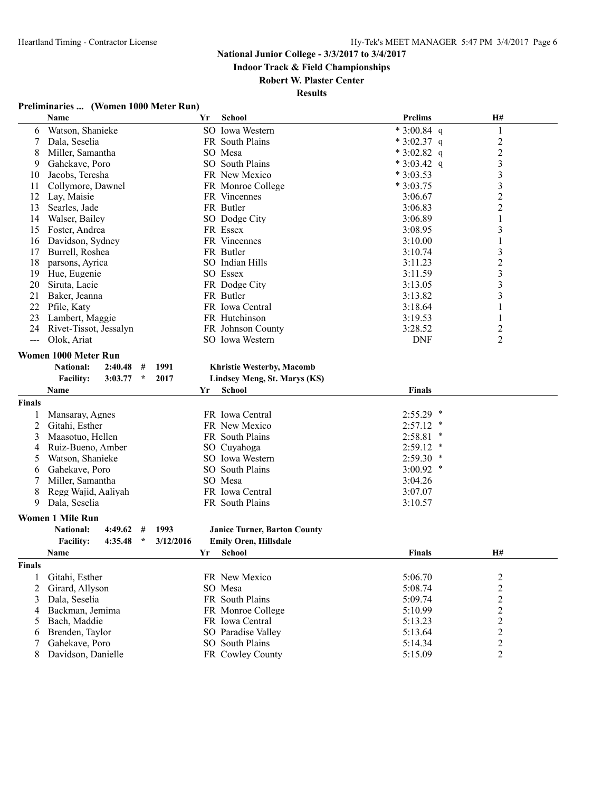**Indoor Track & Field Championships**

#### **Robert W. Plaster Center**

**Results**

#### **Preliminaries ... (Women 1000 Meter Run)**

|                | Name                    |         |         |           | Yr | <b>School</b>                       | <b>Prelims</b> | H#                      |  |
|----------------|-------------------------|---------|---------|-----------|----|-------------------------------------|----------------|-------------------------|--|
| 6              | Watson, Shanieke        |         |         |           |    | SO Iowa Western                     | $*3:00.84$ q   | 1                       |  |
| 7              | Dala, Seselia           |         |         |           |    | FR South Plains                     | $*3:02.37$ q   | $\overline{\mathbf{c}}$ |  |
| 8              | Miller, Samantha        |         |         |           |    | SO Mesa                             | $*3:02.82$ q   | $\overline{c}$          |  |
| 9              | Gahekave, Poro          |         |         |           |    | SO South Plains                     | $*3:03.42$ q   | 3                       |  |
| 10             | Jacobs, Teresha         |         |         |           |    | FR New Mexico                       | $*3:03.53$     | 3                       |  |
| 11             | Collymore, Dawnel       |         |         |           |    | FR Monroe College                   | $*3:03.75$     | $\mathfrak{Z}$          |  |
| 12             | Lay, Maisie             |         |         |           |    | FR Vincennes                        | 3:06.67        | $\overline{c}$          |  |
| 13             | Searles, Jade           |         |         |           |    | FR Butler                           | 3:06.83        | $\overline{c}$          |  |
| 14             | Walser, Bailey          |         |         |           |    | SO Dodge City                       | 3:06.89        | 1                       |  |
| 15             | Foster, Andrea          |         |         |           |    | FR Essex                            | 3:08.95        | 3                       |  |
| 16             | Davidson, Sydney        |         |         |           |    | FR Vincennes                        | 3:10.00        | 1                       |  |
| 17             | Burrell, Roshea         |         |         |           |    | FR Butler                           | 3:10.74        | 3                       |  |
| 18             | parsons, Ayrica         |         |         |           |    | SO Indian Hills                     | 3:11.23        | $\overline{c}$          |  |
| 19             | Hue, Eugenie            |         |         |           |    | SO Essex                            | 3:11.59        | 3                       |  |
| 20             | Siruta, Lacie           |         |         |           |    | FR Dodge City                       | 3:13.05        | 3                       |  |
|                |                         |         |         |           |    |                                     |                |                         |  |
| 21             | Baker, Jeanna           |         |         |           |    | FR Butler                           | 3:13.82        | 3                       |  |
| 22             | Pfile, Katy             |         |         |           |    | FR Iowa Central                     | 3:18.64        | 1                       |  |
| 23             | Lambert, Maggie         |         |         |           |    | FR Hutchinson                       | 3:19.53        | 1                       |  |
| 24             | Rivet-Tissot, Jessalyn  |         |         |           |    | FR Johnson County                   | 3:28.52        | $\overline{c}$          |  |
| $\frac{1}{2}$  | Olok, Ariat             |         |         |           |    | SO Iowa Western                     | <b>DNF</b>     | 2                       |  |
|                | Women 1000 Meter Run    |         |         |           |    |                                     |                |                         |  |
|                | <b>National:</b>        | 2:40.48 | #       | 1991      |    | <b>Khristie Westerby, Macomb</b>    |                |                         |  |
|                | <b>Facility:</b>        | 3:03.77 | $\star$ | 2017      |    | Lindsey Meng, St. Marys (KS)        |                |                         |  |
|                | Name                    |         |         |           | Yr | <b>School</b>                       | <b>Finals</b>  |                         |  |
| <b>Finals</b>  |                         |         |         |           |    |                                     |                |                         |  |
| -1             | Mansaray, Agnes         |         |         |           |    | FR Iowa Central                     | $2:55.29$ *    |                         |  |
| 2              | Gitahi, Esther          |         |         |           |    | FR New Mexico                       |                |                         |  |
|                |                         |         |         |           |    |                                     | $2:57.12$ *    |                         |  |
| 3              | Maasotuo, Hellen        |         |         |           |    | FR South Plains                     | 2:58.81        |                         |  |
| 4              | Ruiz-Bueno, Amber       |         |         |           |    | SO Cuyahoga                         | $2:59.12$ *    |                         |  |
| 5              | Watson, Shanieke        |         |         |           |    | SO Iowa Western                     | $2:59.30$ *    |                         |  |
| 6              | Gahekave, Poro          |         |         |           |    | SO South Plains                     | $3:00.92$ *    |                         |  |
| 7              | Miller, Samantha        |         |         |           |    | SO Mesa                             | 3:04.26        |                         |  |
| 8              | Regg Wajid, Aaliyah     |         |         |           |    | FR Iowa Central                     | 3:07.07        |                         |  |
| 9              | Dala, Seselia           |         |         |           |    | FR South Plains                     | 3:10.57        |                         |  |
|                | <b>Women 1 Mile Run</b> |         |         |           |    |                                     |                |                         |  |
|                | <b>National:</b>        | 4:49.62 | #       | 1993      |    | <b>Janice Turner, Barton County</b> |                |                         |  |
|                | <b>Facility:</b>        | 4:35.48 | $\star$ | 3/12/2016 |    | <b>Emily Oren, Hillsdale</b>        |                |                         |  |
|                | Name                    |         |         |           | Yr | School                              | <b>Finals</b>  | H#                      |  |
| <b>Finals</b>  |                         |         |         |           |    |                                     |                |                         |  |
|                |                         |         |         |           |    | FR New Mexico                       |                |                         |  |
| 1              | Gitahi, Esther          |         |         |           |    |                                     | 5:06.70        | $\overline{c}$          |  |
| $\overline{2}$ | Girard, Allyson         |         |         |           |    | SO Mesa                             | 5:08.74        | $\overline{2}$          |  |
| 3              | Dala, Seselia           |         |         |           |    | FR South Plains                     | 5:09.74        | $\boldsymbol{2}$        |  |
| 4              | Backman, Jemima         |         |         |           |    | FR Monroe College                   | 5:10.99        | $\boldsymbol{2}$        |  |
| 5              | Bach, Maddie            |         |         |           |    | FR Iowa Central                     | 5:13.23        | $\overline{c}$          |  |
| 6              | Brenden, Taylor         |         |         |           |    | SO Paradise Valley                  | 5:13.64        | $\overline{c}$          |  |
| 7              | Gahekave, Poro          |         |         |           |    | SO South Plains                     | 5:14.34        | $\overline{c}$          |  |
| 8              | Davidson, Danielle      |         |         |           |    | FR Cowley County                    | 5:15.09        | $\overline{2}$          |  |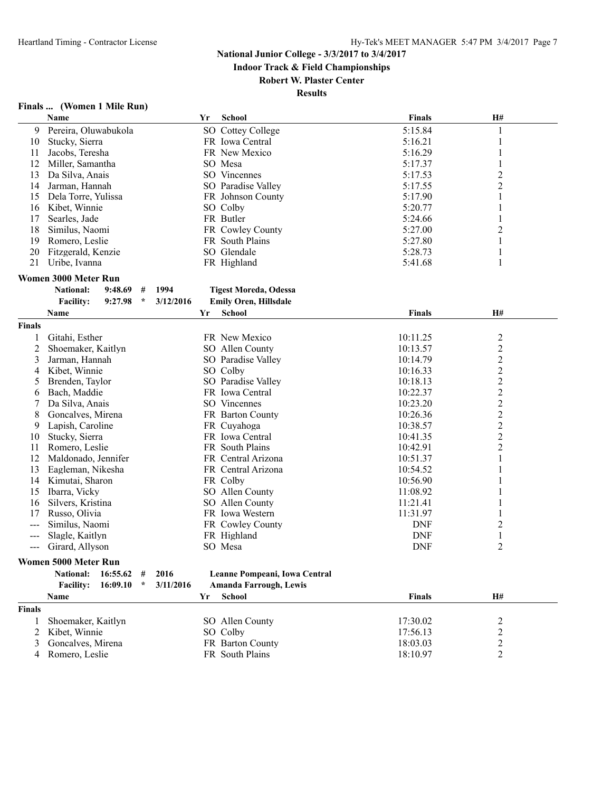**Indoor Track & Field Championships**

#### **Robert W. Plaster Center**

**Results**

#### **Finals ... (Women 1 Mile Run)**

|                | Name                                   |           | Yr | <b>School</b>                 | <b>Finals</b> | H#                      |  |
|----------------|----------------------------------------|-----------|----|-------------------------------|---------------|-------------------------|--|
| 9              | Pereira, Oluwabukola                   |           |    | SO Cottey College             | 5:15.84       | 1                       |  |
| 10             | Stucky, Sierra                         |           |    | FR Iowa Central               | 5:16.21       | 1                       |  |
| 11             | Jacobs, Teresha                        |           |    | FR New Mexico                 | 5:16.29       | 1                       |  |
| 12             | Miller, Samantha                       |           |    | SO Mesa                       | 5:17.37       | 1                       |  |
| 13             | Da Silva, Anais                        |           |    | SO Vincennes                  | 5:17.53       | 2                       |  |
| 14             | Jarman, Hannah                         |           |    | SO Paradise Valley            | 5:17.55       | $\overline{c}$          |  |
| 15             | Dela Torre, Yulissa                    |           |    | FR Johnson County             | 5:17.90       | $\mathbf{1}$            |  |
| 16             | Kibet, Winnie                          |           |    | SO Colby                      | 5:20.77       | 1                       |  |
| 17             | Searles, Jade                          |           |    | FR Butler                     | 5:24.66       | 1                       |  |
| 18             | Similus, Naomi                         |           |    | FR Cowley County              | 5:27.00       | $\overline{c}$          |  |
| 19             | Romero, Leslie                         |           |    | FR South Plains               | 5:27.80       | $\mathbf{1}$            |  |
|                |                                        |           |    | SO Glendale                   |               |                         |  |
| 20             | Fitzgerald, Kenzie                     |           |    |                               | 5:28.73       | 1                       |  |
| 21             | Uribe, Ivanna                          |           |    | FR Highland                   | 5:41.68       | 1                       |  |
|                | Women 3000 Meter Run                   |           |    |                               |               |                         |  |
|                | 9:48.69<br><b>National:</b><br>#       | 1994      |    | <b>Tigest Moreda, Odessa</b>  |               |                         |  |
|                | <b>Facility:</b><br>9:27.98<br>$\star$ | 3/12/2016 |    | <b>Emily Oren, Hillsdale</b>  |               |                         |  |
|                | Name                                   |           | Yr | <b>School</b>                 | <b>Finals</b> | H#                      |  |
| <b>Finals</b>  |                                        |           |    |                               |               |                         |  |
|                | Gitahi, Esther                         |           |    | FR New Mexico                 | 10:11.25      | $\overline{\mathbf{c}}$ |  |
| $\overline{c}$ | Shoemaker, Kaitlyn                     |           |    | SO Allen County               | 10:13.57      | $\overline{c}$          |  |
| 3              | Jarman, Hannah                         |           |    | SO Paradise Valley            | 10:14.79      | $\overline{c}$          |  |
|                |                                        |           |    | SO Colby                      | 10:16.33      |                         |  |
| 4              | Kibet, Winnie                          |           |    |                               |               |                         |  |
| 5              | Brenden, Taylor                        |           |    | SO Paradise Valley            | 10:18.13      | $\frac{2}{2}$           |  |
| 6              | Bach, Maddie                           |           |    | FR Iowa Central               | 10:22.37      |                         |  |
|                | Da Silva, Anais                        |           |    | SO Vincennes                  | 10:23.20      | $\overline{c}$          |  |
| 8              | Goncalves, Mirena                      |           |    | FR Barton County              | 10:26.36      | $\overline{c}$          |  |
| 9              | Lapish, Caroline                       |           |    | FR Cuyahoga                   | 10:38.57      | $\overline{c}$          |  |
| 10             | Stucky, Sierra                         |           |    | FR Iowa Central               | 10:41.35      | $\overline{c}$          |  |
| 11             | Romero, Leslie                         |           |    | FR South Plains               | 10:42.91      | $\overline{c}$          |  |
| 12             | Maldonado, Jennifer                    |           |    | FR Central Arizona            | 10:51.37      | 1                       |  |
| 13             | Eagleman, Nikesha                      |           |    | FR Central Arizona            | 10:54.52      | 1                       |  |
| 14             | Kimutai, Sharon                        |           |    | FR Colby                      | 10:56.90      | 1                       |  |
| 15             | Ibarra, Vicky                          |           |    | SO Allen County               | 11:08.92      |                         |  |
| 16             | Silvers, Kristina                      |           |    | SO Allen County               | 11:21.41      |                         |  |
| 17             | Russo, Olivia                          |           |    | FR Iowa Western               | 11:31.97      |                         |  |
| ---            | Similus, Naomi                         |           |    | FR Cowley County              | <b>DNF</b>    | 2                       |  |
| ---            | Slagle, Kaitlyn                        |           |    | FR Highland                   | <b>DNF</b>    | $\mathbf{1}$            |  |
| $---$          | Girard, Allyson                        |           |    | SO Mesa                       | <b>DNF</b>    | $\overline{c}$          |  |
|                | Women 5000 Meter Run                   |           |    |                               |               |                         |  |
|                | 16:55.62<br><b>National:</b>           | 2016      |    | Leanne Pompeani, Iowa Central |               |                         |  |
|                | #<br>$\star$                           |           |    |                               |               |                         |  |
|                | <b>Facility:</b><br>16:09.10           | 3/11/2016 |    | <b>Amanda Farrough, Lewis</b> |               |                         |  |
|                | Name                                   |           | Yr | School                        | <b>Finals</b> | H#                      |  |
| <b>Finals</b>  |                                        |           |    |                               |               |                         |  |
| 1              | Shoemaker, Kaitlyn                     |           |    | SO Allen County               | 17:30.02      | 2                       |  |
| 2              | Kibet, Winnie                          |           |    | SO Colby                      | 17:56.13      | $\overline{\mathbf{c}}$ |  |
| 3              | Goncalves, Mirena                      |           |    | FR Barton County              | 18:03.03      | $\overline{\mathbf{c}}$ |  |
| 4              | Romero, Leslie                         |           |    | FR South Plains               | 18:10.97      | $\overline{2}$          |  |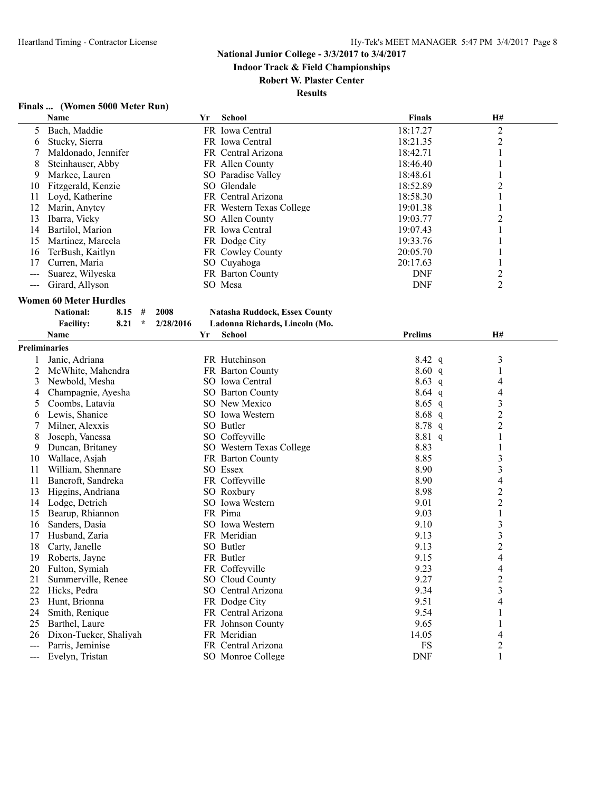**Indoor Track & Field Championships**

## **Robert W. Plaster Center**

#### **Results**

#### **Finals ... (Women 5000 Meter Run)**

|                      | Name                                |           | Yr | <b>School</b>                        | <b>Finals</b>            | H#                               |  |
|----------------------|-------------------------------------|-----------|----|--------------------------------------|--------------------------|----------------------------------|--|
| 5                    | Bach, Maddie                        |           |    | FR Iowa Central                      | 18:17.27                 | $\overline{c}$                   |  |
| 6                    | Stucky, Sierra                      |           |    | FR Iowa Central                      | 18:21.35                 | $\overline{2}$                   |  |
| 7                    | Maldonado, Jennifer                 |           |    | FR Central Arizona                   | 18:42.71                 | 1                                |  |
| 8                    | Steinhauser, Abby                   |           |    | FR Allen County                      | 18:46.40                 |                                  |  |
| 9                    | Markee, Lauren                      |           |    | SO Paradise Valley                   | 18:48.61                 | 1                                |  |
| 10                   | Fitzgerald, Kenzie                  |           |    | SO Glendale                          | 18:52.89                 | $\overline{c}$                   |  |
| 11                   | Loyd, Katherine                     |           |    | FR Central Arizona                   | 18:58.30                 | 1                                |  |
| 12                   | Marin, Anytcy                       |           |    | FR Western Texas College             | 19:01.38                 | 1                                |  |
| 13                   | Ibarra, Vicky                       |           |    | SO Allen County                      | 19:03.77                 | 2                                |  |
| 14                   | Bartilol, Marion                    |           |    | FR Iowa Central                      | 19:07.43                 | 1                                |  |
| 15                   | Martinez, Marcela                   |           |    | FR Dodge City                        | 19:33.76                 | 1                                |  |
| 16                   | TerBush, Kaitlyn                    |           |    | FR Cowley County                     | 20:05.70                 |                                  |  |
| 17                   | Curren, Maria                       |           |    | SO Cuyahoga                          | 20:17.63                 |                                  |  |
|                      |                                     |           |    |                                      |                          |                                  |  |
| $--$                 | Suarez, Wilyeska                    |           |    | FR Barton County<br>SO Mesa          | <b>DNF</b><br><b>DNF</b> | $\overline{c}$<br>$\overline{2}$ |  |
| $\sim$ $\sim$        | Girard, Allyson                     |           |    |                                      |                          |                                  |  |
|                      | <b>Women 60 Meter Hurdles</b>       |           |    |                                      |                          |                                  |  |
|                      | National:<br>8.15<br>#              | 2008      |    | <b>Natasha Ruddock, Essex County</b> |                          |                                  |  |
|                      | $\star$<br><b>Facility:</b><br>8.21 | 2/28/2016 |    | Ladonna Richards, Lincoln (Mo.       |                          |                                  |  |
|                      | Name                                |           | Yr | <b>School</b>                        | <b>Prelims</b>           | H#                               |  |
| <b>Preliminaries</b> |                                     |           |    |                                      |                          |                                  |  |
| 1                    | Janic, Adriana                      |           |    | FR Hutchinson                        | $8.42\ q$                | 3                                |  |
| $\overline{2}$       | McWhite, Mahendra                   |           |    | FR Barton County                     | 8.60 q                   | 1                                |  |
| 3                    | Newbold, Mesha                      |           |    | SO Iowa Central                      | $8.63$ q                 | 4                                |  |
| 4                    | Champagnie, Ayesha                  |           |    | SO Barton County                     | $8.64$ q                 | 4                                |  |
| 5                    | Coombs, Latavia                     |           |    | SO New Mexico                        | $8.65$ q                 | 3                                |  |
| 6                    | Lewis, Shanice                      |           |    | SO Iowa Western                      | 8.68 q                   | $\overline{2}$                   |  |
| 7                    | Milner, Alexxis                     |           |    | SO Butler                            | 8.78q                    | $\overline{c}$                   |  |
| 8                    | Joseph, Vanessa                     |           |    | SO Coffeyville                       | 8.81 q                   | 1                                |  |
| 9                    | Duncan, Britaney                    |           |    | SO Western Texas College             | 8.83                     | 1                                |  |
| 10                   | Wallace, Asjah                      |           |    | FR Barton County                     | 8.85                     | 3                                |  |
| 11                   | William, Shennare                   |           |    | SO Essex                             | 8.90                     | 3                                |  |
| 11                   | Bancroft, Sandreka                  |           |    | FR Coffeyville                       | 8.90                     | 4                                |  |
|                      |                                     |           |    |                                      |                          |                                  |  |
| 13                   | Higgins, Andriana                   |           |    | SO Roxbury                           | 8.98                     | $\overline{c}$                   |  |
| 14                   | Lodge, Detrich                      |           |    | SO Iowa Western                      | 9.01                     | $\overline{c}$                   |  |
| 15                   | Bearup, Rhiannon                    |           |    | FR Pima                              | 9.03                     | 1                                |  |
| 16                   | Sanders, Dasia                      |           |    | SO Iowa Western                      | 9.10                     | $\mathfrak{Z}$                   |  |
| 17                   | Husband, Zaria                      |           |    | FR Meridian                          | 9.13                     | 3                                |  |
| 18                   | Carty, Janelle                      |           |    | SO Butler                            | 9.13                     | $\overline{c}$                   |  |
| 19                   | Roberts, Jayne                      |           |    | FR Butler                            | 9.15                     | $\overline{4}$                   |  |
| 20                   | Fulton, Symiah                      |           |    | FR Coffeyville                       | 9.23                     | 4                                |  |
| 21                   | Summerville, Renee                  |           |    | SO Cloud County                      | 9.27                     | $\overline{2}$                   |  |
| 22                   | Hicks, Pedra                        |           |    | SO Central Arizona                   | 9.34                     | 3                                |  |
| 23                   | Hunt, Brionna                       |           |    | FR Dodge City                        | 9.51                     | 4                                |  |
| 24                   | Smith, Renique                      |           |    | FR Central Arizona                   | 9.54                     | 1                                |  |
| 25                   | Barthel, Laure                      |           |    | FR Johnson County                    | 9.65                     | 1                                |  |
| 26                   | Dixon-Tucker, Shaliyah              |           |    | FR Meridian                          | 14.05                    | 4                                |  |
| $---$                | Parris, Jeminise                    |           |    | FR Central Arizona                   | FS                       | $\overline{c}$                   |  |
| $\overline{a}$       | Evelyn, Tristan                     |           |    | SO Monroe College                    | <b>DNF</b>               |                                  |  |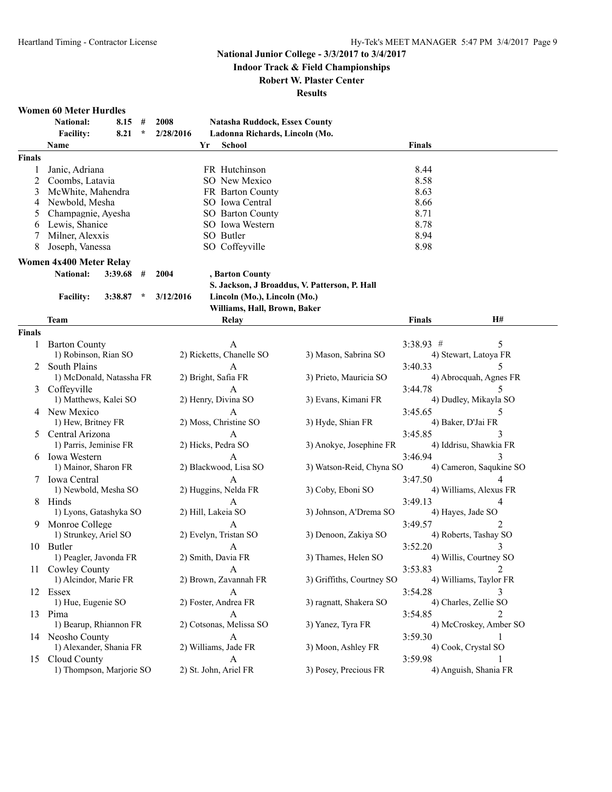**Indoor Track & Field Championships**

**Robert W. Plaster Center**

**Results**

**Women 60 Meter Hurdles**

|               | National:<br>8.15<br>#                 | 2008                      | <b>Natasha Ruddock, Essex County</b>          |                       |                         |
|---------------|----------------------------------------|---------------------------|-----------------------------------------------|-----------------------|-------------------------|
|               | <b>Facility:</b><br>8.21<br>$\star$    | 2/28/2016                 | Ladonna Richards, Lincoln (Mo.                |                       |                         |
|               | <b>Name</b>                            | <b>School</b><br>Yr       |                                               | <b>Finals</b>         |                         |
| <b>Finals</b> |                                        |                           |                                               |                       |                         |
| 1             | Janic, Adriana                         | FR Hutchinson             |                                               | 8.44                  |                         |
| 2             | Coombs, Latavia                        | SO New Mexico             |                                               | 8.58                  |                         |
| 3             | McWhite, Mahendra                      | FR Barton County          |                                               | 8.63                  |                         |
|               |                                        |                           |                                               |                       |                         |
| 4             | Newbold, Mesha                         | SO Iowa Central           |                                               | 8.66                  |                         |
| 5             | Champagnie, Ayesha                     | SO Barton County          |                                               | 8.71                  |                         |
| 6             | Lewis, Shanice                         | SO Iowa Western           |                                               | 8.78                  |                         |
| 7             | Milner, Alexxis                        | SO Butler                 |                                               | 8.94                  |                         |
| 8             | Joseph, Vanessa                        | SO Coffeyville            |                                               | 8.98                  |                         |
|               | <b>Women 4x400 Meter Relay</b>         |                           |                                               |                       |                         |
|               | <b>National:</b><br>3:39.68<br>#       | 2004<br>, Barton County   |                                               |                       |                         |
|               |                                        |                           | S. Jackson, J Broaddus, V. Patterson, P. Hall |                       |                         |
|               | 3:38.87<br><b>Facility:</b><br>$\ast$  | 3/12/2016                 | Lincoln (Mo.), Lincoln (Mo.)                  |                       |                         |
|               |                                        |                           | Williams, Hall, Brown, Baker                  |                       |                         |
|               |                                        |                           |                                               |                       |                         |
|               | Team                                   | Relay                     |                                               | <b>Finals</b>         | H#                      |
| <b>Finals</b> |                                        |                           |                                               |                       |                         |
| 1             | <b>Barton County</b>                   | А                         |                                               | 3:38.93 #             | 5                       |
|               | 1) Robinson, Rian SO                   | 2) Ricketts, Chanelle SO  | 3) Mason, Sabrina SO                          | 4) Stewart, Latoya FR |                         |
|               | South Plains                           | A                         |                                               | 3:40.33               |                         |
|               | 1) McDonald, Natassha FR               | 2) Bright, Safia FR       | 3) Prieto, Mauricia SO                        |                       | 4) Abrocquah, Agnes FR  |
| 3             | Coffeyville                            | A                         |                                               | 3:44.78               |                         |
|               | 1) Matthews, Kalei SO                  | 2) Henry, Divina SO       | 3) Evans, Kimani FR                           |                       | 4) Dudley, Mikayla SO   |
|               | 4 New Mexico                           | A                         |                                               | 3:45.65               | 5                       |
|               | 1) Hew, Britney FR                     | 2) Moss, Christine SO     | 3) Hyde, Shian FR                             | 4) Baker, D'Jai FR    |                         |
| 5             | Central Arizona                        | А                         |                                               | 3:45.85               | 3                       |
|               | 1) Parris, Jeminise FR                 | 2) Hicks, Pedra SO        | 3) Anokye, Josephine FR                       |                       | 4) Iddrisu, Shawkia FR  |
|               | 6 Iowa Western                         | А                         |                                               | 3:46.94               | 3                       |
|               | 1) Mainor, Sharon FR                   | 2) Blackwood, Lisa SO     | 3) Watson-Reid, Chyna SO                      |                       | 4) Cameron, Saqukine SO |
|               |                                        |                           |                                               |                       | 4                       |
|               | 7 Iowa Central<br>1) Newbold, Mesha SO | A<br>2) Huggins, Nelda FR | 3) Coby, Eboni SO                             | 3:47.50               | 4) Williams, Alexus FR  |
|               |                                        |                           |                                               |                       |                         |
|               | 8 Hinds                                | A                         |                                               | 3:49.13               | $\overline{4}$          |
|               | 1) Lyons, Gatashyka SO                 | 2) Hill, Lakeia SO        | 3) Johnson, A'Drema SO                        | 4) Hayes, Jade SO     |                         |
| 9.            | Monroe College                         | Α                         |                                               | 3:49.57               | 2                       |
|               | 1) Strunkey, Ariel SO                  | 2) Evelyn, Tristan SO     | 3) Denoon, Zakiya SO                          |                       | 4) Roberts, Tashay SO   |
|               | 10 Butler                              | A                         |                                               | 3:52.20               |                         |
|               | 1) Peagler, Javonda FR                 | 2) Smith, Davia FR        | 3) Thames, Helen SO                           |                       | 4) Willis, Courtney SO  |
|               | 11 Cowley County                       | $\mathbf{A}$              |                                               | 3:53.83               |                         |
|               | 1) Alcindor, Marie FR                  | 2) Brown, Zavannah FR     | 3) Griffiths, Courtney SO                     |                       | 4) Williams, Taylor FR  |
|               | 12 Essex                               | A                         |                                               | 3:54.28               | 3                       |
|               | 1) Hue, Eugenie SO                     | 2) Foster, Andrea FR      | 3) ragnatt, Shakera SO                        | 4) Charles, Zellie SO |                         |
|               | 13 Pima                                | A                         |                                               | 3:54.85               | 2                       |
|               | 1) Bearup, Rhiannon FR                 | 2) Cotsonas, Melissa SO   | 3) Yanez, Tyra FR                             |                       | 4) McCroskey, Amber SO  |
|               | 14 Neosho County                       | А                         |                                               | 3:59.30               |                         |
|               | 1) Alexander, Shania FR                | 2) Williams, Jade FR      | 3) Moon, Ashley FR                            | 4) Cook, Crystal SO   |                         |
| 15            | Cloud County                           | A                         |                                               | 3:59.98               |                         |
|               | 1) Thompson, Marjorie SO               | 2) St. John, Ariel FR     | 3) Posey, Precious FR                         |                       | 4) Anguish, Shania FR   |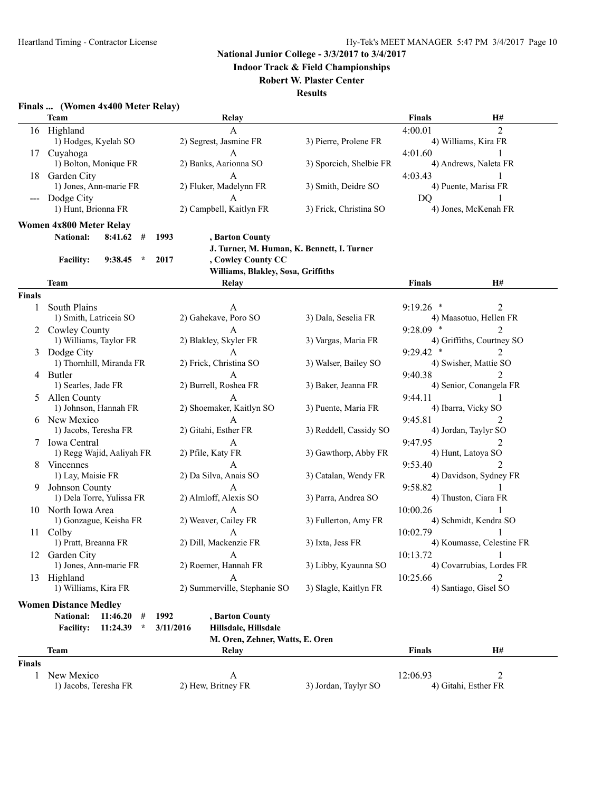**Indoor Track & Field Championships**

#### **Robert W. Plaster Center**

|                   | Finals  (Women 4x400 Meter Relay) |         |         |      |                                    |                                            |               |                       |
|-------------------|-----------------------------------|---------|---------|------|------------------------------------|--------------------------------------------|---------------|-----------------------|
|                   | Team                              |         |         |      | Relay                              |                                            | <b>Finals</b> | H#                    |
| 16                | Highland                          |         |         |      | A                                  |                                            | 4:00.01       | $\overline{2}$        |
|                   | 1) Hodges, Kyelah SO              |         |         |      | 2) Segrest, Jasmine FR             | 3) Pierre, Prolene FR                      |               | 4) Williams, Kira FR  |
| 17                | Cuyahoga                          |         |         |      | A                                  |                                            | 4:01.60       |                       |
|                   | 1) Bolton, Monique FR             |         |         |      | 2) Banks, Aarionna SO              | 3) Sporcich, Shelbie FR                    |               | 4) Andrews, Naleta FR |
| 18                | Garden City                       |         |         |      | A                                  |                                            | 4:03.43       |                       |
|                   | 1) Jones, Ann-marie FR            |         |         |      | 2) Fluker, Madelynn FR             | 3) Smith, Deidre SO                        |               | 4) Puente, Marisa FR  |
| $\qquad \qquad -$ | Dodge City                        |         |         |      | A                                  |                                            | DO            |                       |
|                   | 1) Hunt, Brionna FR               |         |         |      | 2) Campbell, Kaitlyn FR            | 3) Frick, Christina SO                     |               | 4) Jones, McKenah FR  |
|                   | Women 4x800 Meter Relay           |         |         |      |                                    |                                            |               |                       |
|                   | <b>National:</b>                  | 8:41.62 | #       | 1993 | , Barton County                    |                                            |               |                       |
|                   |                                   |         |         |      |                                    | J. Turner, M. Human, K. Bennett, I. Turner |               |                       |
|                   | <b>Facility:</b>                  | 9:38.45 | $\star$ | 2017 | , Cowley County CC                 |                                            |               |                       |
|                   |                                   |         |         |      | Williams, Blakley, Sosa, Griffiths |                                            |               |                       |
|                   | <b>Team</b>                       |         |         |      | Relay                              |                                            | <b>Finals</b> | H#                    |

|               | <b>Team</b>                       | Relay                           |                        | <b>Finals</b> | H#                        |
|---------------|-----------------------------------|---------------------------------|------------------------|---------------|---------------------------|
| <b>Finals</b> |                                   |                                 |                        |               |                           |
| 1             | South Plains                      | А                               |                        | $9:19.26$ *   | $\overline{2}$            |
|               | 1) Smith, Latriceia SO            | 2) Gahekave, Poro SO            | 3) Dala, Seselia FR    |               | 4) Maasotuo, Hellen FR    |
| 2             | Cowley County                     | A                               |                        | 9:28.09 *     |                           |
|               | 1) Williams, Taylor FR            | 2) Blakley, Skyler FR           | 3) Vargas, Maria FR    |               | 4) Griffiths, Courtney SO |
| 3             | Dodge City                        | A                               |                        | $9:29.42$ *   | 2                         |
|               | 1) Thornhill, Miranda FR          | 2) Frick, Christina SO          | 3) Walser, Bailey SO   |               | 4) Swisher, Mattie SO     |
|               | 4 Butler                          | A                               |                        | 9:40.38       |                           |
|               | 1) Searles, Jade FR               | 2) Burrell, Roshea FR           | 3) Baker, Jeanna FR    |               | 4) Senior, Conangela FR   |
| 5             | Allen County                      | A                               |                        | 9:44.11       |                           |
|               | 1) Johnson, Hannah FR             | 2) Shoemaker, Kaitlyn SO        | 3) Puente, Maria FR    |               | 4) Ibarra, Vicky SO       |
| 6             | New Mexico                        | A                               |                        | 9:45.81       | 2                         |
|               | 1) Jacobs, Teresha FR             | 2) Gitahi, Esther FR            | 3) Reddell, Cassidy SO |               | 4) Jordan, Taylyr SO      |
|               | Iowa Central                      | А                               |                        | 9:47.95       | 2                         |
|               | 1) Regg Wajid, Aaliyah FR         | 2) Pfile, Katy FR               | 3) Gawthorp, Abby FR   |               | 4) Hunt, Latoya SO        |
| 8             | Vincennes                         | А                               |                        | 9:53.40       | 2                         |
|               | 1) Lay, Maisie FR                 | 2) Da Silva, Anais SO           | 3) Catalan, Wendy FR   |               | 4) Davidson, Sydney FR    |
| 9             | Johnson County                    | A                               |                        | 9:58.82       |                           |
|               | 1) Dela Torre, Yulissa FR         | 2) Almloff, Alexis SO           | 3) Parra, Andrea SO    |               | 4) Thuston, Ciara FR      |
|               | 10 North Iowa Area                | A                               |                        | 10:00.26      |                           |
|               | 1) Gonzague, Keisha FR            | 2) Weaver, Cailey FR            | 3) Fullerton, Amy FR   |               | 4) Schmidt, Kendra SO     |
|               | 11 Colby                          | А                               |                        | 10:02.79      |                           |
|               | 1) Pratt, Breanna FR              | 2) Dill, Mackenzie FR           | 3) Ixta, Jess FR       |               | 4) Koumasse, Celestine FR |
|               | 12 Garden City                    | A                               |                        | 10:13.72      |                           |
|               | 1) Jones, Ann-marie FR            | 2) Roemer, Hannah FR            | 3) Libby, Kyaunna SO   |               | 4) Covarrubias, Lordes FR |
|               | 13 Highland                       | A                               |                        | 10:25.66      | $\mathfrak{D}$            |
|               | 1) Williams, Kira FR              | 2) Summerville, Stephanie SO    | 3) Slagle, Kaitlyn FR  |               | 4) Santiago, Gisel SO     |
|               | <b>Women Distance Medley</b>      |                                 |                        |               |                           |
|               | <b>National:</b><br>11:46.20<br># | 1992<br>, Barton County         |                        |               |                           |
|               | $\star$                           | Hillsdale, Hillsdale            |                        |               |                           |
|               | <b>Facility:</b><br>11:24.39      | 3/11/2016                       |                        |               |                           |
|               |                                   | M. Oren, Zehner, Watts, E. Oren |                        |               |                           |
|               | <b>Team</b>                       | Relay                           |                        | <b>Finals</b> | H#                        |
| <b>Finals</b> |                                   |                                 |                        |               |                           |
|               | New Mexico                        | A                               |                        | 12:06.93      | 2                         |
|               | 1) Jacobs, Teresha FR             | 2) Hew, Britney FR              | 3) Jordan, Taylyr SO   |               | 4) Gitahi, Esther FR      |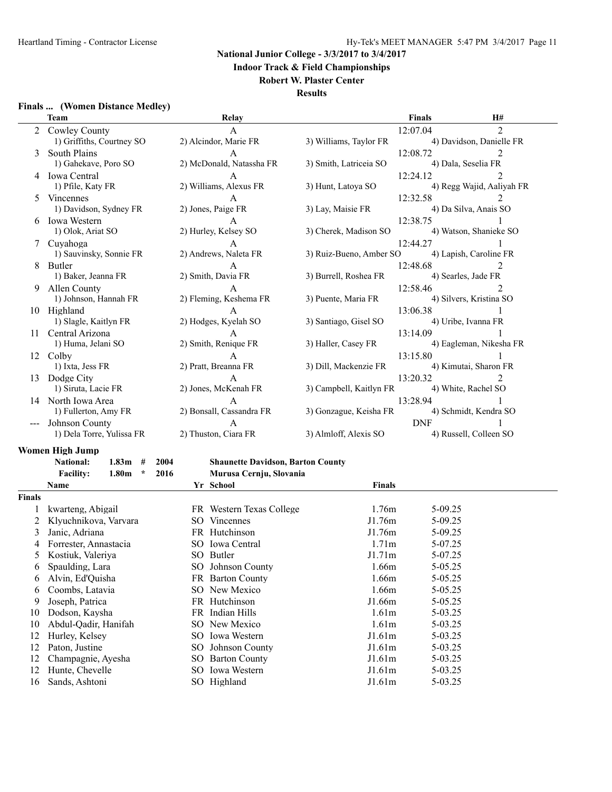**Indoor Track & Field Championships**

## **Robert W. Plaster Center**

#### **Results**

#### **Finals ... (Women Distance Medley)**

|        | <b>Team</b>                                      | Relay                                            |                         | <b>Finals</b> | H#                        |
|--------|--------------------------------------------------|--------------------------------------------------|-------------------------|---------------|---------------------------|
|        | 2 Cowley County                                  | A                                                |                         | 12:07.04      | 2                         |
|        | 1) Griffiths, Courtney SO                        | 2) Alcindor, Marie FR                            | 3) Williams, Taylor FR  |               | 4) Davidson, Danielle FR  |
| 3      | South Plains                                     | А                                                |                         | 12:08.72      | 2                         |
|        | 1) Gahekave, Poro SO                             | 2) McDonald, Natassha FR                         | 3) Smith, Latriceia SO  |               | 4) Dala, Seselia FR       |
|        | 4 Iowa Central                                   | A                                                |                         | 12:24.12      | $\overline{2}$            |
|        | 1) Pfile, Katy FR                                | 2) Williams, Alexus FR                           | 3) Hunt, Latoya SO      |               | 4) Regg Wajid, Aaliyah FR |
| 5      | Vincennes                                        | А                                                |                         | 12:32.58      | 2                         |
|        | 1) Davidson, Sydney FR                           | 2) Jones, Paige FR                               | 3) Lay, Maisie FR       |               | 4) Da Silva, Anais SO     |
|        | 6 Iowa Western                                   | Α                                                |                         | 12:38.75      |                           |
|        | 1) Olok, Ariat SO                                | 2) Hurley, Kelsey SO                             | 3) Cherek, Madison SO   |               | 4) Watson, Shanieke SO    |
|        | 7 Cuyahoga                                       | Α                                                |                         | 12:44.27      |                           |
|        | 1) Sauvinsky, Sonnie FR                          | 2) Andrews, Naleta FR                            | 3) Ruiz-Bueno, Amber SO |               | 4) Lapish, Caroline FR    |
| 8      | Butler                                           | A                                                |                         | 12:48.68      | 2                         |
|        | 1) Baker, Jeanna FR                              | 2) Smith, Davia FR                               | 3) Burrell, Roshea FR   |               | 4) Searles, Jade FR       |
| 9      | Allen County                                     | A                                                |                         | 12:58.46      | 2                         |
|        | 1) Johnson, Hannah FR                            | 2) Fleming, Keshema FR                           | 3) Puente, Maria FR     |               | 4) Silvers, Kristina SO   |
|        | 10 Highland                                      | А                                                |                         | 13:06.38      |                           |
|        | 1) Slagle, Kaitlyn FR                            | 2) Hodges, Kyelah SO                             | 3) Santiago, Gisel SO   |               | 4) Uribe, Ivanna FR       |
| 11.    | Central Arizona                                  | A                                                |                         | 13:14.09      |                           |
|        | 1) Huma, Jelani SO                               | 2) Smith, Renique FR                             | 3) Haller, Casey FR     |               | 4) Eagleman, Nikesha FR   |
|        | 12 Colby                                         | A                                                |                         | 13:15.80      |                           |
|        | 1) Ixta, Jess FR                                 | 2) Pratt, Breanna FR                             | 3) Dill, Mackenzie FR   |               | 4) Kimutai, Sharon FR     |
|        | 13 Dodge City                                    | А                                                |                         | 13:20.32      | $\overline{2}$            |
|        | 1) Siruta, Lacie FR                              | 2) Jones, McKenah FR                             | 3) Campbell, Kaitlyn FR |               | 4) White, Rachel SO       |
|        | 14 North Iowa Area                               | A                                                |                         | 13:28.94      |                           |
|        | 1) Fullerton, Amy FR                             | 2) Bonsall, Cassandra FR                         | 3) Gonzague, Keisha FR  |               | 4) Schmidt, Kendra SO     |
|        | Johnson County                                   | А                                                |                         | <b>DNF</b>    |                           |
|        | 1) Dela Torre, Yulissa FR                        | 2) Thuston, Ciara FR                             | 3) Almloff, Alexis SO   |               | 4) Russell, Colleen SO    |
|        | <b>Women High Jump</b>                           |                                                  |                         |               |                           |
|        | National:<br>$1.83m$ #                           | 2004<br><b>Shaunette Davidson, Barton County</b> |                         |               |                           |
|        | 1.80 <sub>m</sub><br>$\star$<br><b>Facility:</b> | 2016<br>Murusa Cernju, Slovania                  |                         |               |                           |
|        | Name                                             | Yr School                                        | <b>Finals</b>           |               |                           |
| Finals |                                                  |                                                  |                         |               |                           |
|        | kwarteng, Abigail                                |                                                  | 1.76m                   | 5-09.25       |                           |
| 1      |                                                  | FR Western Texas College<br>SO Vincennes         | J1.76m                  | 5-09.25       |                           |
| 2      | Klyuchnikova, Varvara<br>Janic, Adriana          | FR Hutchinson                                    |                         |               |                           |
| 3      |                                                  |                                                  | J1.76m<br>1.71m         | 5-09.25       |                           |
| 4      | Forrester, Annastacia                            | SO Iowa Central                                  |                         | 5-07.25       |                           |
| 5      | Kostiuk, Valeriya                                | SO Butler                                        | J1.71m                  | 5-07.25       |                           |
| 6      | Spaulding, Lara                                  | SO Johnson County                                | 1.66m                   | 5-05.25       |                           |
| 6      | Alvin, Ed'Quisha                                 | FR Barton County                                 | 1.66m                   | 5-05.25       |                           |
| 6      | Coombs, Latavia                                  | SO New Mexico                                    | 1.66m                   | 5-05.25       |                           |
| 9      | Joseph, Patrica                                  | FR Hutchinson                                    | J1.66m                  | 5-05.25       |                           |
| 10     | Dodson, Kaysha                                   | FR Indian Hills                                  | 1.61 <sub>m</sub>       | 5-03.25       |                           |
| 10     | Abdul-Qadir, Hanifah                             | SO New Mexico                                    | 1.61 <sub>m</sub>       | 5-03.25       |                           |
| 12     | Hurley, Kelsey                                   | SO Iowa Western                                  | J1.61m                  | 5-03.25       |                           |
| 12     | Paton, Justine                                   | SO Johnson County                                | J1.61m                  | 5-03.25       |                           |
| 12     | Champagnie, Ayesha                               | SO Barton County                                 | J1.61m                  | 5-03.25       |                           |
| 12     | Hunte, Chevelle                                  | SO Iowa Western                                  | J1.61m                  | 5-03.25       |                           |

16 Sands, Ashtoni SO Highland J1.61m 5-03.25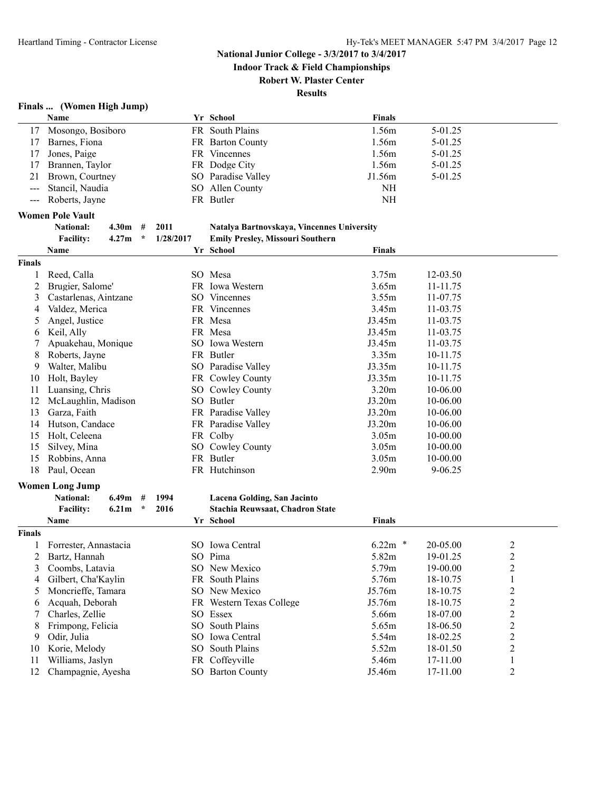**Indoor Track & Field Championships**

**Robert W. Plaster Center**

**Results**

# **Finals ... (Women High Jump)**

|        | <b>Name</b>                           |                      | Yr School                                  | <b>Finals</b>     |             |                |
|--------|---------------------------------------|----------------------|--------------------------------------------|-------------------|-------------|----------------|
| 17     | Mosongo, Bosiboro                     |                      | FR South Plains                            | 1.56m             | 5-01.25     |                |
| 17     | Barnes, Fiona                         |                      | FR Barton County                           | 1.56m             | 5-01.25     |                |
| 17     | Jones, Paige                          |                      | FR Vincennes                               | 1.56m             | 5-01.25     |                |
| 17     | Brannen, Taylor                       |                      | FR Dodge City                              | 1.56m             | 5-01.25     |                |
| 21     | Brown, Courtney                       |                      | SO Paradise Valley                         | J1.56m            | 5-01.25     |                |
| $---$  | Stancil, Naudia                       |                      | SO Allen County                            | <b>NH</b>         |             |                |
| $--$   | Roberts, Jayne                        |                      | FR Butler                                  | <b>NH</b>         |             |                |
|        |                                       |                      |                                            |                   |             |                |
|        | <b>Women Pole Vault</b>               |                      |                                            |                   |             |                |
|        | <b>National:</b><br>4.30 <sub>m</sub> | 2011<br>#            | Natalya Bartnovskaya, Vincennes University |                   |             |                |
|        | 4.27m<br><b>Facility:</b>             | $\star$<br>1/28/2017 | <b>Emily Presley, Missouri Southern</b>    |                   |             |                |
|        | Name                                  |                      | Yr School                                  | <b>Finals</b>     |             |                |
| Finals |                                       |                      |                                            |                   |             |                |
| 1      | Reed, Calla                           |                      | SO Mesa                                    | 3.75m             | 12-03.50    |                |
| 2      | Brugier, Salome'                      |                      | FR Iowa Western                            | 3.65m             | 11-11.75    |                |
| 3      | Castarlenas, Aintzane                 |                      | SO Vincennes                               | 3.55m             | 11-07.75    |                |
| 4      | Valdez, Merica                        |                      | FR Vincennes                               | 3.45m             | 11-03.75    |                |
| 5      | Angel, Justice                        |                      | FR Mesa                                    | J3.45m            | 11-03.75    |                |
| 6      | Keil, Ally                            |                      | FR Mesa                                    | J3.45m            | 11-03.75    |                |
|        | Apuakehau, Monique                    |                      | SO Iowa Western                            | J3.45m            | 11-03.75    |                |
| 8      | Roberts, Jayne                        |                      | FR Butler                                  | 3.35m             | 10-11.75    |                |
| 9      | Walter, Malibu                        |                      | SO Paradise Valley                         | J3.35m            | 10-11.75    |                |
| 10     | Holt, Bayley                          |                      | FR Cowley County                           | J3.35m            | 10-11.75    |                |
| 11     | Luansing, Chris                       |                      | SO Cowley County                           | 3.20m             | 10-06.00    |                |
| 12     | McLaughlin, Madison                   |                      | SO Butler                                  | J3.20m            | 10-06.00    |                |
| 13     | Garza, Faith                          |                      | FR Paradise Valley                         | J3.20m            | 10-06.00    |                |
| 14     | Hutson, Candace                       |                      | FR Paradise Valley                         | J3.20m            | 10-06.00    |                |
| 15     | Holt, Celeena                         |                      | FR Colby                                   | 3.05m             | 10-00.00    |                |
| 15     | Silvey, Mina                          |                      | SO Cowley County                           | 3.05m             | 10-00.00    |                |
| 15     | Robbins, Anna                         |                      | FR Butler                                  | 3.05m             | 10-00.00    |                |
| 18     | Paul, Ocean                           |                      | FR Hutchinson                              | 2.90 <sub>m</sub> | $9 - 06.25$ |                |
|        |                                       |                      |                                            |                   |             |                |
|        | <b>Women Long Jump</b>                |                      |                                            |                   |             |                |
|        | 6.49m<br><b>National:</b>             | 1994<br>#            | Lacena Golding, San Jacinto                |                   |             |                |
|        | <b>Facility:</b><br>6.21 <sub>m</sub> | 2016<br>$\star$      | <b>Stachia Reuwsaat, Chadron State</b>     |                   |             |                |
|        | Name                                  |                      | Yr School                                  | <b>Finals</b>     |             |                |
| Finals |                                       |                      |                                            |                   |             |                |
|        | Forrester, Annastacia                 |                      | SO Iowa Central                            | $6.22m$ *         | 20-05.00    | $\overline{c}$ |
| 2      | Bartz, Hannah                         |                      | SO Pima                                    | 5.82m             | 19-01.25    | $\sqrt{2}$     |
| 3      | Coombs, Latavia                       |                      | SO New Mexico                              | 5.79m             | 19-00.00    | $\overline{c}$ |
| 4      | Gilbert, Cha'Kaylin                   |                      | FR South Plains                            | 5.76m             | 18-10.75    | 1              |
| 5      | Moncrieffe, Tamara                    |                      | SO New Mexico                              | J5.76m            | 18-10.75    | $\overline{c}$ |
| 6      | Acquah, Deborah                       |                      | FR Western Texas College                   | J5.76m            | 18-10.75    | $\overline{c}$ |
| 7      | Charles, Zellie                       |                      | SO Essex                                   | 5.66m             | 18-07.00    | $\overline{c}$ |
| 8      | Frimpong, Felicia                     |                      | SO South Plains                            | 5.65m             | 18-06.50    | $\sqrt{2}$     |
| 9      | Odir, Julia                           |                      | SO Iowa Central                            | 5.54m             | 18-02.25    | $\sqrt{2}$     |
| 10     | Korie, Melody                         |                      | SO South Plains                            | 5.52m             | 18-01.50    | $\overline{c}$ |
| 11     | Williams, Jaslyn                      |                      | FR Coffeyville                             | 5.46m             | 17-11.00    | $\mathbf{1}$   |
| 12     | Champagnie, Ayesha                    |                      | SO Barton County                           | J5.46m            | 17-11.00    | $\overline{c}$ |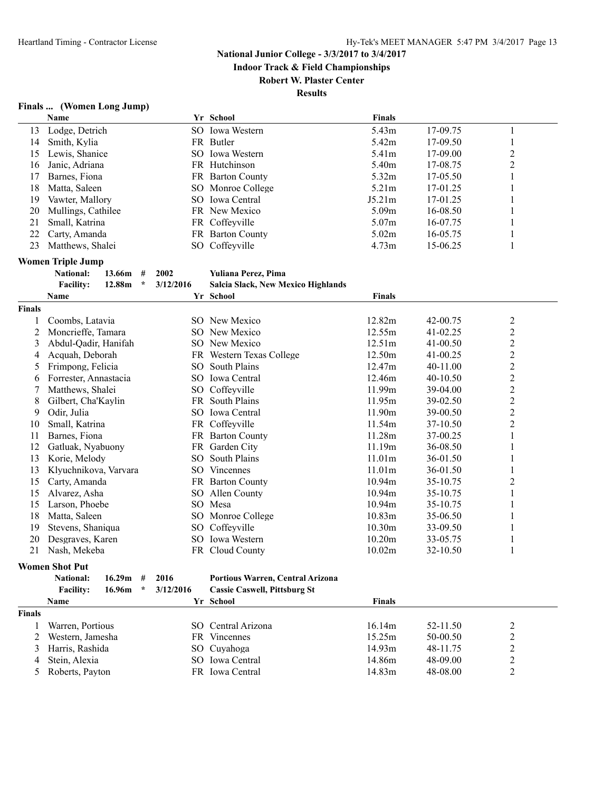**Indoor Track & Field Championships**

**Robert W. Plaster Center**

**Results**

# **Finals ... (Women Long Jump)**

|               | Name                                  |           | Yr School                           | <b>Finals</b>      |            |                  |
|---------------|---------------------------------------|-----------|-------------------------------------|--------------------|------------|------------------|
| 13            | Lodge, Detrich                        |           | SO Iowa Western                     | 5.43m              | 17-09.75   | 1                |
| 14            | Smith, Kylia                          |           | FR Butler                           | 5.42m              | 17-09.50   | 1                |
| 15            | Lewis, Shanice                        |           | SO Iowa Western                     | 5.41m              | 17-09.00   | $\overline{c}$   |
| 16            | Janic, Adriana                        |           | FR Hutchinson                       | 5.40m              | 17-08.75   | $\overline{c}$   |
| 17            | Barnes, Fiona                         |           | FR Barton County                    | 5.32m              | 17-05.50   | 1                |
| 18            | Matta, Saleen                         |           | SO Monroe College                   | 5.21m              | 17-01.25   | 1                |
| 19            | Vawter, Mallory                       |           | SO Iowa Central                     | J5.21m             | 17-01.25   | 1                |
| 20            | Mullings, Cathilee                    |           | FR New Mexico                       | 5.09m              | 16-08.50   | 1                |
| 21            | Small, Katrina                        |           | FR Coffeyville                      | 5.07m              | 16-07.75   | 1                |
| 22            | Carty, Amanda                         |           | FR Barton County                    | 5.02m              | 16-05.75   | 1                |
| 23            | Matthews, Shalei                      |           | SO Coffeyville                      | 4.73m              | 15-06.25   | 1                |
|               | <b>Women Triple Jump</b>              |           |                                     |                    |            |                  |
|               | <b>National:</b><br>13.66m<br>#       | 2002      | Yuliana Perez, Pima                 |                    |            |                  |
|               | <b>Facility:</b><br>12.88m<br>$\star$ | 3/12/2016 | Salcia Slack, New Mexico Highlands  |                    |            |                  |
|               | Name                                  |           | Yr School                           | <b>Finals</b>      |            |                  |
| <b>Finals</b> |                                       |           |                                     |                    |            |                  |
| 1             | Coombs, Latavia                       |           | SO New Mexico                       | 12.82m             | 42-00.75   | $\overline{c}$   |
| 2             | Moncrieffe, Tamara                    |           | SO New Mexico                       | 12.55m             | 41-02.25   | $\overline{c}$   |
| 3             | Abdul-Qadir, Hanifah                  |           | SO New Mexico                       | 12.51m             | 41-00.50   | $\boldsymbol{2}$ |
| 4             | Acquah, Deborah                       |           | FR Western Texas College            | 12.50m             | 41-00.25   | $\overline{c}$   |
| 5             | Frimpong, Felicia                     |           | SO South Plains                     | 12.47m             | 40-11.00   | $\overline{c}$   |
| 6             | Forrester, Annastacia                 |           | SO Iowa Central                     | 12.46m             | $40-10.50$ | $\overline{c}$   |
| 7             | Matthews, Shalei                      |           | SO Coffeyville                      | 11.99m             | 39-04.00   | $\overline{c}$   |
| 8             | Gilbert, Cha'Kaylin                   |           | FR South Plains                     | 11.95m             | 39-02.50   | $\overline{c}$   |
| 9             | Odir, Julia                           |           | SO Iowa Central                     | 11.90m             | 39-00.50   | $\overline{c}$   |
| 10            | Small, Katrina                        |           | FR Coffeyville                      | 11.54m             | 37-10.50   | $\overline{c}$   |
| 11            | Barnes, Fiona                         |           | FR Barton County                    | 11.28m             | 37-00.25   | 1                |
| 12            | Gatluak, Nyabuony                     |           | FR Garden City                      | 11.19m             | 36-08.50   | 1                |
| 13            | Korie, Melody                         |           | SO South Plains                     | 11.01m             | 36-01.50   | 1                |
| 13            | Klyuchnikova, Varvara                 |           | SO Vincennes                        | 11.01 <sub>m</sub> | 36-01.50   | 1                |
| 15            | Carty, Amanda                         |           | FR Barton County                    | 10.94m             | 35-10.75   | $\overline{c}$   |
| 15            | Alvarez, Asha                         |           | SO Allen County                     | 10.94m             | 35-10.75   | 1                |
| 15            | Larson, Phoebe                        |           | SO Mesa                             | 10.94m             | 35-10.75   | 1                |
| 18            | Matta, Saleen                         |           | SO Monroe College                   | 10.83m             | 35-06.50   | 1                |
| 19            | Stevens, Shaniqua                     |           | SO Coffeyville                      | 10.30m             | 33-09.50   | 1                |
| 20            | Desgraves, Karen                      |           | SO Iowa Western                     | 10.20 <sub>m</sub> | 33-05.75   | 1                |
| 21            | Nash, Mekeba                          |           | FR Cloud County                     | 10.02m             | 32-10.50   | 1                |
|               | <b>Women Shot Put</b>                 |           |                                     |                    |            |                  |
|               | National:<br>16.29m<br>#              | 2016      | Portious Warren, Central Arizona    |                    |            |                  |
|               | <b>Facility:</b><br>16.96m<br>$\star$ | 3/12/2016 | <b>Cassie Caswell, Pittsburg St</b> |                    |            |                  |
|               | Name                                  |           | Yr School                           | <b>Finals</b>      |            |                  |
| <b>Finals</b> |                                       |           |                                     |                    |            |                  |
| 1             | Warren, Portious                      |           | SO Central Arizona                  | 16.14m             | 52-11.50   | $\overline{c}$   |
| 2             | Western, Jamesha                      |           | FR Vincennes                        | 15.25m             | 50-00.50   | $\overline{c}$   |
| 3             | Harris, Rashida                       |           | SO Cuyahoga                         | 14.93m             | 48-11.75   | $\overline{c}$   |
| 4             | Stein, Alexia                         |           | SO Iowa Central                     | 14.86m             | 48-09.00   | 2                |
| 5             | Roberts, Payton                       |           | FR Iowa Central                     | 14.83m             | 48-08.00   | 2                |
|               |                                       |           |                                     |                    |            |                  |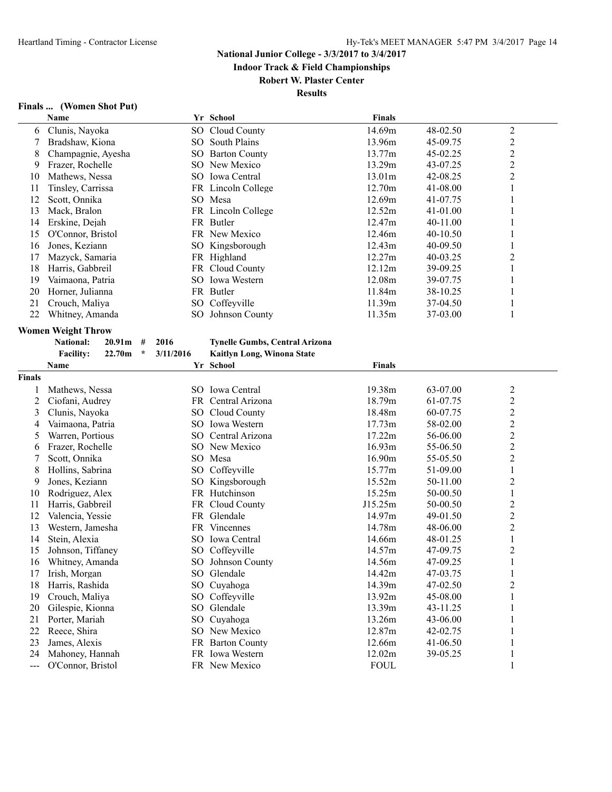**Indoor Track & Field Championships**

#### **Robert W. Plaster Center**

**Results**

#### **Finals ... (Women Shot Put)**

|                | <b>Name</b>                           |           | Yr School                      | <b>Finals</b> |          |                  |  |
|----------------|---------------------------------------|-----------|--------------------------------|---------------|----------|------------------|--|
| 6              | Clunis, Nayoka                        |           | SO Cloud County                | 14.69m        | 48-02.50 | $\boldsymbol{2}$ |  |
| 7              | Bradshaw, Kiona                       |           | SO South Plains                | 13.96m        | 45-09.75 | $\boldsymbol{2}$ |  |
| 8              | Champagnie, Ayesha                    |           | SO Barton County               | 13.77m        | 45-02.25 | $\overline{2}$   |  |
| 9              | Frazer, Rochelle                      |           | SO New Mexico                  | 13.29m        | 43-07.25 | $\overline{c}$   |  |
| 10             | Mathews, Nessa                        |           | SO Iowa Central                | 13.01m        | 42-08.25 | $\overline{c}$   |  |
| 11             | Tinsley, Carrissa                     |           | FR Lincoln College             | 12.70m        | 41-08.00 | 1                |  |
| 12             | Scott, Onnika                         |           | SO Mesa                        | 12.69m        | 41-07.75 | 1                |  |
| 13             | Mack, Bralon                          |           | FR Lincoln College             | 12.52m        | 41-01.00 | 1                |  |
| 14             | Erskine, Dejah                        |           | FR Butler                      | 12.47m        | 40-11.00 | 1                |  |
| 15             | O'Connor, Bristol                     |           | FR New Mexico                  | 12.46m        | 40-10.50 | 1                |  |
| 16             | Jones, Keziann                        |           | SO Kingsborough                | 12.43m        | 40-09.50 | $\mathbf{1}$     |  |
| 17             | Mazyck, Samaria                       |           | FR Highland                    | 12.27m        | 40-03.25 | $\overline{c}$   |  |
|                |                                       |           |                                | 12.12m        |          |                  |  |
| 18             | Harris, Gabbreil                      |           | FR Cloud County                |               | 39-09.25 | 1                |  |
| 19             | Vaimaona, Patria                      |           | SO Iowa Western                | 12.08m        | 39-07.75 | 1                |  |
| 20             | Horner, Julianna                      |           | FR Butler                      | 11.84m        | 38-10.25 | 1                |  |
| 21             | Crouch, Maliya                        |           | SO Coffeyville                 | 11.39m        | 37-04.50 | 1                |  |
| 22             | Whitney, Amanda                       |           | SO Johnson County              | 11.35m        | 37-03.00 | $\mathbf{1}$     |  |
|                | <b>Women Weight Throw</b>             |           |                                |               |          |                  |  |
|                | <b>National:</b><br>20.91m<br>#       | 2016      | Tynelle Gumbs, Central Arizona |               |          |                  |  |
|                | <b>Facility:</b><br>22.70m<br>$\star$ | 3/11/2016 | Kaitlyn Long, Winona State     |               |          |                  |  |
|                | Name                                  |           | Yr School                      | <b>Finals</b> |          |                  |  |
| Finals         |                                       |           |                                |               |          |                  |  |
| 1              | Mathews, Nessa                        |           | SO Iowa Central                | 19.38m        | 63-07.00 | $\overline{c}$   |  |
| $\overline{c}$ | Ciofani, Audrey                       |           | FR Central Arizona             | 18.79m        | 61-07.75 | $\overline{c}$   |  |
| 3              | Clunis, Nayoka                        |           | SO Cloud County                | 18.48m        | 60-07.75 | $\overline{c}$   |  |
| 4              | Vaimaona, Patria                      |           | SO Iowa Western                | 17.73m        | 58-02.00 | $\overline{2}$   |  |
| 5              | Warren, Portious                      |           | SO Central Arizona             | 17.22m        | 56-06.00 | $\overline{c}$   |  |
| 6              | Frazer, Rochelle                      |           | SO New Mexico                  | 16.93m        | 55-06.50 | $\mathbf{2}$     |  |
| 7              | Scott, Onnika                         |           | SO Mesa                        | 16.90m        | 55-05.50 | $\overline{c}$   |  |
|                |                                       |           | SO Coffeyville                 | 15.77m        |          |                  |  |
| 8              | Hollins, Sabrina                      |           |                                |               | 51-09.00 | 1                |  |
| 9              | Jones, Keziann                        |           | SO Kingsborough                | 15.52m        | 50-11.00 | $\overline{c}$   |  |
| 10             | Rodriguez, Alex                       |           | FR Hutchinson                  | 15.25m        | 50-00.50 | $\mathbf{1}$     |  |
| 11             | Harris, Gabbreil                      |           | FR Cloud County                | J15.25m       | 50-00.50 | $\mathbf{2}$     |  |
| 12             | Valencia, Yessie                      |           | FR Glendale                    | 14.97m        | 49-01.50 | $\boldsymbol{2}$ |  |
| 13             | Western, Jamesha                      |           | FR Vincennes                   | 14.78m        | 48-06.00 | $\overline{c}$   |  |
| 14             | Stein, Alexia                         |           | SO Iowa Central                | 14.66m        | 48-01.25 | $\,1$            |  |
| 15             | Johnson, Tiffaney                     |           | SO Coffeyville                 | 14.57m        | 47-09.75 | $\overline{c}$   |  |
|                | 16 Whitney, Amanda                    |           | SO Johnson County              | 14.56m        | 47-09.25 | 1                |  |
| 17             | Irish, Morgan                         |           | SO Glendale                    | 14.42m        | 47-03.75 | 1                |  |
| 18             | Harris, Rashida                       |           | SO Cuyahoga                    | 14.39m        | 47-02.50 | $\overline{c}$   |  |
| 19             | Crouch, Maliya                        |           | SO Coffeyville                 | 13.92m        | 45-08.00 |                  |  |
| 20             | Gilespie, Kionna                      |           | SO Glendale                    | 13.39m        | 43-11.25 |                  |  |
| 21             | Porter, Mariah                        |           | SO Cuyahoga                    | 13.26m        | 43-06.00 |                  |  |
| 22             | Reece, Shira                          |           | SO New Mexico                  | 12.87m        | 42-02.75 |                  |  |
| 23             |                                       |           |                                |               |          |                  |  |
|                | James, Alexis                         |           | FR Barton County               | 12.66m        | 41-06.50 |                  |  |
| 24             | Mahoney, Hannah                       |           | FR Iowa Western                | 12.02m        | 39-05.25 | 1                |  |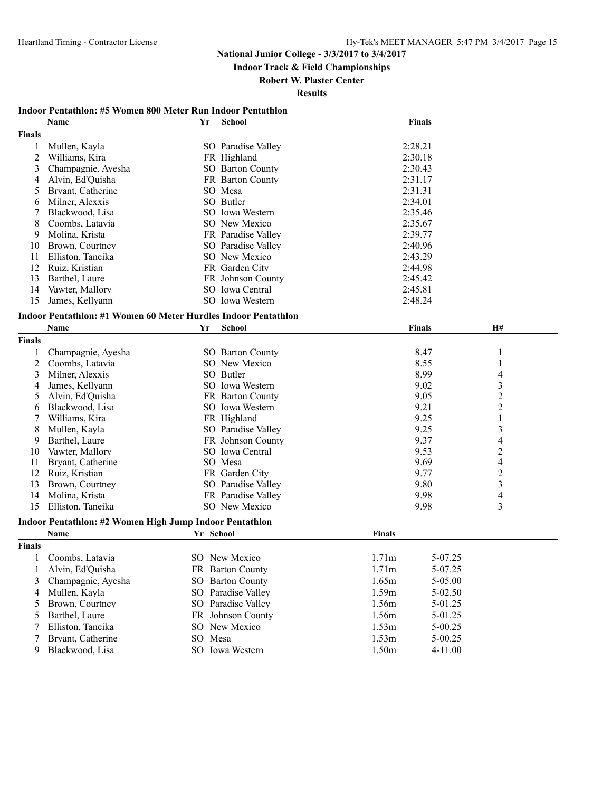**Indoor Track & Field Championships**

## **Robert W. Plaster Center**

**Results**

#### **Indoor Pentathlon: #5 Women 800 Meter Run Indoor Pentathlon**

|                | Name                                                           | Yr        | School             |               | <b>Finals</b> |                         |
|----------------|----------------------------------------------------------------|-----------|--------------------|---------------|---------------|-------------------------|
| <b>Finals</b>  |                                                                |           |                    |               |               |                         |
| 1              | Mullen, Kayla                                                  |           | SO Paradise Valley |               | 2:28.21       |                         |
| $\overline{2}$ | Williams, Kira                                                 |           | FR Highland        |               | 2:30.18       |                         |
| 3              | Champagnie, Ayesha                                             |           | SO Barton County   |               | 2:30.43       |                         |
| 4              | Alvin, Ed'Quisha                                               |           | FR Barton County   |               | 2:31.17       |                         |
| 5              | Bryant, Catherine                                              |           | SO Mesa            |               | 2:31.31       |                         |
| 6              | Milner, Alexxis                                                |           | SO Butler          |               | 2:34.01       |                         |
| 7              | Blackwood, Lisa                                                |           | SO Iowa Western    |               | 2:35.46       |                         |
| 8              | Coombs, Latavia                                                |           | SO New Mexico      |               | 2:35.67       |                         |
| 9              | Molina, Krista                                                 |           | FR Paradise Valley |               | 2:39.77       |                         |
| 10             | Brown, Courtney                                                |           | SO Paradise Valley |               | 2:40.96       |                         |
| 11             | Elliston, Taneika                                              |           | SO New Mexico      |               | 2:43.29       |                         |
| 12             | Ruiz, Kristian                                                 |           | FR Garden City     |               | 2:44.98       |                         |
| 13             | Barthel, Laure                                                 |           | FR Johnson County  |               | 2:45.42       |                         |
| 14             | Vawter, Mallory                                                |           | SO Iowa Central    |               | 2:45.81       |                         |
| 15             | James, Kellyann                                                |           | SO Iowa Western    |               | 2:48.24       |                         |
|                |                                                                |           |                    |               |               |                         |
|                | Indoor Pentathlon: #1 Women 60 Meter Hurdles Indoor Pentathlon |           |                    |               |               |                         |
|                | Name                                                           | Yr        | <b>School</b>      |               | <b>Finals</b> | <b>H#</b>               |
| <b>Finals</b>  |                                                                |           |                    |               |               |                         |
| 1              | Champagnie, Ayesha                                             |           | SO Barton County   |               | 8.47          | 1                       |
| 2              | Coombs, Latavia                                                |           | SO New Mexico      |               | 8.55          |                         |
| 3              | Milner, Alexxis                                                |           | SO Butler          |               | 8.99          | 4                       |
| 4              | James, Kellyann                                                |           | SO Iowa Western    |               | 9.02          | 3                       |
| 5              | Alvin, Ed'Quisha                                               |           | FR Barton County   |               | 9.05          | $\overline{c}$          |
| 6              | Blackwood, Lisa                                                |           | SO Iowa Western    |               | 9.21          | 2                       |
| 7              | Williams, Kira                                                 |           | FR Highland        |               | 9.25          | $\mathbf{1}$            |
| 8              | Mullen, Kayla                                                  |           | SO Paradise Valley |               | 9.25          | 3                       |
| 9              | Barthel, Laure                                                 |           | FR Johnson County  |               | 9.37          | 4                       |
| 10             | Vawter, Mallory                                                |           | SO Iowa Central    |               | 9.53          | $\overline{\mathbf{c}}$ |
| 11             | Bryant, Catherine                                              |           | SO Mesa            |               | 9.69          | 4                       |
| 12             | Ruiz, Kristian                                                 |           | FR Garden City     |               | 9.77          | $\overline{c}$          |
| 13             | Brown, Courtney                                                |           | SO Paradise Valley |               | 9.80          | $\mathfrak{Z}$          |
| 14             | Molina, Krista                                                 |           | FR Paradise Valley |               | 9.98          | 4                       |
| 15             | Elliston, Taneika                                              |           | SO New Mexico      |               | 9.98          | 3                       |
|                | Indoor Pentathlon: #2 Women High Jump Indoor Pentathlon        |           |                    |               |               |                         |
|                | Name                                                           | Yr School |                    | <b>Finals</b> |               |                         |
| <b>Finals</b>  |                                                                |           |                    |               |               |                         |
|                | Coombs, Latavia                                                |           | SO New Mexico      | 1.71m         | 5-07.25       |                         |
| $\mathbf{I}$   | Alvin, Ed'Quisha                                               |           | FR Barton County   | 1.71m         | 5-07.25       |                         |
| 3              | Champagnie, Ayesha                                             |           | SO Barton County   | 1.65m         | 5-05.00       |                         |
|                |                                                                |           |                    | 1.59m         | 5-02.50       |                         |
| 4              | Mullen, Kayla                                                  |           | SO Paradise Valley |               |               |                         |
| 5              | Brown, Courtney                                                |           | SO Paradise Valley | 1.56m         | 5-01.25       |                         |
| 5              | Barthel, Laure                                                 |           | FR Johnson County  | 1.56m         | 5-01.25       |                         |
| $\tau$         | Elliston, Taneika                                              |           | SO New Mexico      | 1.53m         | $5 - 00.25$   |                         |
| 7              | Bryant, Catherine                                              | SO Mesa   |                    | 1.53m         | $5 - 00.25$   |                         |
| 9              | Blackwood, Lisa                                                |           | SO Iowa Western    | 1.50m         | 4-11.00       |                         |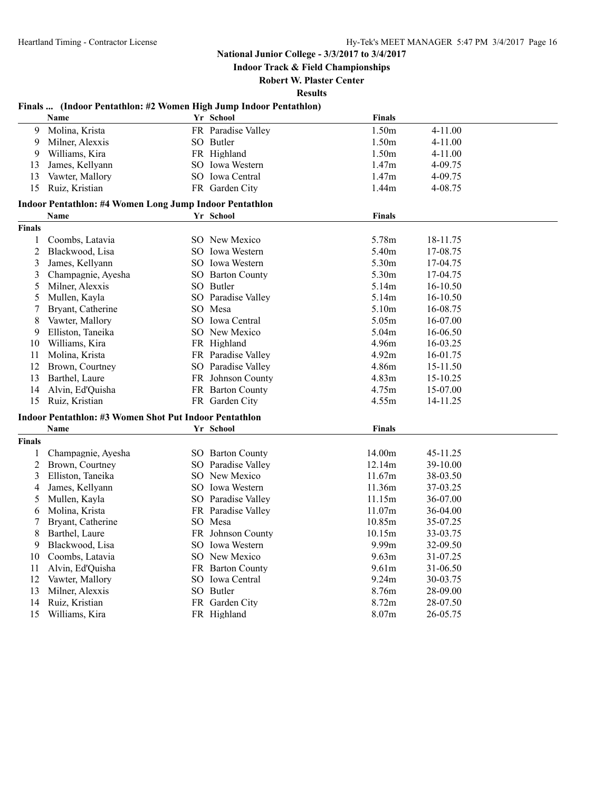**Indoor Track & Field Championships**

#### **Robert W. Plaster Center**

**Results**

#### **Finals ... (Indoor Pentathlon: #2 Women High Jump Indoor Pentathlon)**

|                | Name                                                    | Yr School               | <b>Finals</b>     |          |
|----------------|---------------------------------------------------------|-------------------------|-------------------|----------|
| 9              | Molina, Krista                                          | FR Paradise Valley      | 1.50m             | 4-11.00  |
| 9              | Milner, Alexxis                                         | SO Butler               | 1.50m             | 4-11.00  |
| 9              | Williams, Kira                                          | FR Highland             | 1.50m             | 4-11.00  |
| 13             | James, Kellyann                                         | SO Iowa Western         | 1.47m             | 4-09.75  |
| 13             | Vawter, Mallory                                         | SO Iowa Central         | 1.47m             | 4-09.75  |
| 15             | Ruiz, Kristian                                          | FR Garden City          | 1.44m             | 4-08.75  |
|                | Indoor Pentathlon: #4 Women Long Jump Indoor Pentathlon |                         |                   |          |
|                | Name                                                    | Yr School               | <b>Finals</b>     |          |
| <b>Finals</b>  |                                                         |                         |                   |          |
| 1              | Coombs, Latavia                                         | SO New Mexico           | 5.78m             | 18-11.75 |
| $\overline{2}$ | Blackwood, Lisa                                         | SO Iowa Western         | 5.40m             | 17-08.75 |
| 3              | James, Kellyann                                         | SO Iowa Western         | 5.30m             | 17-04.75 |
| 3              | Champagnie, Ayesha                                      | SO Barton County        | 5.30m             | 17-04.75 |
| 5              | Milner, Alexxis                                         | SO Butler               | 5.14m             | 16-10.50 |
| 5              | Mullen, Kayla                                           | SO Paradise Valley      | 5.14m             | 16-10.50 |
| 7              | Bryant, Catherine                                       | SO Mesa                 | 5.10m             | 16-08.75 |
| 8              | Vawter, Mallory                                         | SO Iowa Central         | 5.05m             | 16-07.00 |
| 9              | Elliston, Taneika                                       | SO New Mexico           | 5.04m             | 16-06.50 |
| 10             | Williams, Kira                                          | FR Highland             | 4.96m             | 16-03.25 |
| 11             | Molina, Krista                                          | FR Paradise Valley      | 4.92m             | 16-01.75 |
| 12             | Brown, Courtney                                         | SO Paradise Valley      | 4.86m             | 15-11.50 |
| 13             | Barthel, Laure                                          | FR Johnson County       | 4.83m             | 15-10.25 |
| 14             | Alvin, Ed'Quisha                                        | FR Barton County        | 4.75m             | 15-07.00 |
| 15             | Ruiz, Kristian                                          | FR Garden City          | 4.55m             | 14-11.25 |
|                | Indoor Pentathlon: #3 Women Shot Put Indoor Pentathlon  |                         |                   |          |
|                | <b>Name</b>                                             | Yr School               | <b>Finals</b>     |          |
| <b>Finals</b>  |                                                         |                         |                   |          |
| 1              | Champagnie, Ayesha                                      | <b>SO</b> Barton County | 14.00m            | 45-11.25 |
| $\overline{2}$ | Brown, Courtney                                         | SO Paradise Valley      | 12.14m            | 39-10.00 |
| 3              | Elliston, Taneika                                       | SO New Mexico           | 11.67m            | 38-03.50 |
| 4              | James, Kellyann                                         | SO Iowa Western         | 11.36m            | 37-03.25 |
| 5              | Mullen, Kayla                                           | SO Paradise Valley      | 11.15m            | 36-07.00 |
| 6              | Molina, Krista                                          | FR Paradise Valley      | 11.07m            | 36-04.00 |
| 7              | Bryant, Catherine                                       | SO Mesa                 | 10.85m            | 35-07.25 |
| 8              | Barthel, Laure                                          | FR Johnson County       | 10.15m            | 33-03.75 |
| 9              | Blackwood, Lisa                                         | SO Iowa Western         | 9.99m             | 32-09.50 |
| 10             | Coombs, Latavia                                         | SO New Mexico           | 9.63m             | 31-07.25 |
| 11             | Alvin, Ed'Quisha                                        | FR Barton County        | 9.61 <sub>m</sub> | 31-06.50 |
| 12             | Vawter, Mallory                                         | SO Iowa Central         | 9.24m             | 30-03.75 |
| 13             | Milner, Alexxis                                         | SO Butler               | 8.76m             | 28-09.00 |
| 14             | Ruiz, Kristian                                          | FR Garden City          | 8.72m             | 28-07.50 |
| 15             | Williams, Kira                                          | FR Highland             | 8.07m             | 26-05.75 |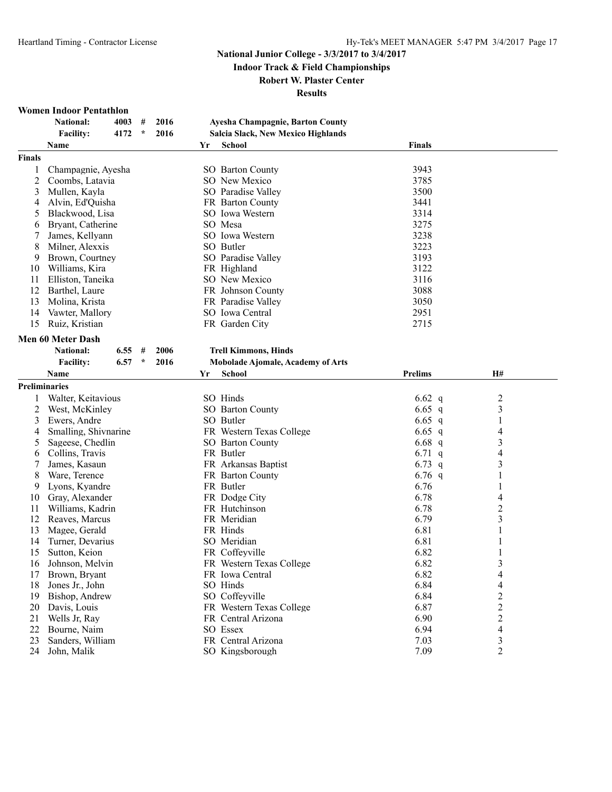**Indoor Track & Field Championships**

**Robert W. Plaster Center**

**Results**

#### **Women Indoor Pentathlon**

|               | <b>National:</b>         | 4003 | #       | 2016 |    | <b>Ayesha Champagnie, Barton County</b>   |                |                         |
|---------------|--------------------------|------|---------|------|----|-------------------------------------------|----------------|-------------------------|
|               | <b>Facility:</b>         | 4172 | $\star$ | 2016 |    | <b>Salcia Slack, New Mexico Highlands</b> |                |                         |
|               | Name                     |      |         |      | Yr | <b>School</b>                             | <b>Finals</b>  |                         |
| <b>Finals</b> |                          |      |         |      |    |                                           |                |                         |
|               | Champagnie, Ayesha       |      |         |      |    | SO Barton County                          | 3943           |                         |
| 2             | Coombs, Latavia          |      |         |      |    | SO New Mexico                             | 3785           |                         |
| 3             | Mullen, Kayla            |      |         |      |    | SO Paradise Valley                        | 3500           |                         |
| 4             | Alvin, Ed'Quisha         |      |         |      |    | FR Barton County                          | 3441           |                         |
| 5             | Blackwood, Lisa          |      |         |      |    | SO Iowa Western                           | 3314           |                         |
| 6             | Bryant, Catherine        |      |         |      |    | SO Mesa                                   | 3275           |                         |
|               | James, Kellyann          |      |         |      |    | SO Iowa Western                           | 3238           |                         |
| 8             | Milner, Alexxis          |      |         |      |    | SO Butler                                 | 3223           |                         |
| 9             | Brown, Courtney          |      |         |      |    | SO Paradise Valley                        | 3193           |                         |
| 10            | Williams, Kira           |      |         |      |    | FR Highland                               | 3122           |                         |
| 11            | Elliston, Taneika        |      |         |      |    | SO New Mexico                             | 3116           |                         |
| 12            | Barthel, Laure           |      |         |      |    | FR Johnson County                         | 3088           |                         |
| 13            | Molina, Krista           |      |         |      |    | FR Paradise Valley                        | 3050           |                         |
| 14            | Vawter, Mallory          |      |         |      |    | SO Iowa Central                           | 2951           |                         |
| 15            | Ruiz, Kristian           |      |         |      |    | FR Garden City                            | 2715           |                         |
|               |                          |      |         |      |    |                                           |                |                         |
|               | <b>Men 60 Meter Dash</b> |      |         |      |    |                                           |                |                         |
|               | <b>National:</b>         | 6.55 | #       | 2006 |    | <b>Trell Kimmons, Hinds</b>               |                |                         |
|               | <b>Facility:</b>         | 6.57 | $\star$ | 2016 |    | Mobolade Ajomale, Academy of Arts         |                |                         |
|               | Name                     |      |         |      | Yr | <b>School</b>                             | <b>Prelims</b> | <b>H#</b>               |
| Preliminaries |                          |      |         |      |    |                                           |                |                         |
|               | Walter, Keitavious       |      |         |      |    | SO Hinds                                  | 6.62 q         | $\overline{c}$          |
| 2             | West, McKinley           |      |         |      |    | SO Barton County                          | 6.65 q         | 3                       |
| 3             | Ewers, Andre             |      |         |      |    | SO Butler                                 | $6.65$ q       | 1                       |
| 4             | Smalling, Shivnarine     |      |         |      |    | FR Western Texas College                  | 6.65 q         | 4                       |
| 5             | Sageese, Chedlin         |      |         |      |    | SO Barton County                          | $6.68$ q       | 3                       |
| 6             | Collins, Travis          |      |         |      |    | FR Butler                                 | $6.71$ q       | 4                       |
|               | James, Kasaun            |      |         |      |    | FR Arkansas Baptist                       | 6.73 $q$       | 3                       |
| 8             | Ware, Terence            |      |         |      |    | FR Barton County                          | 6.76 $q$       | 1                       |
| 9             | Lyons, Kyandre           |      |         |      |    | FR Butler                                 | 6.76           | 1                       |
| 10            | Gray, Alexander          |      |         |      |    | FR Dodge City                             | 6.78           | 4                       |
| 11            | Williams, Kadrin         |      |         |      |    | FR Hutchinson                             | 6.78           | $\overline{\mathbf{c}}$ |
| 12            | Reaves, Marcus           |      |         |      |    | FR Meridian                               | 6.79           | $\overline{\mathbf{3}}$ |
| 13            | Magee, Gerald            |      |         |      |    | FR Hinds                                  | 6.81           | 1                       |
| 14            | Turner, Devarius         |      |         |      |    | SO Meridian                               | 6.81           | 1                       |
| 15            | Sutton, Keion            |      |         |      |    | FR Coffeyville                            | 6.82           | 1                       |
|               | 16 Johnson, Melvin       |      |         |      |    | FR Western Texas College                  | 6.82           | 3                       |
| 17            | Brown, Bryant            |      |         |      |    | FR Iowa Central                           | 6.82           | 4                       |
| 18            | Jones Jr., John          |      |         |      |    | SO Hinds                                  | 6.84           | 4                       |
| 19            | Bishop, Andrew           |      |         |      |    | SO Coffeyville                            | 6.84           | $\overline{c}$          |
| 20            | Davis, Louis             |      |         |      |    | FR Western Texas College                  | 6.87           | $\overline{c}$          |
| 21            | Wells Jr, Ray            |      |         |      |    | FR Central Arizona                        | 6.90           | $\overline{c}$          |
| 22            | Bourne, Naim             |      |         |      |    | SO Essex                                  | 6.94           | 4                       |
| 23            | Sanders, William         |      |         |      |    | FR Central Arizona                        | 7.03           | 3                       |
| 24            | John, Malik              |      |         |      |    | SO Kingsborough                           | 7.09           | $\overline{c}$          |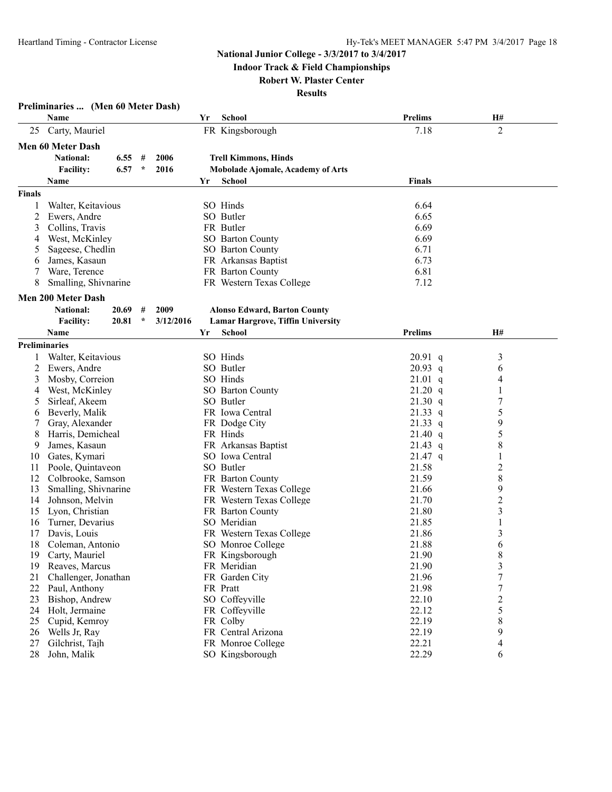**Indoor Track & Field Championships**

**Robert W. Plaster Center**

|               | Preliminaries  (Men 60 Meter Dash)     |       |              |           |    |                                     |                    |                  |
|---------------|----------------------------------------|-------|--------------|-----------|----|-------------------------------------|--------------------|------------------|
|               | Name                                   |       |              |           | Yr | School                              | <b>Prelims</b>     | H#               |
| 25            | Carty, Mauriel                         |       |              |           |    | FR Kingsborough                     | 7.18               | $\overline{2}$   |
|               | <b>Men 60 Meter Dash</b>               |       |              |           |    |                                     |                    |                  |
|               | <b>National:</b>                       | 6.55  | #            | 2006      |    | <b>Trell Kimmons, Hinds</b>         |                    |                  |
|               | <b>Facility:</b>                       | 6.57  | $\star$      | 2016      |    | Mobolade Ajomale, Academy of Arts   |                    |                  |
|               | Name                                   |       |              |           | Yr | School                              | <b>Finals</b>      |                  |
| <b>Finals</b> |                                        |       |              |           |    |                                     |                    |                  |
| 1             | Walter, Keitavious                     |       |              |           |    | SO Hinds                            | 6.64               |                  |
| 2             | Ewers, Andre                           |       |              |           |    | SO Butler                           | 6.65               |                  |
| 3             | Collins, Travis                        |       |              |           |    | FR Butler                           | 6.69               |                  |
| 4             | West, McKinley                         |       |              |           |    | SO Barton County                    | 6.69               |                  |
| 5             | Sageese, Chedlin                       |       |              |           |    | SO Barton County                    | 6.71               |                  |
| 6             | James, Kasaun                          |       |              |           |    | FR Arkansas Baptist                 | 6.73               |                  |
| 7             | Ware, Terence                          |       |              |           |    | FR Barton County                    | 6.81               |                  |
| 8             | Smalling, Shivnarine                   |       |              |           |    | FR Western Texas College            | 7.12               |                  |
|               |                                        |       |              |           |    |                                     |                    |                  |
|               | <b>Men 200 Meter Dash</b>              |       |              |           |    |                                     |                    |                  |
|               | <b>National:</b>                       | 20.69 | #<br>$\star$ | 2009      |    | <b>Alonso Edward, Barton County</b> |                    |                  |
|               | <b>Facility:</b>                       | 20.81 |              | 3/12/2016 |    | Lamar Hargrove, Tiffin University   |                    |                  |
|               | Name                                   |       |              |           | Yr | <b>School</b>                       | <b>Prelims</b>     | <b>H#</b>        |
|               | <b>Preliminaries</b>                   |       |              |           |    |                                     |                    |                  |
|               | Walter, Keitavious                     |       |              |           |    | SO Hinds                            | $20.91$ q          | 3                |
| 2             | Ewers, Andre                           |       |              |           |    | SO Butler                           | $20.93$ q          | 6                |
| 3             | Mosby, Correion                        |       |              |           |    | SO Hinds                            | $21.01$ q          | 4                |
| 4             | West, McKinley                         |       |              |           |    | <b>SO</b> Barton County             | $21.20$ q          | 1                |
| 5             | Sirleaf, Akeem                         |       |              |           |    | SO Butler                           | 21.30 q            | 7                |
| 6             | Beverly, Malik                         |       |              |           |    | FR Iowa Central                     | $21.33$ q          | 5                |
|               | Gray, Alexander                        |       |              |           |    | FR Dodge City                       | $21.33$ q          | 9                |
| 8             | Harris, Demicheal                      |       |              |           |    | FR Hinds                            | 21.40 q            | 5                |
| 9             | James, Kasaun                          |       |              |           |    | FR Arkansas Baptist                 | 21.43 q            | 8                |
| 10<br>11      | Gates, Kymari                          |       |              |           |    | SO Iowa Central<br>SO Butler        | $21.47$ q<br>21.58 | 1<br>2           |
| 12            | Poole, Quintaveon<br>Colbrooke, Samson |       |              |           |    | FR Barton County                    | 21.59              | 8                |
| 13            | Smalling, Shivnarine                   |       |              |           |    | FR Western Texas College            | 21.66              | 9                |
| 14            | Johnson, Melvin                        |       |              |           |    | FR Western Texas College            | 21.70              | 2                |
| 15            | Lyon, Christian                        |       |              |           |    | FR Barton County                    | 21.80              | 3                |
| 16            | Turner, Devarius                       |       |              |           |    | SO Meridian                         | 21.85              | 1                |
| 17            | Davis, Louis                           |       |              |           |    | FR Western Texas College            | 21.86              | 3                |
| 18            | Coleman, Antonio                       |       |              |           |    | SO Monroe College                   | 21.88              | 6                |
| 19            | Carty, Mauriel                         |       |              |           |    | FR Kingsborough                     | 21.90              | 8                |
| 19            | Reaves, Marcus                         |       |              |           |    | FR Meridian                         | 21.90              | 3                |
| 21            | Challenger, Jonathan                   |       |              |           |    | FR Garden City                      | 21.96              | 7                |
| 22            | Paul, Anthony                          |       |              |           |    | FR Pratt                            | 21.98              | $\boldsymbol{7}$ |
| 23            | Bishop, Andrew                         |       |              |           |    | SO Coffeyville                      | 22.10              | $\overline{c}$   |
| 24            | Holt, Jermaine                         |       |              |           |    | FR Coffeyville                      | 22.12              | 5                |
| 25            | Cupid, Kemroy                          |       |              |           |    | FR Colby                            | 22.19              | 8                |
| 26            | Wells Jr, Ray                          |       |              |           |    | FR Central Arizona                  | 22.19              | 9                |
| 27            | Gilchrist, Tajh                        |       |              |           |    | FR Monroe College                   | 22.21              | 4                |
| 28            | John, Malik                            |       |              |           |    | SO Kingsborough                     | 22.29              | 6                |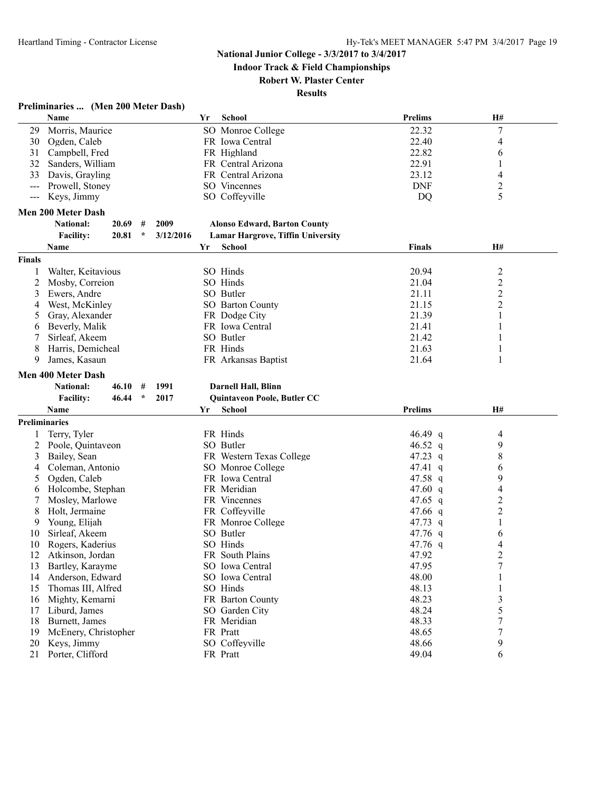**Indoor Track & Field Championships**

**Robert W. Plaster Center**

|  | Preliminaries  (Men 200 Meter Dash) |  |  |  |  |
|--|-------------------------------------|--|--|--|--|
|--|-------------------------------------|--|--|--|--|

|                      | Name                      |                      | Yr | School                              | Prelims           | H#               |  |
|----------------------|---------------------------|----------------------|----|-------------------------------------|-------------------|------------------|--|
| 29                   | Morris, Maurice           |                      |    | SO Monroe College                   | 22.32             | $\boldsymbol{7}$ |  |
| 30                   | Ogden, Caleb              |                      |    | FR Iowa Central                     | 22.40             | 4                |  |
| 31                   | Campbell, Fred            |                      |    | FR Highland                         | 22.82             | 6                |  |
| 32                   | Sanders, William          |                      |    | FR Central Arizona                  | 22.91             | 1                |  |
| 33                   | Davis, Grayling           |                      |    | FR Central Arizona                  | 23.12             | 4                |  |
| $---$                | Prowell, Stoney           |                      |    | SO Vincennes                        | <b>DNF</b>        | 2                |  |
| $---$                | Keys, Jimmy               |                      |    | SO Coffeyville                      | DQ                | 5                |  |
|                      |                           |                      |    |                                     |                   |                  |  |
|                      | <b>Men 200 Meter Dash</b> |                      |    |                                     |                   |                  |  |
|                      | <b>National:</b><br>20.69 | #<br>2009            |    | <b>Alonso Edward, Barton County</b> |                   |                  |  |
|                      | 20.81<br><b>Facility:</b> | $\star$<br>3/12/2016 |    | Lamar Hargrove, Tiffin University   |                   |                  |  |
|                      | <b>Name</b>               |                      | Yr | <b>School</b>                       | <b>Finals</b>     | H#               |  |
| Finals               |                           |                      |    |                                     |                   |                  |  |
| 1                    | Walter, Keitavious        |                      |    | SO Hinds                            | 20.94             | $\overline{c}$   |  |
| 2                    | Mosby, Correion           |                      |    | SO Hinds                            | 21.04             | $\mathbf{2}$     |  |
| 3                    | Ewers, Andre              |                      |    | SO Butler                           | 21.11             | 2                |  |
| 4                    | West, McKinley            |                      |    | <b>SO</b> Barton County             | 21.15             | 2                |  |
| 5                    | Gray, Alexander           |                      |    | FR Dodge City                       | 21.39             | 1                |  |
| 6                    | Beverly, Malik            |                      |    | FR Iowa Central                     | 21.41             |                  |  |
|                      | Sirleaf, Akeem            |                      |    | SO Butler                           | 21.42             | 1                |  |
| 8                    | Harris, Demicheal         |                      |    | FR Hinds                            | 21.63             | 1                |  |
| 9                    | James, Kasaun             |                      |    | FR Arkansas Baptist                 | 21.64             | 1                |  |
|                      |                           |                      |    |                                     |                   |                  |  |
|                      | <b>Men 400 Meter Dash</b> |                      |    |                                     |                   |                  |  |
|                      | <b>National:</b><br>46.10 | 1991<br>#            |    | Darnell Hall, Blinn                 |                   |                  |  |
|                      |                           |                      |    | <b>Quintaveon Poole, Butler CC</b>  |                   |                  |  |
|                      | <b>Facility:</b><br>46.44 | $\star$<br>2017      |    |                                     |                   |                  |  |
|                      | Name                      |                      | Yr | School                              | <b>Prelims</b>    | H#               |  |
| <b>Preliminaries</b> |                           |                      |    |                                     |                   |                  |  |
|                      | Terry, Tyler              |                      |    | FR Hinds                            | 46.49 $q$         | 4                |  |
| 2                    | Poole, Quintaveon         |                      |    | SO Butler                           | 46.52 q           | 9                |  |
| 3                    | Bailey, Sean              |                      |    | FR Western Texas College            | 47.23 $q$         | 8                |  |
| 4                    | Coleman, Antonio          |                      |    | SO Monroe College                   | $47.41 \text{ q}$ | 6                |  |
| 5                    | Ogden, Caleb              |                      |    | FR Iowa Central                     | 47.58 q           | 9                |  |
| 6                    | Holcombe, Stephan         |                      |    | FR Meridian                         | 47.60 $q$         | 4                |  |
| 7                    | Mosley, Marlowe           |                      |    | FR Vincennes                        | 47.65 $q$         | $\overline{c}$   |  |
| 8                    | Holt, Jermaine            |                      |    | FR Coffeyville                      | 47.66 q           | $\overline{c}$   |  |
| 9                    | Young, Elijah             |                      |    | FR Monroe College                   | 47.73 q           | 1                |  |
| 10                   | Sirleaf, Akeem            |                      |    | SO Butler                           | 47.76 $q$         | 6                |  |
| 10                   | Rogers, Kaderius          |                      |    | SO Hinds                            | 47.76 $q$         | 4                |  |
| 12                   | Atkinson, Jordan          |                      |    | FR South Plains                     | 47.92             | 2                |  |
| 13                   | Bartley, Karayme          |                      |    | SO Iowa Central                     | 47.95             |                  |  |
| 14                   | Anderson, Edward          |                      |    | SO Iowa Central                     | 48.00             |                  |  |
| 15                   | Thomas III, Alfred        |                      |    | SO Hinds                            | 48.13             | $\bf{l}$         |  |
| 16                   | Mighty, Kemarni           |                      |    | FR Barton County                    | 48.23             | 3                |  |
| 17                   | Liburd, James             |                      |    | SO Garden City                      | 48.24             | 5                |  |
| 18                   | Burnett, James            |                      |    | FR Meridian                         | 48.33             | 7                |  |
| 19                   | McEnery, Christopher      |                      |    | FR Pratt                            | 48.65             | 7                |  |
| 20                   | Keys, Jimmy               |                      |    | SO Coffeyville                      | 48.66             | 9                |  |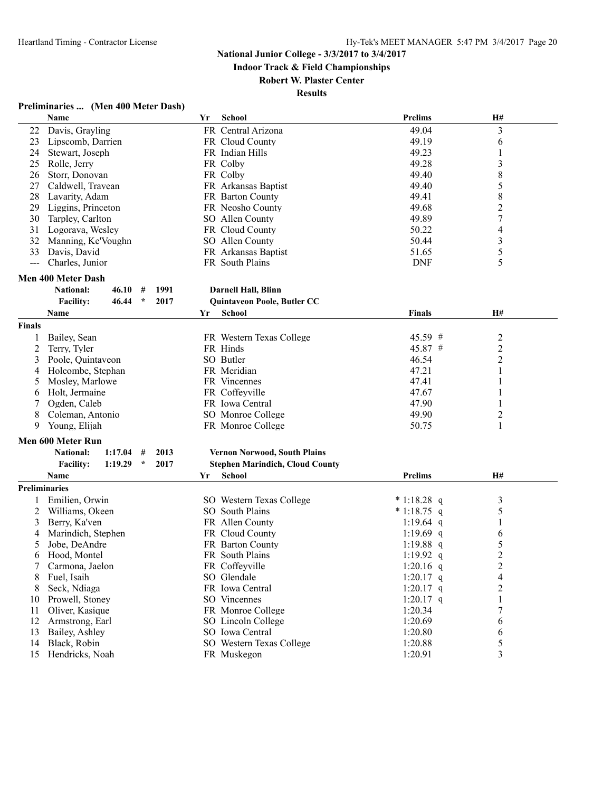**Indoor Track & Field Championships**

#### **Robert W. Plaster Center**

|                      | Name                                           | Yr | <b>School</b>                          | <b>Prelims</b> | H#             |  |
|----------------------|------------------------------------------------|----|----------------------------------------|----------------|----------------|--|
| 22                   | Davis, Grayling                                |    | FR Central Arizona                     | 49.04          | 3              |  |
| 23                   | Lipscomb, Darrien                              |    | FR Cloud County                        | 49.19          | 6              |  |
| 24                   | Stewart, Joseph                                |    | FR Indian Hills                        | 49.23          | 1              |  |
| 25                   | Rolle, Jerry                                   |    | FR Colby                               | 49.28          | 3              |  |
| 26                   | Storr, Donovan                                 |    | FR Colby                               | 49.40          | 8              |  |
| 27                   | Caldwell, Travean                              |    | FR Arkansas Baptist                    | 49.40          | 5              |  |
| 28                   | Lavarity, Adam                                 |    | FR Barton County                       | 49.41          | $8\,$          |  |
| 29                   | Liggins, Princeton                             |    | FR Neosho County                       | 49.68          | $\overline{c}$ |  |
| 30                   | Tarpley, Carlton                               |    | SO Allen County                        | 49.89          | 7              |  |
| 31                   | Logorava, Wesley                               |    | FR Cloud County                        | 50.22          | 4              |  |
| 32                   | Manning, Ke'Voughn                             |    | SO Allen County                        | 50.44          | 3              |  |
| 33                   | Davis, David                                   |    | FR Arkansas Baptist                    | 51.65          | 5              |  |
| $\overline{a}$       | Charles, Junior                                |    | FR South Plains                        | <b>DNF</b>     | 5              |  |
|                      |                                                |    |                                        |                |                |  |
|                      | <b>Men 400 Meter Dash</b>                      |    |                                        |                |                |  |
|                      | <b>National:</b><br>1991<br>46.10<br>#         |    | Darnell Hall, Blinn                    |                |                |  |
|                      | 46.44<br>$\star$<br>2017<br><b>Facility:</b>   |    | Quintaveon Poole, Butler CC            |                |                |  |
|                      | Name                                           | Yr | School                                 | <b>Finals</b>  | H#             |  |
| Finals               |                                                |    |                                        |                |                |  |
|                      | Bailey, Sean                                   |    | FR Western Texas College               | $45.59$ #      | $\overline{c}$ |  |
| $\overline{c}$       | Terry, Tyler                                   |    | FR Hinds                               | 45.87 #        | $\mathbf{2}$   |  |
| 3                    | Poole, Quintaveon                              |    | SO Butler                              | 46.54          | $\mathbf{2}$   |  |
| 4                    | Holcombe, Stephan                              |    | FR Meridian                            | 47.21          | 1              |  |
| 5                    | Mosley, Marlowe                                |    | FR Vincennes                           | 47.41          |                |  |
| 6                    | Holt, Jermaine                                 |    | FR Coffeyville                         | 47.67          |                |  |
|                      | Ogden, Caleb                                   |    | FR Iowa Central                        | 47.90          | 1              |  |
| 8                    | Coleman, Antonio                               |    | SO Monroe College                      | 49.90          | $\overline{c}$ |  |
| 9                    | Young, Elijah                                  |    | FR Monroe College                      | 50.75          | 1              |  |
|                      |                                                |    |                                        |                |                |  |
|                      | <b>Men 600 Meter Run</b>                       |    |                                        |                |                |  |
|                      | 1:17.04<br>2013<br><b>National:</b><br>#       |    | Vernon Norwood, South Plains           |                |                |  |
|                      | 1:19.29<br>2017<br><b>Facility:</b><br>$\star$ |    | <b>Stephen Marindich, Cloud County</b> |                |                |  |
|                      | Name                                           | Yr | <b>School</b>                          | <b>Prelims</b> | H#             |  |
| <b>Preliminaries</b> |                                                |    |                                        |                |                |  |
|                      | Emilien, Orwin                                 |    | SO Western Texas College               | $*1:18.28 q$   | 3              |  |
| 2                    | Williams, Okeen                                |    | SO South Plains                        | $*1:18.75$ q   | 5              |  |
| 3                    | Berry, Ka'ven                                  |    | FR Allen County                        | 1:19.64 q      | 1              |  |
| 4                    | Marindich, Stephen                             |    | FR Cloud County                        | 1:19.69 q      | 6              |  |
| 5                    | Jobe, DeAndre                                  |    | FR Barton County                       | 1:19.88 $q$    | 5              |  |
| 6                    | Hood, Montel                                   |    | FR South Plains                        | 1:19.92 $q$    | 2              |  |
| 7                    | Carmona, Jaelon                                |    | FR Coffeyville                         | 1:20.16 $q$    | 2              |  |
| 8                    | Fuel, Isaih                                    |    | SO Glendale                            | 1:20.17 $q$    | 4              |  |
| 8                    | Seck, Ndiaga                                   |    | FR Iowa Central                        | 1:20.17 $q$    | $\overline{c}$ |  |
| 10                   | Prowell, Stoney                                |    | SO Vincennes                           | 1:20.17 $q$    | 1              |  |
| 11                   | Oliver, Kasique                                |    | FR Monroe College                      | 1:20.34        | 7              |  |
| 12                   | Armstrong, Earl                                |    | SO Lincoln College                     | 1:20.69        |                |  |
| 13                   | Bailey, Ashley                                 |    | SO Iowa Central                        | 1:20.80        | 6              |  |
| 14                   | Black, Robin                                   |    | SO Western Texas College               | 1:20.88        | 6<br>5         |  |
|                      |                                                |    | FR Muskegon                            |                |                |  |
| 15                   | Hendricks, Noah                                |    |                                        | 1:20.91        | 3              |  |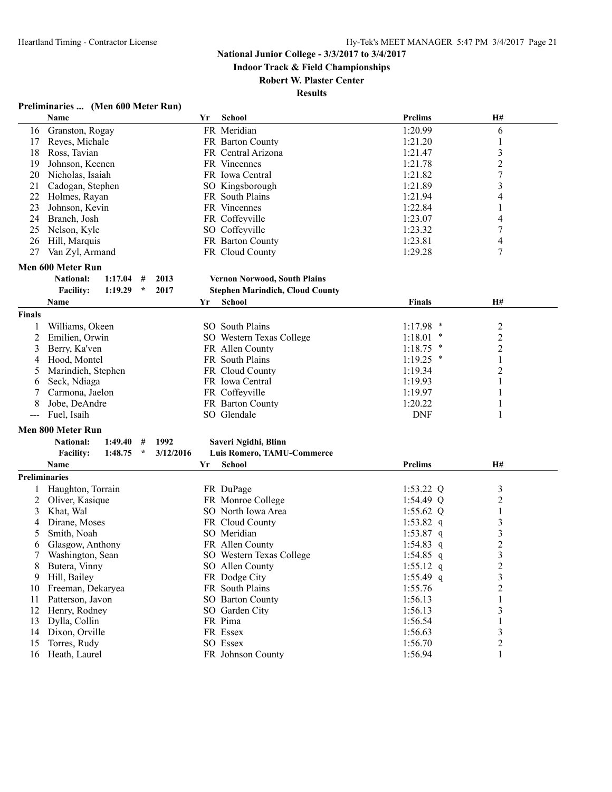**Indoor Track & Field Championships**

#### **Robert W. Plaster Center**

|               | Name                        |         |           | Yr | <b>School</b>                          | <b>Prelims</b>     | H#                      |  |
|---------------|-----------------------------|---------|-----------|----|----------------------------------------|--------------------|-------------------------|--|
| 16            | Granston, Rogay             |         |           |    | FR Meridian                            | 1:20.99            | 6                       |  |
| 17            | Reyes, Michale              |         |           |    | FR Barton County                       | 1:21.20            | $\mathbf{1}$            |  |
| 18            | Ross, Tavian                |         |           |    | FR Central Arizona                     | 1:21.47            | 3                       |  |
| 19            | Johnson, Keenen             |         |           |    | FR Vincennes                           | 1:21.78            | $\overline{c}$          |  |
| 20            | Nicholas, Isaiah            |         |           |    | FR Iowa Central                        | 1:21.82            | $\boldsymbol{7}$        |  |
| 21            | Cadogan, Stephen            |         |           |    | SO Kingsborough                        | 1:21.89            | 3                       |  |
| 22            | Holmes, Rayan               |         |           |    | FR South Plains                        | 1:21.94            | 4                       |  |
| 23            | Johnson, Kevin              |         |           |    | FR Vincennes                           | 1:22.84            | 1                       |  |
| 24            | Branch, Josh                |         |           |    | FR Coffeyville                         | 1:23.07            | 4                       |  |
|               |                             |         |           |    |                                        |                    | $\boldsymbol{7}$        |  |
| 25            | Nelson, Kyle                |         |           |    | SO Coffeyville                         | 1:23.32<br>1:23.81 |                         |  |
| 26            | Hill, Marquis               |         |           |    | FR Barton County                       |                    | 4                       |  |
| 27            | Van Zyl, Armand             |         |           |    | FR Cloud County                        | 1:29.28            | 7                       |  |
|               | Men 600 Meter Run           |         |           |    |                                        |                    |                         |  |
|               | <b>National:</b><br>1:17.04 | #       | 2013      |    | <b>Vernon Norwood, South Plains</b>    |                    |                         |  |
|               | <b>Facility:</b><br>1:19.29 | $\star$ | 2017      |    | <b>Stephen Marindich, Cloud County</b> |                    |                         |  |
|               | Name                        |         |           | Yr | <b>School</b>                          | <b>Finals</b>      | Н#                      |  |
| <b>Finals</b> |                             |         |           |    |                                        |                    |                         |  |
| 1             | Williams, Okeen             |         |           |    | SO South Plains                        | 1:17.98            | $\overline{c}$          |  |
| 2             | Emilien, Orwin              |         |           |    | SO Western Texas College               | 1:18.01            | $\overline{c}$          |  |
| 3             | Berry, Ka'ven               |         |           |    | FR Allen County                        | 1:18.75<br>$\ast$  | $\overline{c}$          |  |
| 4             | Hood, Montel                |         |           |    | FR South Plains                        | ×<br>1:19.25       | $\,1\,$                 |  |
|               | Marindich, Stephen          |         |           |    | FR Cloud County                        | 1:19.34            |                         |  |
| 5             |                             |         |           |    |                                        |                    | $\overline{c}$          |  |
| 6             | Seck, Ndiaga                |         |           |    | FR Iowa Central                        | 1:19.93            | 1                       |  |
| 7             | Carmona, Jaelon             |         |           |    | FR Coffeyville                         | 1:19.97            |                         |  |
| 8             | Jobe, DeAndre               |         |           |    | FR Barton County                       | 1:20.22            |                         |  |
| ---           | Fuel, Isaih                 |         |           |    | SO Glendale                            | <b>DNF</b>         | $\mathbf{1}$            |  |
|               | Men 800 Meter Run           |         |           |    |                                        |                    |                         |  |
|               | 1:49.40<br><b>National:</b> | #       | 1992      |    | Saveri Ngidhi, Blinn                   |                    |                         |  |
|               | 1:48.75<br><b>Facility:</b> | $\star$ | 3/12/2016 |    | Luis Romero, TAMU-Commerce             |                    |                         |  |
|               | Name                        |         |           | Yr | School                                 | <b>Prelims</b>     | H#                      |  |
| Preliminaries |                             |         |           |    |                                        |                    |                         |  |
| 1             | Haughton, Torrain           |         |           |    | FR DuPage                              | 1:53.22 $Q$        | 3                       |  |
| 2             | Oliver, Kasique             |         |           |    | FR Monroe College                      | $1:54.49$ Q        | $\overline{c}$          |  |
| 3             | Khat, Wal                   |         |           |    | SO North Iowa Area                     | 1:55.62 Q          | $\mathbf{1}$            |  |
| 4             | Dirane, Moses               |         |           |    | FR Cloud County                        | 1:53.82 $q$        | $\mathfrak{Z}$          |  |
| 5             | Smith, Noah                 |         |           |    | SO Meridian                            | 1:53.87 q          | 3                       |  |
| 6             | Glasgow, Anthony            |         |           |    | FR Allen County                        | 1:54.83 q          | $\overline{c}$          |  |
| 7             | Washington, Sean            |         |           |    | SO Western Texas College               | 1:54.85 q          | $\overline{3}$          |  |
| 8             | Butera, Vinny               |         |           |    | SO Allen County                        | $1:55.12$ q        | $\overline{\mathbf{c}}$ |  |
| 9             | Hill, Bailey                |         |           |    | FR Dodge City                          | $1:55.49$ q        | $\mathfrak{Z}$          |  |
|               | Freeman, Dekaryea           |         |           |    | FR South Plains                        | 1:55.76            | $\overline{c}$          |  |
| 10            |                             |         |           |    |                                        |                    | $\mathbf{1}$            |  |
| 11            | Patterson, Javon            |         |           |    | SO Barton County                       | 1:56.13            |                         |  |
| 12            | Henry, Rodney               |         |           |    | SO Garden City                         | 1:56.13            | 3                       |  |
| 13            | Dylla, Collin               |         |           |    | FR Pima                                | 1:56.54            | 1                       |  |
| 14            | Dixon, Orville              |         |           |    | FR Essex                               | 1:56.63            | 3                       |  |
| 15            | Torres, Rudy                |         |           |    | SO Essex                               | 1:56.70            | $\overline{c}$          |  |
| 16            | Heath, Laurel               |         |           |    | FR Johnson County                      | 1:56.94            | $\mathbf{1}$            |  |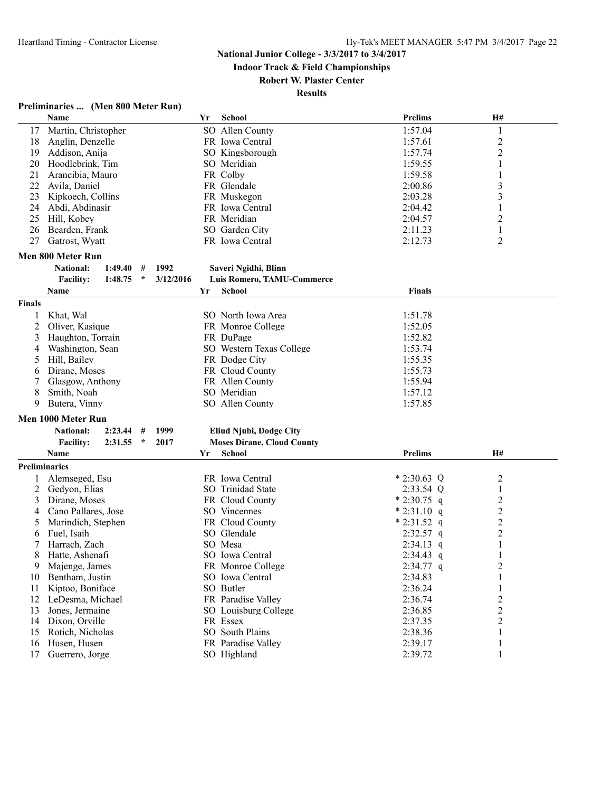**Indoor Track & Field Championships**

#### **Robert W. Plaster Center**

**Results**

#### **Preliminaries ... (Men 800 Meter Run)**

|               | <b>Name</b>                  |         |           | Yr | School                            | Prelims        | H#             |  |
|---------------|------------------------------|---------|-----------|----|-----------------------------------|----------------|----------------|--|
| 17            | Martin, Christopher          |         |           |    | SO Allen County                   | 1:57.04        | $\mathbf{1}$   |  |
| 18            | Anglin, Denzelle             |         |           |    | FR Iowa Central                   | 1:57.61        | $\overline{c}$ |  |
| 19            | Addison, Anija               |         |           |    | SO Kingsborough                   | 1:57.74        | 2              |  |
| 20            | Hoodlebrink, Tim             |         |           |    | SO Meridian                       | 1:59.55        | 1              |  |
| 21            | Arancibia, Mauro             |         |           |    | FR Colby                          | 1:59.58        | 1              |  |
| 22            | Avila, Daniel                |         |           |    | FR Glendale                       | 2:00.86        | $\mathfrak{Z}$ |  |
| 23            | Kipkoech, Collins            |         |           |    | FR Muskegon                       | 2:03.28        | 3              |  |
| 24            | Abdi, Abdinasir              |         |           |    | FR Iowa Central                   | 2:04.42        | 1              |  |
| 25            | Hill, Kobey                  |         |           |    | FR Meridian                       | 2:04.57        | 2              |  |
| 26            | Bearden, Frank               |         |           |    | SO Garden City                    | 2:11.23        | 1              |  |
| 27            | Gatrost, Wyatt               |         |           |    | FR Iowa Central                   | 2:12.73        | 2              |  |
|               |                              |         |           |    |                                   |                |                |  |
|               | <b>Men 800 Meter Run</b>     |         |           |    |                                   |                |                |  |
|               | 1:49.40<br><b>National:</b>  | #       | 1992      |    | Saveri Ngidhi, Blinn              |                |                |  |
|               | <b>Facility:</b><br>1:48.75  | $\star$ | 3/12/2016 |    | Luis Romero, TAMU-Commerce        |                |                |  |
|               | Name                         |         |           | Yr | <b>School</b>                     | <b>Finals</b>  |                |  |
| <b>Finals</b> |                              |         |           |    |                                   |                |                |  |
| 1             | Khat, Wal                    |         |           |    | SO North Iowa Area                | 1:51.78        |                |  |
| 2             | Oliver, Kasique              |         |           |    | FR Monroe College                 | 1:52.05        |                |  |
| 3             | Haughton, Torrain            |         |           |    | FR DuPage                         | 1:52.82        |                |  |
| 4             | Washington, Sean             |         |           |    | SO Western Texas College          | 1:53.74        |                |  |
| 5             | Hill, Bailey                 |         |           |    | FR Dodge City                     | 1:55.35        |                |  |
| 6             | Dirane, Moses                |         |           |    | FR Cloud County                   | 1:55.73        |                |  |
| 7             | Glasgow, Anthony             |         |           |    | FR Allen County                   | 1:55.94        |                |  |
|               |                              |         |           |    | SO Meridian                       |                |                |  |
| 8             | Smith, Noah<br>Butera, Vinny |         |           |    |                                   | 1:57.12        |                |  |
| 9             |                              |         |           |    | SO Allen County                   | 1:57.85        |                |  |
|               | Men 1000 Meter Run           |         |           |    |                                   |                |                |  |
|               | 2:23.44<br><b>National:</b>  | #       | 1999      |    | <b>Eliud Njubi, Dodge City</b>    |                |                |  |
|               | 2:31.55<br><b>Facility:</b>  | $\star$ | 2017      |    | <b>Moses Dirane, Cloud County</b> |                |                |  |
|               | Name                         |         |           | Yr | School                            | <b>Prelims</b> | H#             |  |
|               | <b>Preliminaries</b>         |         |           |    |                                   |                |                |  |
| 1             | Alemseged, Esu               |         |           |    | FR Iowa Central                   | $*2:30.63$ Q   | $\overline{c}$ |  |
| 2             | Gedyon, Elias                |         |           |    | SO Trinidad State                 | $2:33.54$ Q    | 1              |  |
| 3             | Dirane, Moses                |         |           |    | FR Cloud County                   | $*2:30.75$ q   | $\overline{c}$ |  |
| 4             | Cano Pallares, Jose          |         |           |    | SO Vincennes                      | $*2:31.10 q$   | $\overline{c}$ |  |
| 5             | Marindich, Stephen           |         |           |    | FR Cloud County                   | $*2:31.52$ q   | $\overline{c}$ |  |
| 6             | Fuel, Isaih                  |         |           |    | SO Glendale                       | $2:32.57$ q    | $\overline{c}$ |  |
| 7             | Harrach, Zach                |         |           |    | SO Mesa                           | $2:34.13$ q    | 1              |  |
| 8             | Hatte, Ashenafi              |         |           |    | SO Iowa Central                   | $2:34.43$ q    | 1              |  |
| 9             | Majenge, James               |         |           |    | FR Monroe College                 | $2:34.77$ q    | 2              |  |
| 10            | Bentham, Justin              |         |           |    | SO Iowa Central                   | 2:34.83        | 1              |  |
| 11            | Kiptoo, Boniface             |         |           |    | SO Butler                         | 2:36.24        | 1              |  |
| 12            | LeDesma, Michael             |         |           |    | FR Paradise Valley                | 2:36.74        | $\overline{c}$ |  |
| 13            | Jones, Jermaine              |         |           |    | SO Louisburg College              | 2:36.85        | $\overline{c}$ |  |
| 14            | Dixon, Orville               |         |           |    | FR Essex                          | 2:37.35        | $\overline{c}$ |  |
| 15            | Rotich, Nicholas             |         |           |    | SO South Plains                   | 2:38.36        |                |  |
| 16            | Husen, Husen                 |         |           |    | FR Paradise Valley                | 2:39.17        | 1              |  |
| 17            |                              |         |           |    | SO Highland                       |                | 1              |  |
|               | Guerrero, Jorge              |         |           |    |                                   | 2:39.72        |                |  |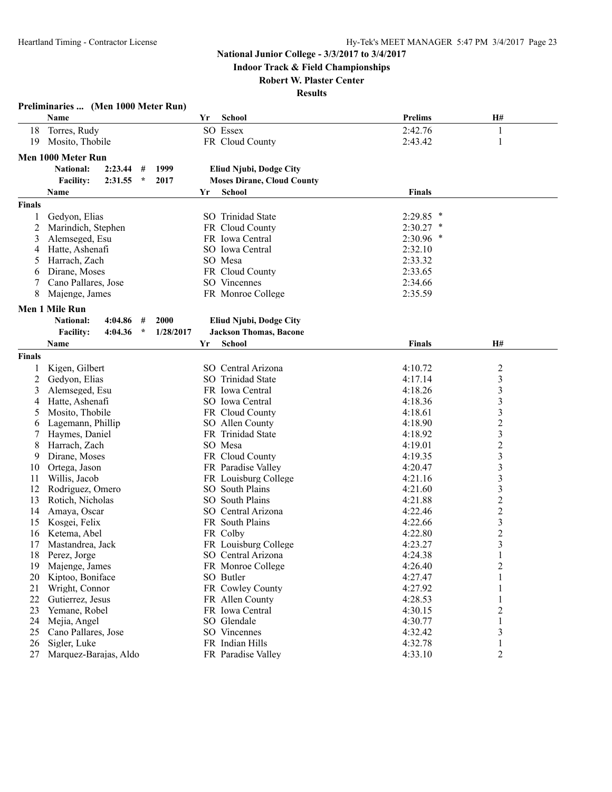**Indoor Track & Field Championships**

#### **Robert W. Plaster Center**

|               | Preliminaries  (Men 1000 Meter Run)    |           |    |                                    |                    |                  |  |
|---------------|----------------------------------------|-----------|----|------------------------------------|--------------------|------------------|--|
|               | Name                                   |           | Yr | School                             | <b>Prelims</b>     | Н#               |  |
| 18            | Torres, Rudy                           |           |    | SO Essex                           | 2:42.76            | $\mathbf{1}$     |  |
| 19            | Mosito, Thobile                        |           |    | FR Cloud County                    | 2:43.42            | 1                |  |
|               | Men 1000 Meter Run                     |           |    |                                    |                    |                  |  |
|               | <b>National:</b><br>2:23.44<br>#       | 1999      |    | <b>Eliud Njubi, Dodge City</b>     |                    |                  |  |
|               | $\star$<br><b>Facility:</b><br>2:31.55 | 2017      |    | <b>Moses Dirane, Cloud County</b>  |                    |                  |  |
|               | Name                                   |           | Yr | <b>School</b>                      | <b>Finals</b>      |                  |  |
|               |                                        |           |    |                                    |                    |                  |  |
| <b>Finals</b> |                                        |           |    |                                    |                    |                  |  |
|               | Gedyon, Elias                          |           |    | SO Trinidad State                  | $2:29.85$ *        |                  |  |
| 2             | Marindich, Stephen                     |           |    | FR Cloud County<br>FR Iowa Central | $2:30.27$ *        |                  |  |
| 3             | Alemseged, Esu                         |           |    | SO Iowa Central                    | $2:30.96$ *        |                  |  |
| 4             | Hatte, Ashenafi                        |           |    | SO Mesa                            | 2:32.10            |                  |  |
| 5             | Harrach, Zach<br>Dirane, Moses         |           |    | FR Cloud County                    | 2:33.32<br>2:33.65 |                  |  |
| 6<br>7        |                                        |           |    | SO Vincennes                       | 2:34.66            |                  |  |
| 8             | Cano Pallares, Jose<br>Majenge, James  |           |    | FR Monroe College                  | 2:35.59            |                  |  |
|               |                                        |           |    |                                    |                    |                  |  |
|               | Men 1 Mile Run                         |           |    |                                    |                    |                  |  |
|               | 4:04.86<br><b>National:</b><br>#       | 2000      |    | Eliud Njubi, Dodge City            |                    |                  |  |
|               | 4:04.36<br><b>Facility:</b><br>$\star$ | 1/28/2017 |    | <b>Jackson Thomas, Bacone</b>      |                    |                  |  |
|               | Name                                   |           | Yr | <b>School</b>                      | <b>Finals</b>      | H#               |  |
| <b>Finals</b> |                                        |           |    |                                    |                    |                  |  |
| 1             | Kigen, Gilbert                         |           |    | SO Central Arizona                 | 4:10.72            | $\overline{c}$   |  |
| 2             | Gedyon, Elias                          |           |    | SO Trinidad State                  | 4:17.14            | 3                |  |
| 3             | Alemseged, Esu                         |           |    | FR Iowa Central                    | 4:18.26            | 3                |  |
| 4             | Hatte, Ashenafi                        |           |    | SO Iowa Central                    | 4:18.36            | 3                |  |
| 5             | Mosito, Thobile                        |           |    | FR Cloud County                    | 4:18.61            | 3                |  |
| 6             | Lagemann, Phillip                      |           |    | SO Allen County                    | 4:18.90            | $\overline{c}$   |  |
|               | Haymes, Daniel                         |           |    | FR Trinidad State                  | 4:18.92            | 3                |  |
| 8             | Harrach, Zach                          |           |    | SO Mesa                            | 4:19.01            | $\boldsymbol{2}$ |  |
| 9             | Dirane, Moses                          |           |    | FR Cloud County                    | 4:19.35            | 3                |  |
| 10            | Ortega, Jason                          |           |    | FR Paradise Valley                 | 4:20.47            | 3                |  |
| 11            | Willis, Jacob                          |           |    | FR Louisburg College               | 4:21.16            | 3                |  |
| 12            | Rodriguez, Omero                       |           |    | SO South Plains                    | 4:21.60            | $\mathfrak{Z}$   |  |
| 13            | Rotich, Nicholas                       |           |    | SO South Plains                    | 4:21.88            | $\mathbf{2}$     |  |
| 14            | Amaya, Oscar                           |           |    | SO Central Arizona                 | 4:22.46            | $\overline{2}$   |  |
| 15            | Kosgei, Felix                          |           |    | FR South Plains                    | 4:22.66            | 3                |  |
| 16            | Ketema, Abel                           |           |    | FR Colby                           | 4:22.80            | $\overline{c}$   |  |
| 17            | Mastandrea, Jack                       |           |    | FR Louisburg College               | 4:23.27            | 3                |  |
| 18            | Perez, Jorge                           |           |    | SO Central Arizona                 | 4:24.38            | $\mathbf{I}$     |  |
| 19            | Majenge, James                         |           |    | FR Monroe College                  | 4:26.40            | 2                |  |
| 20            | Kiptoo, Boniface                       |           |    | SO Butler                          | 4:27.47            | 1                |  |
| 21            | Wright, Connor                         |           |    | FR Cowley County                   | 4:27.92            | 1                |  |
| 22            | Gutierrez, Jesus                       |           |    | FR Allen County                    | 4:28.53            | 1                |  |
| 23            | Yemane, Robel                          |           |    | FR Iowa Central                    | 4:30.15            | 2                |  |
| 24            | Mejia, Angel                           |           |    | SO Glendale                        | 4:30.77            |                  |  |
| 25            | Cano Pallares, Jose                    |           |    | SO Vincennes                       | 4:32.42            | 3                |  |
| 26            | Sigler, Luke                           |           |    | FR Indian Hills                    | 4:32.78            | 1                |  |
| 27            | Marquez-Barajas, Aldo                  |           |    | FR Paradise Valley                 | 4:33.10            | 2                |  |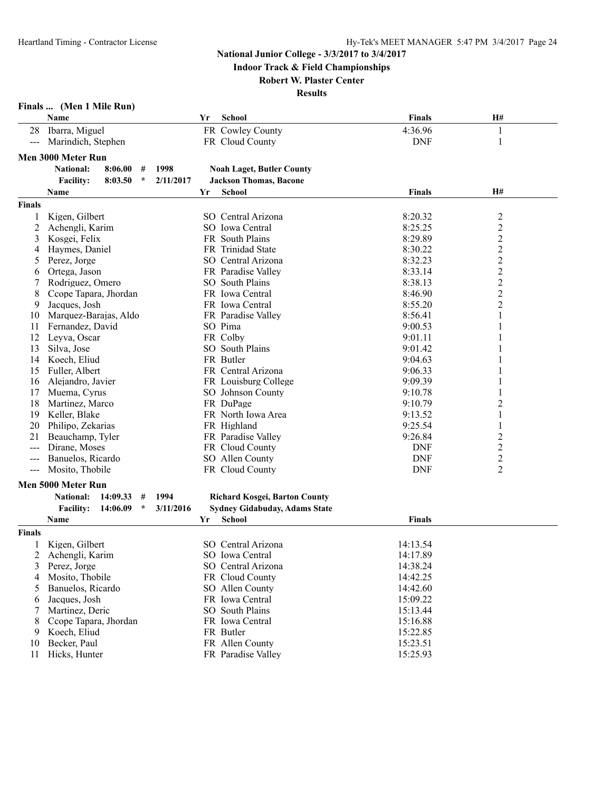**Indoor Track & Field Championships**

#### **Robert W. Plaster Center**

| Finals |  |  | (Men 1 Mile Run) |
|--------|--|--|------------------|
|--------|--|--|------------------|

|                      | Name                                      | <b>School</b><br>Yr                        | <b>Finals</b> | H#                      |  |
|----------------------|-------------------------------------------|--------------------------------------------|---------------|-------------------------|--|
| 28                   | Ibarra, Miguel                            | FR Cowley County                           | 4:36.96       | 1                       |  |
| $---$                | Marindich, Stephen                        | FR Cloud County                            | <b>DNF</b>    | 1                       |  |
|                      | Men 3000 Meter Run                        |                                            |               |                         |  |
|                      | <b>National:</b><br>8:06.00<br>1998<br>#  | <b>Noah Laget, Butler County</b>           |               |                         |  |
|                      | $\star$<br><b>Facility:</b><br>8:03.50    | 2/11/2017<br><b>Jackson Thomas, Bacone</b> |               |                         |  |
|                      | Name                                      | <b>School</b><br>Yr                        | <b>Finals</b> | <b>H#</b>               |  |
| <b>Finals</b>        |                                           |                                            |               |                         |  |
|                      |                                           |                                            |               |                         |  |
|                      | Kigen, Gilbert                            | SO Central Arizona                         | 8:20.32       | 2                       |  |
| 2                    | Achengli, Karim                           | SO Iowa Central                            | 8:25.25       | $\boldsymbol{2}$        |  |
| 3                    | Kosgei, Felix                             | FR South Plains                            | 8:29.89       | $\overline{c}$          |  |
| 4                    | Haymes, Daniel                            | FR Trinidad State                          | 8:30.22       | $\overline{\mathbf{c}}$ |  |
| 5                    | Perez, Jorge                              | SO Central Arizona                         | 8:32.23       | $\overline{c}$          |  |
| 6                    | Ortega, Jason                             | FR Paradise Valley                         | 8:33.14       | $\overline{c}$          |  |
|                      | Rodriguez, Omero                          | SO South Plains                            | 8:38.13       | $\overline{c}$          |  |
| 8                    | Ccope Tapara, Jhordan                     | FR Iowa Central                            | 8:46.90       | $\overline{c}$          |  |
| 9                    | Jacques, Josh                             | FR Iowa Central                            | 8:55.20       | $\overline{c}$          |  |
| 10                   | Marquez-Barajas, Aldo                     | FR Paradise Valley                         | 8:56.41       | 1                       |  |
| 11                   | Fernandez, David                          | SO Pima                                    | 9:00.53       |                         |  |
| 12                   | Leyva, Oscar                              | FR Colby                                   | 9:01.11       |                         |  |
| 13                   | Silva, Jose                               | SO South Plains                            | 9:01.42       | 1                       |  |
| 14                   | Koech, Eliud                              | FR Butler                                  | 9:04.63       | 1                       |  |
| 15                   | Fuller, Albert                            | FR Central Arizona                         | 9:06.33       |                         |  |
| 16                   | Alejandro, Javier                         | FR Louisburg College                       | 9:09.39       | 1                       |  |
| 17                   | Muema, Cyrus                              | SO Johnson County                          | 9:10.78       |                         |  |
| 18                   | Martinez, Marco                           | FR DuPage                                  | 9:10.79       | $\overline{\mathbf{c}}$ |  |
| 19                   | Keller, Blake                             | FR North Iowa Area                         | 9:13.52       | 1                       |  |
| 20                   | Philipo, Zekarias                         | FR Highland                                | 9:25.54       | $\mathbf{1}$            |  |
| 21                   | Beauchamp, Tyler                          | FR Paradise Valley                         | 9:26.84       | $\overline{\mathbf{c}}$ |  |
| $---$                | Dirane, Moses                             | FR Cloud County                            | <b>DNF</b>    | 2                       |  |
| $\sim$ $\sim$ $\sim$ | Banuelos, Ricardo                         | SO Allen County                            | <b>DNF</b>    | $\overline{c}$          |  |
| $\qquad \qquad - -$  | Mosito, Thobile                           | FR Cloud County                            | <b>DNF</b>    | 2                       |  |
|                      | Men 5000 Meter Run                        |                                            |               |                         |  |
|                      | 14:09.33<br>1994<br><b>National:</b><br># | <b>Richard Kosgei, Barton County</b>       |               |                         |  |
|                      | <b>Facility:</b><br>14:06.09<br>$\star$   | Sydney Gidabuday, Adams State<br>3/11/2016 |               |                         |  |
|                      | Name                                      | Yr<br>School                               | Finals        |                         |  |
| <b>Finals</b>        |                                           |                                            |               |                         |  |
|                      |                                           | SO Central Arizona                         | 14:13.54      |                         |  |
|                      | Kigen, Gilbert                            |                                            |               |                         |  |
| 2                    | Achengli, Karim                           | SO Iowa Central                            | 14:17.89      |                         |  |
| 3                    | Perez, Jorge                              | SO Central Arizona                         | 14:38.24      |                         |  |
| 4                    | Mosito, Thobile                           | FR Cloud County                            | 14:42.25      |                         |  |
| 5                    | Banuelos, Ricardo                         | SO Allen County                            | 14:42.60      |                         |  |
| 6                    | Jacques, Josh                             | FR Iowa Central                            | 15:09.22      |                         |  |
| 7                    | Martinez, Deric                           | SO South Plains                            | 15:13.44      |                         |  |
| 8                    | Ccope Tapara, Jhordan                     | FR Iowa Central                            | 15:16.88      |                         |  |
| 9                    | Koech, Eliud                              | FR Butler                                  | 15:22.85      |                         |  |
| 10                   | Becker, Paul                              | FR Allen County                            | 15:23.51      |                         |  |
| 11                   | Hicks, Hunter                             | FR Paradise Valley                         | 15:25.93      |                         |  |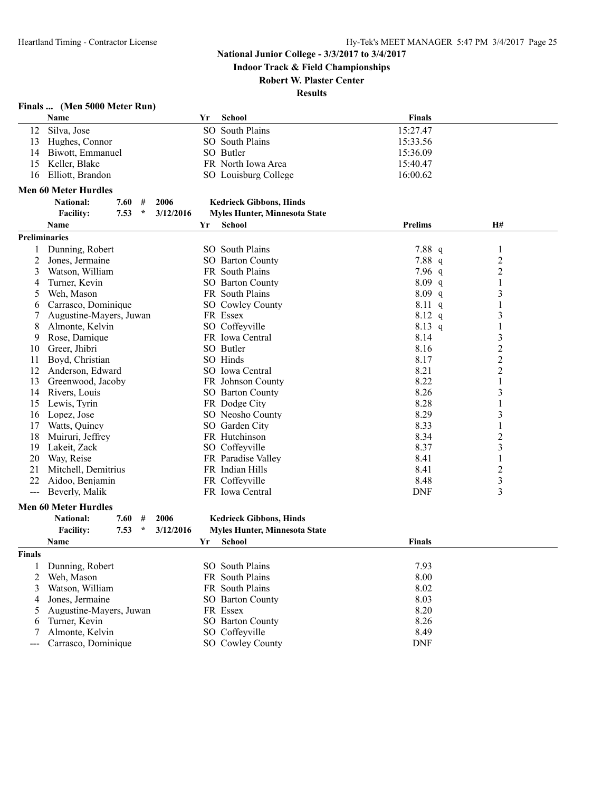**Indoor Track & Field Championships**

**Robert W. Plaster Center**

**Results**

#### **Finals ... (Men 5000 Meter Run)**

|                      | Name                                |           | Yr | <b>School</b>                        | <b>Finals</b>  |                |  |
|----------------------|-------------------------------------|-----------|----|--------------------------------------|----------------|----------------|--|
| 12                   | Silva, Jose                         |           |    | SO South Plains                      | 15:27.47       |                |  |
| 13                   | Hughes, Connor                      |           |    | SO South Plains                      | 15:33.56       |                |  |
| 14                   | Biwott, Emmanuel                    |           |    | SO Butler                            | 15:36.09       |                |  |
| 15                   | Keller, Blake                       |           |    | FR North Iowa Area                   | 15:40.47       |                |  |
| 16                   | Elliott, Brandon                    |           |    | SO Louisburg College                 | 16:00.62       |                |  |
|                      |                                     |           |    |                                      |                |                |  |
|                      | <b>Men 60 Meter Hurdles</b>         |           |    |                                      |                |                |  |
|                      | 7.60<br><b>National:</b><br>#       | 2006      |    | <b>Kedrieck Gibbons, Hinds</b>       |                |                |  |
|                      | 7.53<br>$\star$<br><b>Facility:</b> | 3/12/2016 |    | <b>Myles Hunter, Minnesota State</b> |                |                |  |
|                      | Name                                |           | Yr | <b>School</b>                        | <b>Prelims</b> | H#             |  |
| <b>Preliminaries</b> |                                     |           |    |                                      |                |                |  |
| 1                    | Dunning, Robert                     |           |    | SO South Plains                      | 7.88 q         | 1              |  |
| 2                    | Jones, Jermaine                     |           |    | <b>SO</b> Barton County              | 7.88 q         | 2              |  |
| 3                    | Watson, William                     |           |    | FR South Plains                      | 7.96 $q$       | $\overline{c}$ |  |
| 4                    | Turner, Kevin                       |           |    | SO Barton County                     | $8.09$ q       | 1              |  |
| 5                    | Weh, Mason                          |           |    | FR South Plains                      | $8.09$ q       | 3              |  |
| 6                    | Carrasco, Dominique                 |           |    | SO Cowley County                     | $8.11\ q$      | 1              |  |
| 7                    | Augustine-Mayers, Juwan             |           |    | FR Essex                             | $8.12$ q       | 3              |  |
| 8                    | Almonte, Kelvin                     |           |    | SO Coffeyville                       | $8.13$ q       | 1              |  |
| 9                    | Rose, Damique                       |           |    | FR Iowa Central                      | 8.14           | 3              |  |
| 10                   | Greer, Jhibri                       |           |    | SO Butler                            | 8.16           | $\overline{c}$ |  |
| 11                   | Boyd, Christian                     |           |    | SO Hinds                             | 8.17           | $\overline{c}$ |  |
| 12                   | Anderson, Edward                    |           |    | SO Iowa Central                      | 8.21           | $\overline{c}$ |  |
| 13                   | Greenwood, Jacoby                   |           |    | FR Johnson County                    | 8.22           | 1              |  |
| 14                   | Rivers, Louis                       |           |    | SO Barton County                     | 8.26           | 3              |  |
| 15                   | Lewis, Tyrin                        |           |    | FR Dodge City                        | 8.28           | 1              |  |
| 16                   | Lopez, Jose                         |           |    | SO Neosho County                     | 8.29           | 3              |  |
| 17                   | Watts, Quincy                       |           |    | SO Garden City                       | 8.33           | 1              |  |
| 18                   | Muiruri, Jeffrey                    |           |    | FR Hutchinson                        | 8.34           | $\overline{c}$ |  |
| 19                   | Lakeit, Zack                        |           |    | SO Coffeyville                       | 8.37           | 3              |  |
| 20                   | Way, Reise                          |           |    | FR Paradise Valley                   | 8.41           | 1              |  |
| 21                   | Mitchell, Demitrius                 |           |    | FR Indian Hills                      | 8.41           | $\overline{2}$ |  |
| 22                   | Aidoo, Benjamin                     |           |    | FR Coffeyville                       | 8.48           | 3              |  |
| $---$                | Beverly, Malik                      |           |    | FR Iowa Central                      | <b>DNF</b>     | 3              |  |
|                      | <b>Men 60 Meter Hurdles</b>         |           |    |                                      |                |                |  |
|                      | <b>National:</b><br>7.60<br>#       | 2006      |    | <b>Kedrieck Gibbons, Hinds</b>       |                |                |  |
|                      | <b>Facility:</b><br>$\star$<br>7.53 | 3/12/2016 |    | <b>Myles Hunter, Minnesota State</b> |                |                |  |
|                      | Name                                |           | Yr | School                               | <b>Finals</b>  |                |  |
|                      |                                     |           |    |                                      |                |                |  |
| <b>Finals</b>        |                                     |           |    |                                      |                |                |  |
|                      | Dunning, Robert                     |           |    | SO South Plains                      | 7.93           |                |  |
| 2                    | Weh, Mason                          |           |    | FR South Plains                      | 8.00           |                |  |
| 3                    | Watson, William                     |           |    | FR South Plains                      | 8.02           |                |  |
| 4                    | Jones, Jermaine                     |           |    | SO Barton County                     | 8.03           |                |  |
| 5                    | Augustine-Mayers, Juwan             |           |    | FR Essex                             | 8.20           |                |  |
| 6                    | Turner, Kevin                       |           |    | SO Barton County                     | 8.26           |                |  |
| 7                    | Almonte, Kelvin                     |           |    | SO Coffeyville                       | 8.49           |                |  |
| $\qquad \qquad -$    | Carrasco, Dominique                 |           |    | SO Cowley County                     | <b>DNF</b>     |                |  |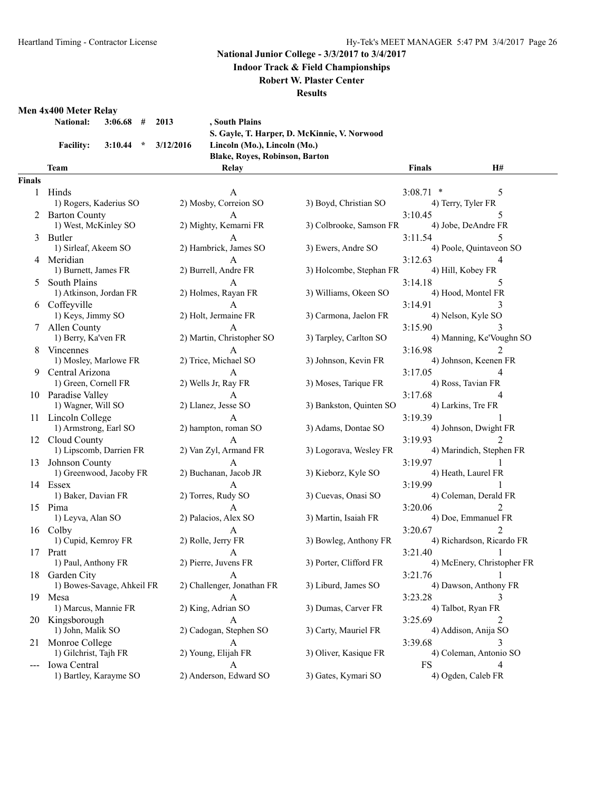**Indoor Track & Field Championships**

#### **Robert W. Plaster Center**

#### **Results**

#### **Men 4x400 Meter Relay**

| National: 3:06.68 # 2013 |  |               |  |
|--------------------------|--|---------------|--|
| <b>Facility:</b> 3:10.44 |  | $*$ 3/12/2016 |  |

**National: 3:06.68 # 2013 , South Plains S. Gayle, T. Harper, D. McKinnie, V. Norwood Facility: 3:10.44 \* 3/12/2016 Lincoln (Mo.), Lincoln (Mo.)**

**Blake, Royes, Robinson, Barton**

**Team Relay Finals H#**

#### **Finals**

| іаіз |                                 |                            |                         |                                        |
|------|---------------------------------|----------------------------|-------------------------|----------------------------------------|
| 1    | Hinds<br>1) Rogers, Kaderius SO | А<br>2) Mosby, Correion SO | 3) Boyd, Christian SO   | 5<br>$3:08.71$ *<br>4) Terry, Tyler FR |
|      | 2 Barton County                 | А                          |                         | 3:10.45<br>5                           |
|      |                                 |                            |                         |                                        |
|      | 1) West, McKinley SO            | 2) Mighty, Kemarni FR      | 3) Colbrooke, Samson FR | 4) Jobe, DeAndre FR                    |
|      | 3 Butler                        | А                          |                         | 3:11.54<br>5                           |
|      | 1) Sirleaf, Akeem SO            | 2) Hambrick, James SO      | 3) Ewers, Andre SO      | 4) Poole, Quintaveon SO                |
| 4    | Meridian                        | А                          |                         | 3:12.63<br>4                           |
|      | 1) Burnett, James FR            | 2) Burrell, Andre FR       | 3) Holcombe, Stephan FR | 4) Hill, Kobey FR                      |
| 5.   | South Plains                    | A                          |                         | 3:14.18<br>5                           |
|      | 1) Atkinson, Jordan FR          | 2) Holmes, Rayan FR        | 3) Williams, Okeen SO   | 4) Hood, Montel FR                     |
|      | 6 Coffeyville                   | А                          |                         | 3:14.91<br>3                           |
|      | 1) Keys, Jimmy SO               | 2) Holt, Jermaine FR       | 3) Carmona, Jaelon FR   | 4) Nelson, Kyle SO                     |
|      |                                 |                            |                         |                                        |
| 7    | Allen County                    | A                          |                         | 3:15.90<br>3                           |
|      | 1) Berry, Ka'ven FR             | 2) Martin, Christopher SO  | 3) Tarpley, Carlton SO  | 4) Manning, Ke'Voughn SO               |
| 8.   | Vincennes                       | A                          |                         | 3:16.98                                |
|      | 1) Mosley, Marlowe FR           | 2) Trice, Michael SO       | 3) Johnson, Kevin FR    | 4) Johnson, Keenen FR                  |
| 9    | Central Arizona                 | A                          |                         | 3:17.05<br>4                           |
|      | 1) Green, Cornell FR            | 2) Wells Jr, Ray FR        | 3) Moses, Tarique FR    | 4) Ross, Tavian FR                     |
|      | 10 Paradise Valley              | A                          |                         | 3:17.68<br>4                           |
|      | 1) Wagner, Will SO              | 2) Llanez, Jesse SO        | 3) Bankston, Quinten SO | 4) Larkins, Tre FR                     |
|      | 11 Lincoln College              | А                          |                         | 3:19.39                                |
|      | 1) Armstrong, Earl SO           | 2) hampton, roman SO       | 3) Adams, Dontae SO     | 4) Johnson, Dwight FR                  |
|      | 12 Cloud County                 | A                          |                         | 3:19.93<br>2                           |
|      | 1) Lipscomb, Darrien FR         | 2) Van Zyl, Armand FR      | 3) Logorava, Wesley FR  | 4) Marindich, Stephen FR               |
|      | 13 Johnson County               | A                          |                         | 3:19.97                                |
|      | 1) Greenwood, Jacoby FR         | 2) Buchanan, Jacob JR      | 3) Kieborz, Kyle SO     | 4) Heath, Laurel FR                    |
|      | 14 Essex                        | А                          |                         | 3:19.99                                |
|      | 1) Baker, Davian FR             | 2) Torres, Rudy SO         | 3) Cuevas, Onasi SO     | 4) Coleman, Derald FR                  |
|      |                                 |                            |                         |                                        |
|      | 15 Pima                         | A                          |                         | 3:20.06<br>$\overline{2}$              |
|      | 1) Leyva, Alan SO               | 2) Palacios, Alex SO       | 3) Martin, Isaiah FR    | 4) Doe, Emmanuel FR                    |
|      | 16 Colby                        | А                          |                         | 3:20.67<br>2                           |
|      | 1) Cupid, Kemroy FR             | 2) Rolle, Jerry FR         | 3) Bowleg, Anthony FR   | 4) Richardson, Ricardo FR              |
| 17   | Pratt                           | A                          |                         | 3:21.40                                |
|      | 1) Paul, Anthony FR             | 2) Pierre, Juvens FR       | 3) Porter, Clifford FR  | 4) McEnery, Christopher FR             |
| 18   | Garden City                     | A                          |                         | 3:21.76                                |
|      | 1) Bowes-Savage, Ahkeil FR      | 2) Challenger, Jonathan FR | 3) Liburd, James SO     | 4) Dawson, Anthony FR                  |
|      | 19 Mesa                         | А                          |                         | 3:23.28<br>3                           |
|      | 1) Marcus, Mannie FR            | 2) King, Adrian SO         | 3) Dumas, Carver FR     | 4) Talbot, Ryan FR                     |
| 20   | Kingsborough                    | А                          |                         | 3:25.69<br>2                           |
|      | 1) John, Malik SO               | 2) Cadogan, Stephen SO     | 3) Carty, Mauriel FR    | 4) Addison, Anija SO                   |
|      | 21 Monroe College               | A                          |                         | 3:39.68<br>3                           |
|      | 1) Gilchrist, Tajh FR           | 2) Young, Elijah FR        | 3) Oliver, Kasique FR   | 4) Coleman, Antonio SO                 |
|      |                                 |                            |                         |                                        |
|      | Iowa Central                    | А                          |                         | FS<br>4                                |
|      | 1) Bartley, Karayme SO          | 2) Anderson, Edward SO     | 3) Gates, Kymari SO     | 4) Ogden, Caleb FR                     |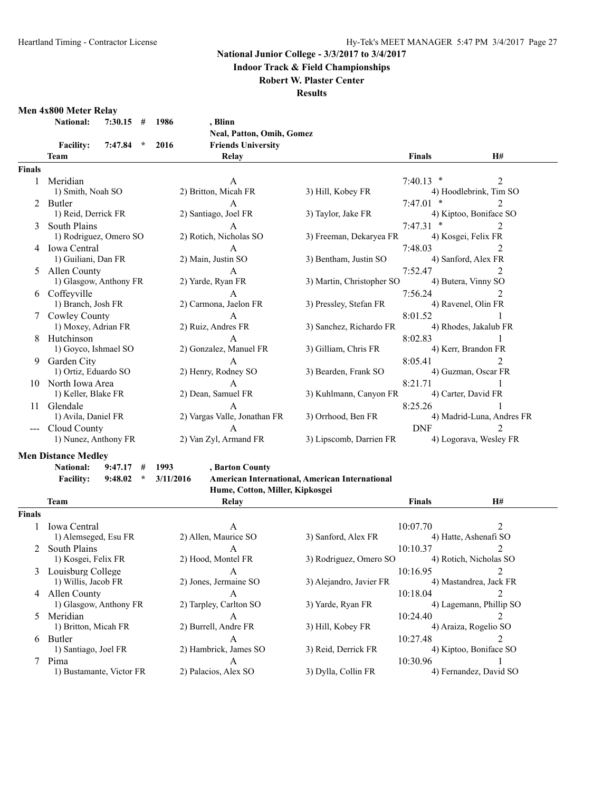**Indoor Track & Field Championships**

#### **Robert W. Plaster Center**

#### **Results**

#### **Men 4x800 Meter Relay**

|                | <b>National:</b>           | $7:30.15$ # |         | 1986 | , Blinn                      |                           |               |                        |                             |
|----------------|----------------------------|-------------|---------|------|------------------------------|---------------------------|---------------|------------------------|-----------------------------|
|                |                            |             |         |      | Neal, Patton, Omih, Gomez    |                           |               |                        |                             |
|                | <b>Facility:</b>           | 7:47.84     | $\star$ | 2016 | <b>Friends University</b>    |                           |               |                        |                             |
|                | <b>Team</b>                |             |         |      | Relay                        |                           | <b>Finals</b> |                        | <b>H#</b>                   |
| <b>Finals</b>  |                            |             |         |      |                              |                           |               |                        |                             |
|                | Meridian                   |             |         |      | A                            |                           | $7:40.13$ *   |                        | $\mathfrak{D}$              |
|                | 1) Smith, Noah SO          |             |         |      | 2) Britton, Micah FR         | 3) Hill, Kobey FR         |               |                        | 4) Hoodlebrink, Tim SO      |
| $\overline{2}$ | Butler                     |             |         |      | $\mathsf{A}$                 |                           | 7:47.01       |                        | $\mathcal{D}_{\mathcal{L}}$ |
|                | 1) Reid, Derrick FR        |             |         |      | 2) Santiago, Joel FR         | 3) Taylor, Jake FR        |               | 4) Kiptoo, Boniface SO |                             |
| 3              | South Plains               |             |         |      | $\mathsf{A}$                 |                           | 7:47.31       |                        | $\mathfrak{D}$              |
|                | 1) Rodriguez, Omero SO     |             |         |      | 2) Rotich, Nicholas SO       | 3) Freeman, Dekaryea FR   |               | 4) Kosgei, Felix FR    |                             |
| 4              | Iowa Central               |             |         |      | $\mathsf{A}$                 |                           | 7:48.03       |                        | $\mathfrak{D}$              |
|                | 1) Guiliani, Dan FR        |             |         |      | 2) Main, Justin SO           | 3) Bentham, Justin SO     |               | 4) Sanford, Alex FR    |                             |
| 5.             | Allen County               |             |         |      | $\mathsf{A}$                 |                           | 7:52.47       |                        | $\mathcal{L}$               |
|                | 1) Glasgow, Anthony FR     |             |         |      | 2) Yarde, Ryan FR            | 3) Martin, Christopher SO |               | 4) Butera, Vinny SO    |                             |
| 6              | Coffevville                |             |         |      | $\mathbf{A}$                 |                           | 7:56.24       |                        | $\mathfrak{D}$              |
|                | 1) Branch, Josh FR         |             |         |      | 2) Carmona, Jaelon FR        | 3) Pressley, Stefan FR    |               | 4) Ravenel, Olin FR    |                             |
|                | Cowley County              |             |         |      | $\mathsf{A}$                 |                           | 8:01.52       |                        |                             |
|                | 1) Moxey, Adrian FR        |             |         |      | 2) Ruiz, Andres FR           | 3) Sanchez, Richardo FR   |               | 4) Rhodes, Jakalub FR  |                             |
| 8              | Hutchinson                 |             |         |      | $\mathbf{A}$                 |                           | 8:02.83       |                        |                             |
|                | 1) Goyco, Ishmael SO       |             |         |      | 2) Gonzalez, Manuel FR       | 3) Gilliam, Chris FR      |               | 4) Kerr, Brandon FR    |                             |
|                | Garden City                |             |         |      |                              |                           | 8:05.41       |                        |                             |
|                | 1) Ortiz, Eduardo SO       |             |         |      | 2) Henry, Rodney SO          | 3) Bearden, Frank SO      |               | 4) Guzman, Oscar FR    |                             |
| 10             | North Iowa Area            |             |         |      | A                            |                           | 8:21.71       |                        |                             |
|                | 1) Keller, Blake FR        |             |         |      | 2) Dean, Samuel FR           | 3) Kuhlmann, Canyon FR    |               | 4) Carter, David FR    |                             |
| 11             | Glendale                   |             |         |      | $\mathsf{A}$                 |                           | 8:25.26       |                        |                             |
|                | 1) Avila, Daniel FR        |             |         |      | 2) Vargas Valle, Jonathan FR | 3) Orrhood, Ben FR        |               |                        | 4) Madrid-Luna, Andres FR   |
|                | Cloud County               |             |         |      | $\mathbf{A}$                 |                           | <b>DNF</b>    |                        | $\mathfrak{D}$              |
|                | 1) Nunez, Anthony FR       |             |         |      | 2) Van Zyl, Armand FR        | 3) Lipscomb, Darrien FR   |               |                        | 4) Logorava, Wesley FR      |
|                | <b>Men Distance Medley</b> |             |         |      |                              |                           |               |                        |                             |

| National:        | 9:47.17 | # | 1993      | , Barton County        |
|------------------|---------|---|-----------|------------------------|
| <b>Facility:</b> | 9:48.02 |   | 3/11/2016 | <b>American Interi</b> |

|                             | Hume, Cotton, Miller, Kipkosgei |                         |               |                         |
|-----------------------------|---------------------------------|-------------------------|---------------|-------------------------|
| Team                        | Relay                           |                         | <b>Finals</b> | H#                      |
| <b>Finals</b>               |                                 |                         |               |                         |
| Iowa Central                | A                               |                         | 10:07.70      |                         |
| 1) Alemseged, Esu FR        | 2) Allen, Maurice SO            | 3) Sanford, Alex FR     |               | 4) Hatte, Ashenafi SO   |
| South Plains<br>$2^{\circ}$ | A                               |                         | 10:10.37      |                         |
| 1) Kosgei, Felix FR         | 2) Hood, Montel FR              | 3) Rodriguez, Omero SO  |               | 4) Rotich, Nicholas SO  |
| Louisburg College           | A                               |                         | 10:16.95      |                         |
| 1) Willis, Jacob FR         | 2) Jones, Jermaine SO           | 3) Alejandro, Javier FR |               | 4) Mastandrea, Jack FR  |
| Allen County<br>4           | A                               |                         | 10:18.04      |                         |
| 1) Glasgow, Anthony FR      | 2) Tarpley, Carlton SO          | 3) Yarde, Ryan FR       |               | 4) Lagemann, Phillip SO |
| Meridian<br>.5              | A                               |                         | 10:24.40      |                         |
| 1) Britton, Micah FR        | 2) Burrell, Andre FR            | 3) Hill, Kobey FR       |               | 4) Araiza, Rogelio SO   |
| <b>Butler</b><br>6          | A                               |                         | 10:27.48      |                         |
| 1) Santiago, Joel FR        | 2) Hambrick, James SO           | 3) Reid, Derrick FR     |               | 4) Kiptoo, Boniface SO  |
| Pima                        | A                               |                         | 10:30.96      |                         |
| 1) Bustamante, Victor FR    | 2) Palacios, Alex SO            | 3) Dylla, Collin FR     |               | 4) Fernandez, David SO  |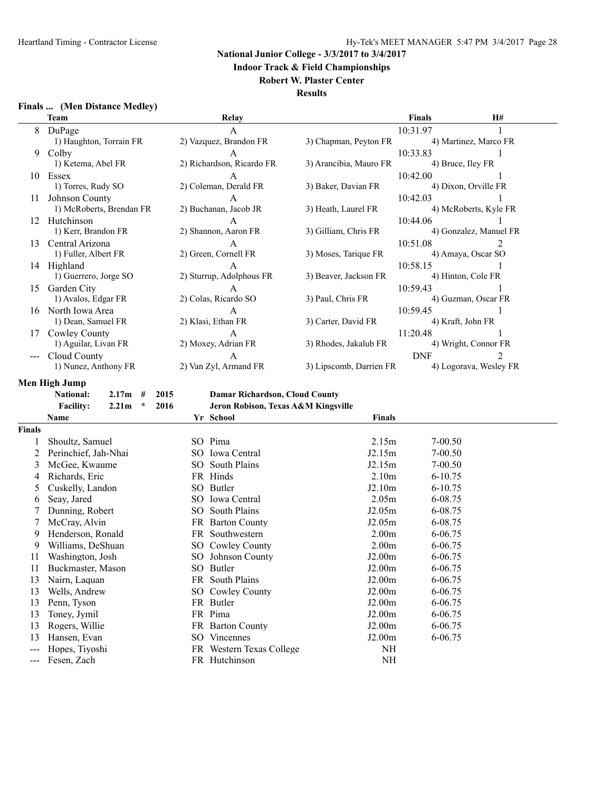**Indoor Track & Field Championships**

# **Robert W. Plaster Center**

#### **Results**

|      | Finals  (Men Distance Medley) |  |
|------|-------------------------------|--|
| Team |                               |  |

|    | Team                     | Relay                     |                         | Finals            | <b>H#</b>              |
|----|--------------------------|---------------------------|-------------------------|-------------------|------------------------|
| 8  | DuPage                   | A                         |                         | 10:31.97          |                        |
|    | 1) Haughton, Torrain FR  | 2) Vazquez, Brandon FR    | 3) Chapman, Peyton FR   |                   | 4) Martinez, Marco FR  |
| 9  | Colby                    | $\mathsf{A}$              |                         | 10:33.83          |                        |
|    | 1) Ketema, Abel FR       | 2) Richardson, Ricardo FR | 3) Arancibia, Mauro FR  | 4) Bruce, Iley FR |                        |
| 10 | Essex                    | A                         |                         | 10:42.00          |                        |
|    | 1) Torres, Rudy SO       | 2) Coleman, Derald FR     | 3) Baker, Davian FR     |                   | 4) Dixon, Orville FR   |
| 11 | Johnson County           | A                         |                         | 10:42.03          |                        |
|    | 1) McRoberts, Brendan FR | 2) Buchanan, Jacob JR     | 3) Heath, Laurel FR     |                   | 4) McRoberts, Kyle FR  |
| 12 | Hutchinson               | A                         |                         | 10:44.06          |                        |
|    | 1) Kerr, Brandon FR      | 2) Shannon, Aaron FR      | 3) Gilliam, Chris FR    |                   | 4) Gonzalez, Manuel FR |
| 13 | Central Arizona          | A                         |                         | 10:51.08          | $\mathfrak{D}$         |
|    | 1) Fuller, Albert FR     | 2) Green, Cornell FR      | 3) Moses, Tarique FR    |                   | 4) Amaya, Oscar SO     |
| 14 | Highland                 |                           |                         | 10:58.15          |                        |
|    | 1) Guerrero, Jorge SO    | 2) Sturrup, Adolphous FR  | 3) Beaver, Jackson FR   |                   | 4) Hinton, Cole FR     |
| 15 | Garden City              | A                         |                         | 10:59.43          |                        |
|    | 1) Avalos, Edgar FR      | 2) Colas, Ricardo SO      | 3) Paul, Chris FR       |                   | 4) Guzman, Oscar FR    |
| 16 | North Iowa Area          | A                         |                         | 10:59.45          |                        |
|    | 1) Dean, Samuel FR       | 2) Klasi, Ethan FR        | 3) Carter, David FR     | 4) Kraft, John FR |                        |
| 17 | Cowley County            | A                         |                         | 11:20.48          |                        |
|    | 1) Aguilar, Livan FR     | 2) Moxey, Adrian FR       | 3) Rhodes, Jakalub FR   |                   | 4) Wright, Connor FR   |
|    | Cloud County             | A                         |                         | <b>DNF</b>        |                        |
|    | 1) Nunez, Anthony FR     | 2) Van Zyl, Armand FR     | 3) Lipscomb, Darrien FR |                   | 4) Logorava, Wesley FR |

#### **Men High Jump**

**National: 2.17m # 2015 Damar Richardson, Cloud County**

|                        | <b>Facility:</b><br>2.21 <sub>m</sub><br>$\star$<br>2016 |    | Jeron Robison, Texas A&M Kingsville |                    |             |
|------------------------|----------------------------------------------------------|----|-------------------------------------|--------------------|-------------|
|                        | Name                                                     |    | Yr School                           | <b>Finals</b>      |             |
| <b>Finals</b>          |                                                          |    |                                     |                    |             |
|                        | Shoultz, Samuel                                          |    | SO Pima                             | 2.15m              | $7 - 00.50$ |
| 2                      | Perinchief, Jah-Nhai                                     |    | SO Iowa Central                     | J2.15m             | $7 - 00.50$ |
| 3                      | McGee, Kwaume                                            |    | SO South Plains                     | J2.15m             | $7 - 00.50$ |
| 4                      | Richards, Eric                                           |    | FR Hinds                            | 2.10 <sub>m</sub>  | $6 - 10.75$ |
| $\mathcal{D}$          | Cuskelly, Landon                                         |    | SO Butler                           | J2.10m             | $6 - 10.75$ |
| 6                      | Seay, Jared                                              |    | SO Iowa Central                     | 2.05 <sub>m</sub>  | 6-08.75     |
|                        | Dunning, Robert                                          |    | SO South Plains                     | J2.05m             | 6-08.75     |
|                        | McCray, Alvin                                            |    | FR Barton County                    | J2.05m             | 6-08.75     |
| 9                      | Henderson, Ronald                                        |    | FR Southwestern                     | 2.00 <sub>m</sub>  | 6-06.75     |
| 9                      | Williams, DeShuan                                        |    | SO Cowley County                    | 2.00 <sub>m</sub>  | 6-06.75     |
| 11                     | Washington, Josh                                         | SO | Johnson County                      | J2.00 <sub>m</sub> | 6-06.75     |
| 11                     | Buckmaster, Mason                                        |    | SO Butler                           | J2.00 <sub>m</sub> | 6-06.75     |
| 13                     | Nairn, Laquan                                            |    | FR South Plains                     | J2.00 <sub>m</sub> | 6-06.75     |
| 13                     | Wells, Andrew                                            |    | SO Cowley County                    | J2.00 <sub>m</sub> | 6-06.75     |
| 13                     | Penn, Tyson                                              |    | FR Butler                           | J2.00m             | 6-06.75     |
| 13                     | Toney, Jymil                                             |    | FR Pima                             | J2.00 <sub>m</sub> | 6-06.75     |
| 13                     | Rogers, Willie                                           |    | FR Barton County                    | J2.00m             | 6-06.75     |
| 13                     | Hansen, Evan                                             |    | SO Vincennes                        | J2.00 <sub>m</sub> | 6-06.75     |
| $---$                  | Hopes, Tiyoshi                                           |    | FR Western Texas College            | NH                 |             |
| $\qquad \qquad \cdots$ | Fesen, Zach                                              |    | FR Hutchinson                       | NH                 |             |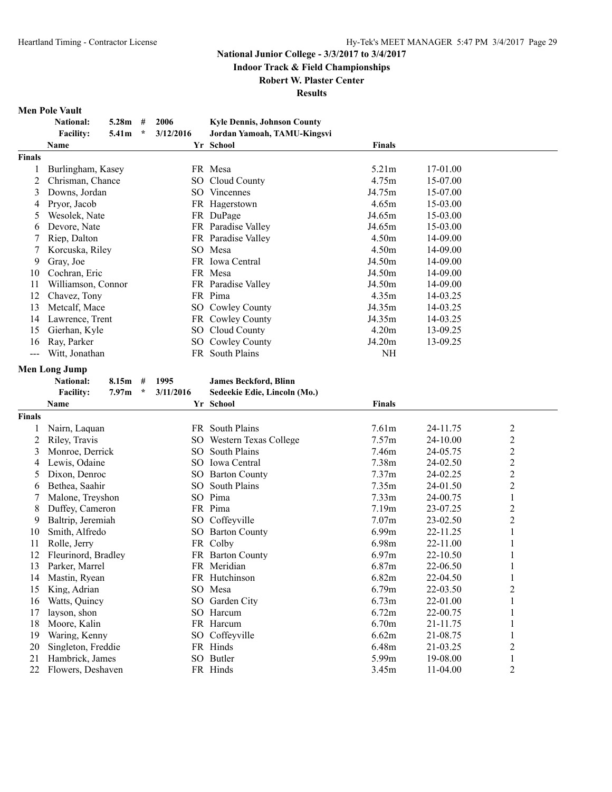**Indoor Track & Field Championships**

# **Robert W. Plaster Center**

**Results**

# **Men Pole Vault**<br>National: 5.28m # 2006

|        | <b>National:</b><br><b>Facility:</b> | 5.28m<br>5.41m    | #<br>$\star$ | 2006<br>3/12/2016 | <b>Kyle Dennis, Johnson County</b><br>Jordan Yamoah, TAMU-Kingsvi |                   |          |                                           |
|--------|--------------------------------------|-------------------|--------------|-------------------|-------------------------------------------------------------------|-------------------|----------|-------------------------------------------|
|        | Name                                 |                   |              |                   | Yr School                                                         | <b>Finals</b>     |          |                                           |
| Finals |                                      |                   |              |                   |                                                                   |                   |          |                                           |
|        | Burlingham, Kasey                    |                   |              |                   | FR Mesa                                                           | 5.21m             | 17-01.00 |                                           |
| 2      | Chrisman, Chance                     |                   |              |                   | SO Cloud County                                                   | 4.75m             | 15-07.00 |                                           |
| 3      | Downs, Jordan                        |                   |              |                   | SO Vincennes                                                      | J4.75m            | 15-07.00 |                                           |
| 4      | Pryor, Jacob                         |                   |              |                   | FR Hagerstown                                                     | 4.65m             | 15-03.00 |                                           |
| 5      | Wesolek, Nate                        |                   |              |                   | FR DuPage                                                         | J4.65m            | 15-03.00 |                                           |
| 6      | Devore, Nate                         |                   |              |                   | FR Paradise Valley                                                | J4.65m            | 15-03.00 |                                           |
| 7      | Riep, Dalton                         |                   |              |                   | FR Paradise Valley                                                | 4.50m             | 14-09.00 |                                           |
| 7      | Korcuska, Riley                      |                   |              |                   | SO Mesa                                                           | 4.50m             | 14-09.00 |                                           |
| 9      | Gray, Joe                            |                   |              |                   | FR Iowa Central                                                   | J4.50m            | 14-09.00 |                                           |
| 10     | Cochran, Eric                        |                   |              |                   | FR Mesa                                                           | J4.50m            | 14-09.00 |                                           |
| 11     | Williamson, Connor                   |                   |              |                   | FR Paradise Valley                                                | J4.50m            | 14-09.00 |                                           |
| 12     | Chavez, Tony                         |                   |              |                   | FR Pima                                                           | 4.35m             | 14-03.25 |                                           |
| 13     | Metcalf, Mace                        |                   |              |                   | SO Cowley County                                                  | J4.35m            | 14-03.25 |                                           |
| 14     | Lawrence, Trent                      |                   |              |                   | FR Cowley County                                                  | J4.35m            | 14-03.25 |                                           |
| 15     | Gierhan, Kyle                        |                   |              |                   | SO Cloud County                                                   | 4.20m             | 13-09.25 |                                           |
| 16     | Ray, Parker                          |                   |              |                   | SO Cowley County                                                  | J4.20m            | 13-09.25 |                                           |
| $---$  | Witt, Jonathan                       |                   |              |                   | FR South Plains                                                   | $\rm NH$          |          |                                           |
|        | <b>Men Long Jump</b>                 |                   |              |                   |                                                                   |                   |          |                                           |
|        | <b>National:</b>                     | 8.15m             | #            | 1995              | <b>James Beckford, Blinn</b>                                      |                   |          |                                           |
|        | <b>Facility:</b>                     | 7.97 <sub>m</sub> | $\star$      | 3/11/2016         | Sedeekie Edie, Lincoln (Mo.)                                      |                   |          |                                           |
|        | Name                                 |                   |              |                   | Yr School                                                         | <b>Finals</b>     |          |                                           |
| Finals |                                      |                   |              |                   |                                                                   |                   |          |                                           |
|        |                                      |                   |              |                   | FR South Plains                                                   | 7.61m             | 24-11.75 |                                           |
|        | Nairn, Laquan                        |                   |              |                   |                                                                   | 7.57m             |          | $\overline{\mathbf{c}}$<br>$\overline{c}$ |
| 2      | Riley, Travis                        |                   |              |                   | SO Western Texas College<br>SO South Plains                       | 7.46m             | 24-10.00 | $\overline{c}$                            |
| 3      | Monroe, Derrick                      |                   |              |                   |                                                                   |                   | 24-05.75 | $\overline{c}$                            |
| 4      | Lewis, Odaine                        |                   |              |                   | SO Iowa Central                                                   | 7.38m             | 24-02.50 |                                           |
| 5      | Dixon, Denroc                        |                   |              |                   | SO Barton County                                                  | 7.37 <sub>m</sub> | 24-02.25 | $\overline{c}$                            |
| 6      | Bethea, Saahir                       |                   |              |                   | SO South Plains                                                   | 7.35m             | 24-01.50 | $\overline{c}$                            |
|        | Malone, Treyshon                     |                   |              |                   | SO Pima                                                           | 7.33m             | 24-00.75 | $\mathbf{1}$                              |
| 8      | Duffey, Cameron                      |                   |              |                   | FR Pima                                                           | 7.19 <sub>m</sub> | 23-07.25 | $\overline{c}$                            |
| 9      | Baltrip, Jeremiah                    |                   |              |                   | SO Coffeyville                                                    | 7.07 <sub>m</sub> | 23-02.50 | $\overline{c}$                            |
| 10     | Smith, Alfredo                       |                   |              |                   | SO Barton County                                                  | 6.99m             | 22-11.25 | 1                                         |
| 11     | Rolle, Jerry                         |                   |              |                   | FR Colby                                                          | 6.98m             | 22-11.00 | 1                                         |
| 12     | Fleurinord, Bradley                  |                   |              |                   | FR Barton County                                                  | 6.97m             | 22-10.50 | $\mathbf{1}$                              |
| 13     | Parker, Marrel                       |                   |              |                   | FR Meridian                                                       | 6.87m             | 22-06.50 |                                           |
| 14     | Mastin, Ryean                        |                   |              |                   | FR Hutchinson                                                     | 6.82m             | 22-04.50 | $\mathbf{1}$                              |
| 15     | King, Adrian                         |                   |              |                   | SO Mesa                                                           | 6.79m             | 22-03.50 | $\overline{c}$                            |
| 16     | Watts, Quincy                        |                   |              |                   | SO Garden City                                                    | 6.73m             | 22-01.00 | $\mathbf{1}$                              |
| 17     | layson, shon                         |                   |              |                   | SO Harcum                                                         | 6.72m             | 22-00.75 | $\mathbf{1}$                              |
| 18     | Moore, Kalin                         |                   |              |                   | FR Harcum                                                         | 6.70m             | 21-11.75 | $\mathbf{1}$                              |
| 19     | Waring, Kenny                        |                   |              |                   | SO Coffeyville                                                    | 6.62m             | 21-08.75 | 1                                         |
| 20     | Singleton, Freddie                   |                   |              |                   | FR Hinds                                                          | 6.48m             | 21-03.25 | $\overline{c}$                            |
| 21     | Hambrick, James                      |                   |              |                   | SO Butler                                                         | 5.99m             | 19-08.00 | $\mathbf{1}$                              |
| 22     | Flowers, Deshaven                    |                   |              |                   | FR Hinds                                                          | 3.45m             | 11-04.00 | $\overline{c}$                            |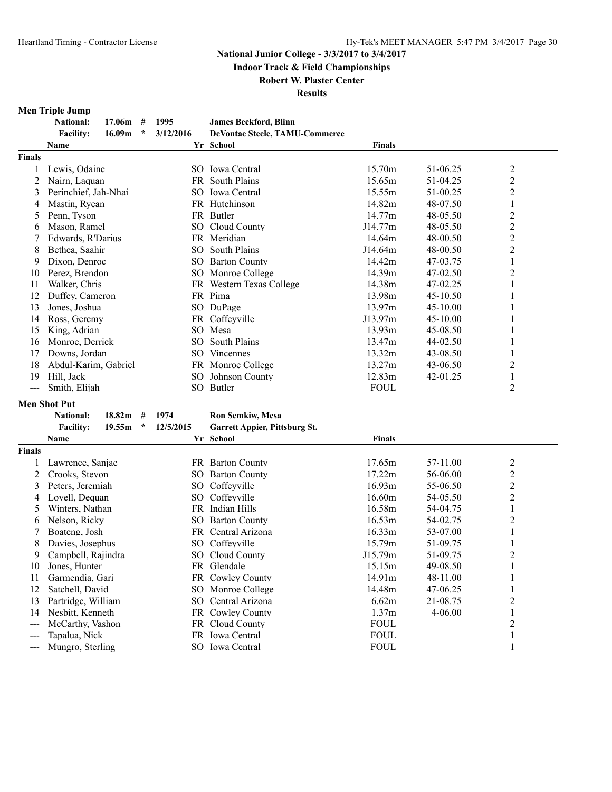**Indoor Track & Field Championships**

#### **Robert W. Plaster Center**

**Results**

# **Men Triple Jump**

|                      | Men Triple Jump<br><b>National:</b><br>17.06m<br># | 1995            | <b>James Beckford, Blinn</b>          |               |              |                |
|----------------------|----------------------------------------------------|-----------------|---------------------------------------|---------------|--------------|----------------|
|                      | <b>Facility:</b><br>16.09m<br>$\star$              | 3/12/2016       | <b>DeVontae Steele, TAMU-Commerce</b> |               |              |                |
|                      | <b>Name</b>                                        |                 | Yr School                             | <b>Finals</b> |              |                |
| <b>Finals</b>        |                                                    |                 |                                       |               |              |                |
|                      | Lewis, Odaine                                      |                 | SO Iowa Central                       | 15.70m        | 51-06.25     | $\overline{c}$ |
|                      |                                                    |                 | South Plains                          |               |              |                |
| 2                    | Nairn, Laquan                                      | FR.             |                                       | 15.65m        | 51-04.25     | $\overline{c}$ |
| 3                    | Perinchief, Jah-Nhai                               |                 | SO Iowa Central                       | 15.55m        | 51-00.25     | $\overline{c}$ |
| 4                    | Mastin, Ryean                                      |                 | FR Hutchinson                         | 14.82m        | 48-07.50     | 1              |
| 5                    | Penn, Tyson                                        |                 | FR Butler                             | 14.77m        | 48-05.50     | $\overline{c}$ |
| 6                    | Mason, Ramel                                       |                 | SO Cloud County                       | J14.77m       | 48-05.50     | $\overline{c}$ |
|                      | Edwards, R'Darius                                  | FR              | Meridian                              | 14.64m        | 48-00.50     | $\overline{c}$ |
| 8                    | Bethea, Saahir                                     | SO.             | South Plains                          | J14.64m       | 48-00.50     | $\overline{c}$ |
| 9                    | Dixon, Denroc                                      |                 | <b>SO</b> Barton County               | 14.42m        | 47-03.75     | 1              |
| 10                   | Perez, Brendon                                     |                 | SO Monroe College                     | 14.39m        | 47-02.50     | $\overline{c}$ |
| 11                   | Walker, Chris                                      | FR              | Western Texas College                 | 14.38m        | 47-02.25     |                |
| 12                   | Duffey, Cameron                                    |                 | FR Pima                               | 13.98m        | $45 - 10.50$ |                |
| 13                   | Jones, Joshua                                      |                 | SO DuPage                             | 13.97m        | $45 - 10.00$ |                |
| 14                   | Ross, Geremy                                       |                 | FR Coffeyville                        | J13.97m       | $45 - 10.00$ |                |
| 15                   | King, Adrian                                       |                 | SO Mesa                               | 13.93m        | 45-08.50     |                |
| 16                   | Monroe, Derrick                                    | SO.             | South Plains                          | 13.47m        | 44-02.50     | 1              |
| 17                   | Downs, Jordan                                      | SO <sub>2</sub> | <b>Vincennes</b>                      | 13.32m        | 43-08.50     |                |
| 18                   | Abdul-Karim, Gabriel                               |                 | FR Monroe College                     | 13.27m        | 43-06.50     | $\overline{c}$ |
| 19                   | Hill, Jack                                         | SO.             | Johnson County                        | 12.83m        | 42-01.25     | $\mathbf{1}$   |
| $\sim$ $\sim$ $\sim$ | Smith, Elijah                                      |                 | SO Butler                             | <b>FOUL</b>   |              | $\overline{2}$ |
|                      | <b>Men Shot Put</b>                                |                 |                                       |               |              |                |
|                      | 18.82m<br><b>National:</b><br>#                    | 1974            | <b>Ron Semkiw, Mesa</b>               |               |              |                |
|                      | 19.55m<br><b>Facility:</b><br>$\star$              | 12/5/2015       | <b>Garrett Appier, Pittsburg St.</b>  |               |              |                |

|               | <b>Name</b>        |     | Yr School            | <b>Finals</b>     |             |   |
|---------------|--------------------|-----|----------------------|-------------------|-------------|---|
| <b>Finals</b> |                    |     |                      |                   |             |   |
|               | Lawrence, Sanjae   | FR. | <b>Barton County</b> | 17.65m            | 57-11.00    | 2 |
|               | Crooks, Stevon     | SO. | <b>Barton County</b> | 17.22m            | 56-06.00    | 2 |
| 3.            | Peters, Jeremiah   | SO. | Coffeyville          | 16.93m            | 55-06.50    | 2 |
| 4             | Lovell, Dequan     | SO. | Coffevville          | 16.60m            | 54-05.50    | 2 |
| $\mathcal{D}$ | Winters, Nathan    |     | FR Indian Hills      | 16.58m            | 54-04.75    |   |
| 6             | Nelson, Ricky      |     | SO Barton County     | 16.53m            | 54-02.75    | 2 |
|               | Boateng, Josh      |     | FR Central Arizona   | 16.33m            | 53-07.00    |   |
| 8             | Davies, Josephus   |     | SO Coffevville       | 15.79m            | 51-09.75    |   |
| 9             | Campbell, Rajindra |     | SO Cloud County      | J15.79m           | 51-09.75    | 2 |
| 10            | Jones, Hunter      |     | FR Glendale          | 15.15m            | 49-08.50    |   |
| 11            | Garmendia, Gari    |     | FR Cowley County     | 14.91m            | 48-11.00    |   |
| 12            | Satchell, David    |     | SO Monroe College    | 14.48m            | 47-06.25    |   |
| 13            | Partridge, William |     | SO Central Arizona   | 6.62m             | 21-08.75    | 2 |
| 14            | Nesbitt, Kenneth   |     | FR Cowley County     | 1.37 <sub>m</sub> | $4 - 06.00$ |   |
| ---           | McCarthy, Vashon   | FR  | Cloud County         | <b>FOUL</b>       |             |   |
|               | Tapalua, Nick      | FR. | Iowa Central         | <b>FOUL</b>       |             |   |
|               | Mungro, Sterling   | SO. | Iowa Central         | <b>FOUL</b>       |             |   |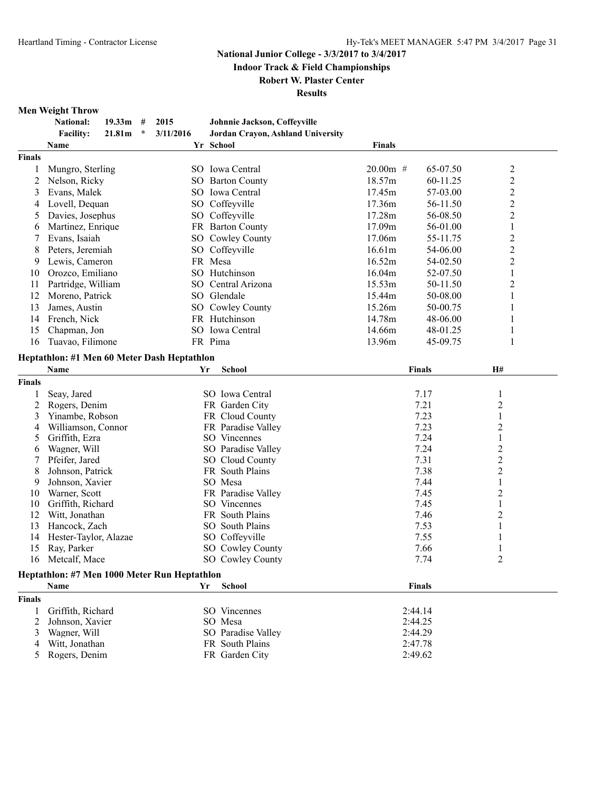**Indoor Track & Field Championships**

**Robert W. Plaster Center**

**Results**

# **Men Weight Throw**

|                     | <b>National:</b><br>$19.33m$ #               | 2015      | Johnnie Jackson, Coffeyville      |               |               |                   |
|---------------------|----------------------------------------------|-----------|-----------------------------------|---------------|---------------|-------------------|
|                     | <b>Facility:</b><br>21.81m<br>$\star$        | 3/11/2016 | Jordan Crayon, Ashland University |               |               |                   |
|                     | Name                                         |           | Yr School                         | <b>Finals</b> |               |                   |
| Finals              |                                              |           |                                   |               |               |                   |
| 1                   | Mungro, Sterling                             |           | SO Iowa Central                   | $20.00m$ #    | 65-07.50      | $\overline{c}$    |
| 2                   | Nelson, Ricky                                |           | SO Barton County                  | 18.57m        | 60-11.25      | $\boldsymbol{2}$  |
| 3                   | Evans, Malek                                 |           | SO Iowa Central                   | 17.45m        | 57-03.00      | $\boldsymbol{2}$  |
| 4                   | Lovell, Dequan                               |           | SO Coffeyville                    | 17.36m        | 56-11.50      | $\sqrt{2}$        |
| 5                   | Davies, Josephus                             |           | SO Coffeyville                    | 17.28m        | 56-08.50      | $\sqrt{2}$        |
| 6                   | Martinez, Enrique                            |           | FR Barton County                  | 17.09m        | 56-01.00      | $\mathbf{1}$      |
| 7                   | Evans, Isaiah                                |           | SO Cowley County                  | 17.06m        | 55-11.75      | $\boldsymbol{2}$  |
| 8                   | Peters, Jeremiah                             |           | SO Coffeyville                    | 16.61m        | 54-06.00      | $\overline{2}$    |
| 9                   | Lewis, Cameron                               |           | FR Mesa                           | 16.52m        | 54-02.50      | $\overline{2}$    |
| 10                  | Orozco, Emiliano                             |           | SO Hutchinson                     | 16.04m        | 52-07.50      | $\mathbf{1}$      |
| 11                  | Partridge, William                           |           | SO Central Arizona                | 15.53m        | 50-11.50      | $\boldsymbol{2}$  |
| 12                  | Moreno, Patrick                              |           | SO Glendale                       | 15.44m        | 50-08.00      | $\mathbf{1}$      |
| 13                  | James, Austin                                |           | SO Cowley County                  | 15.26m        | 50-00.75      | 1                 |
| 14                  | French, Nick                                 |           | FR Hutchinson                     | 14.78m        | 48-06.00      | 1                 |
| 15                  | Chapman, Jon                                 |           | SO Iowa Central                   | 14.66m        | 48-01.25      |                   |
| 16                  | Tuavao, Filimone                             |           | FR Pima                           | 13.96m        | 45-09.75      | 1<br>$\mathbf{1}$ |
|                     |                                              |           |                                   |               |               |                   |
|                     | Heptathlon: #1 Men 60 Meter Dash Heptathlon  |           |                                   |               |               |                   |
|                     | Name                                         | Yr        | <b>School</b>                     |               | <b>Finals</b> | H#                |
| <b>Finals</b>       |                                              |           |                                   |               |               |                   |
|                     | Seay, Jared                                  |           | SO Iowa Central                   |               | 7.17          | 1                 |
| 2                   | Rogers, Denim                                |           | FR Garden City                    |               | 7.21          | $\overline{c}$    |
| 3                   | Yinambe, Robson                              |           | FR Cloud County                   |               | 7.23          | 1                 |
| 4                   | Williamson, Connor                           |           | FR Paradise Valley                |               | 7.23          | $\overline{c}$    |
| 5                   | Griffith, Ezra                               |           | SO Vincennes                      |               | 7.24          | 1                 |
| 6                   | Wagner, Will                                 |           | SO Paradise Valley                |               | 7.24          | $\overline{c}$    |
| 7                   | Pfeifer, Jared                               |           | SO Cloud County                   |               | 7.31          | $\overline{c}$    |
| 8                   | Johnson, Patrick                             |           | FR South Plains                   |               | 7.38          | $\overline{c}$    |
| 9                   | Johnson, Xavier                              |           | SO Mesa                           |               | 7.44          | $\mathbf{1}$      |
| 10                  | Warner, Scott                                |           | FR Paradise Valley                |               | 7.45          | 2                 |
| 10                  | Griffith, Richard                            |           | SO Vincennes                      |               | 7.45          | 1                 |
| 12                  | Witt, Jonathan                               |           | FR South Plains                   |               | 7.46          | $\overline{c}$    |
| 13                  | Hancock, Zach                                |           | SO South Plains                   |               | 7.53          | 1                 |
| 14                  | Hester-Taylor, Alazae                        |           | SO Coffeyville                    |               | 7.55          | 1                 |
| 15                  | Ray, Parker                                  |           | SO Cowley County                  |               | 7.66          | 1                 |
| 16                  | Metcalf, Mace                                |           | SO Cowley County                  |               | 7.74          | $\overline{2}$    |
|                     | Heptathlon: #7 Men 1000 Meter Run Heptathlon |           |                                   |               |               |                   |
|                     | Name                                         | Yr        | School                            |               | <b>Finals</b> |                   |
| <b>Finals</b>       |                                              |           |                                   |               |               |                   |
|                     |                                              |           |                                   |               |               |                   |
| 1<br>$\overline{2}$ | Griffith, Richard                            |           | SO Vincennes<br>SO Mesa           |               | 2:44.14       |                   |
|                     | Johnson, Xavier                              |           |                                   |               | 2:44.25       |                   |
| 3                   | Wagner, Will                                 |           | SO Paradise Valley                |               | 2:44.29       |                   |
| 4                   | Witt, Jonathan                               |           | FR South Plains                   |               | 2:47.78       |                   |
| 5                   | Rogers, Denim                                |           | FR Garden City                    |               | 2:49.62       |                   |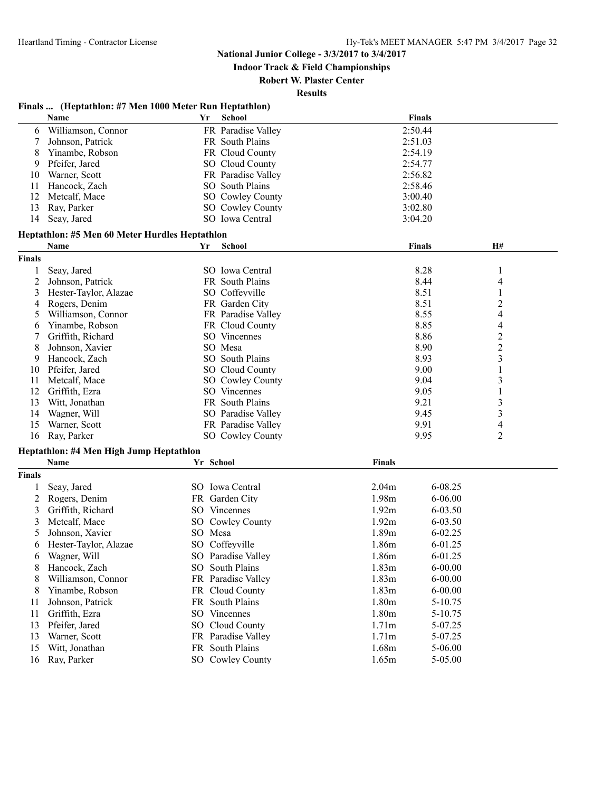**Indoor Track & Field Championships**

#### **Robert W. Plaster Center**

|  | Finals  (Heptathlon: #7 Men 1000 Meter Run Heptathlon) |  |  |  |  |
|--|--------------------------------------------------------|--|--|--|--|
|--|--------------------------------------------------------|--|--|--|--|

|                | Name                                           | Yr        | <b>School</b>      |        | <b>Finals</b> |                     |
|----------------|------------------------------------------------|-----------|--------------------|--------|---------------|---------------------|
| 6              | Williamson, Connor                             |           | FR Paradise Valley |        | 2:50.44       |                     |
| 7              | Johnson, Patrick                               |           | FR South Plains    |        | 2:51.03       |                     |
| 8              | Yinambe, Robson                                |           | FR Cloud County    |        | 2:54.19       |                     |
| 9              | Pfeifer, Jared                                 |           | SO Cloud County    |        | 2:54.77       |                     |
| 10             | Warner, Scott                                  |           | FR Paradise Valley |        | 2:56.82       |                     |
| 11             | Hancock, Zach                                  |           | SO South Plains    |        | 2:58.46       |                     |
| 12             | Metcalf, Mace                                  |           | SO Cowley County   |        | 3:00.40       |                     |
| 13             | Ray, Parker                                    |           | SO Cowley County   |        | 3:02.80       |                     |
| 14             | Seay, Jared                                    |           | SO Iowa Central    |        | 3:04.20       |                     |
|                | Heptathlon: #5 Men 60 Meter Hurdles Heptathlon |           |                    |        |               |                     |
|                | Name                                           | Yr        | <b>School</b>      |        | <b>Finals</b> | H#                  |
| Finals         |                                                |           |                    |        |               |                     |
| 1              | Seay, Jared                                    |           | SO Iowa Central    |        | 8.28          | 1                   |
| $\overline{c}$ | Johnson, Patrick                               |           | FR South Plains    |        | 8.44          | 4                   |
| 3              | Hester-Taylor, Alazae                          |           | SO Coffeyville     |        | 8.51          | $\mathbf{1}$        |
| 4              | Rogers, Denim                                  |           | FR Garden City     |        | 8.51          | $\overline{c}$      |
| 5              | Williamson, Connor                             |           | FR Paradise Valley |        | 8.55          | 4                   |
| 6              | Yinambe, Robson                                |           | FR Cloud County    |        | 8.85          | 4                   |
|                | Griffith, Richard                              |           | SO Vincennes       |        | 8.86          | $\overline{c}$      |
| 8              | Johnson, Xavier                                |           | SO Mesa            |        | 8.90          | $\sqrt{2}$          |
| 9              | Hancock, Zach                                  |           | SO South Plains    |        | 8.93          | $\mathfrak{Z}$      |
| 10             | Pfeifer, Jared                                 |           | SO Cloud County    |        | 9.00          | $\mathbf{1}$        |
| 11             | Metcalf, Mace                                  |           | SO Cowley County   |        | 9.04          | 3                   |
| 12             | Griffith, Ezra                                 |           | SO Vincennes       |        | 9.05          | 1                   |
| 13             |                                                |           | FR South Plains    |        | 9.21          | 3                   |
|                | Witt, Jonathan<br>Wagner, Will                 |           | SO Paradise Valley |        | 9.45          | 3                   |
| 14<br>15       | Warner, Scott                                  |           | FR Paradise Valley |        | 9.91          |                     |
| 16             | Ray, Parker                                    |           |                    |        | 9.95          | 4<br>$\overline{2}$ |
|                |                                                |           | SO Cowley County   |        |               |                     |
|                | Heptathlon: #4 Men High Jump Heptathlon        |           |                    |        |               |                     |
|                | Name                                           | Yr School |                    | Finals |               |                     |
| Finals         |                                                |           |                    |        |               |                     |
| 1              | Seay, Jared                                    |           | SO Iowa Central    | 2.04m  | 6-08.25       |                     |
| 2              | Rogers, Denim                                  |           | FR Garden City     | 1.98m  | $6 - 06.00$   |                     |
| 3              | Griffith, Richard                              |           | SO Vincennes       | 1.92m  | $6 - 03.50$   |                     |
| 3              | Metcalf, Mace                                  |           | SO Cowley County   | 1.92m  | $6 - 03.50$   |                     |
| 5              | Johnson, Xavier                                | SO Mesa   |                    | 1.89m  | $6 - 02.25$   |                     |
| 6              | Hester-Taylor, Alazae                          |           | SO Coffeyville     | 1.86m  | 6-01.25       |                     |
| 6              | Wagner, Will                                   |           | SO Paradise Valley | 1.86m  | 6-01.25       |                     |
| 8              | Hancock, Zach                                  |           | SO South Plains    | 1.83m  | $6 - 00.00$   |                     |
| 8              | Williamson, Connor                             |           | FR Paradise Valley | 1.83m  | $6 - 00.00$   |                     |
| 8              | Yinambe, Robson                                | FR        | Cloud County       | 1.83m  | $6 - 00.00$   |                     |
| 11             | Johnson, Patrick                               |           | FR South Plains    | 1.80m  | 5-10.75       |                     |
| 11             | Griffith, Ezra                                 |           | SO Vincennes       | 1.80m  | 5-10.75       |                     |
| 13             | Pfeifer, Jared                                 |           | SO Cloud County    | 1.71m  | 5-07.25       |                     |
| 13             | Warner, Scott                                  |           | FR Paradise Valley | 1.71m  | 5-07.25       |                     |
|                |                                                |           | FR South Plains    |        |               |                     |
| 15             | Witt, Jonathan                                 |           |                    | 1.68m  | 5-06.00       |                     |
| 16             | Ray, Parker                                    |           | SO Cowley County   | 1.65m  | 5-05.00       |                     |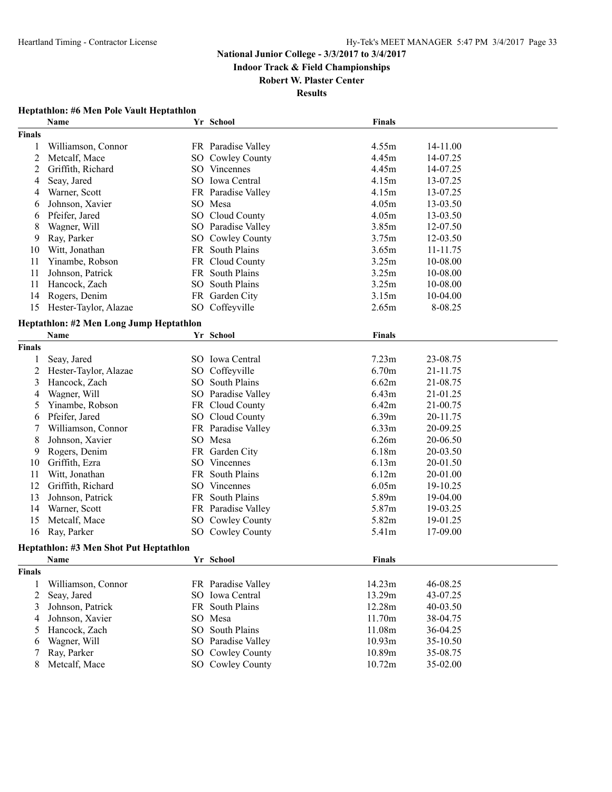**Indoor Track & Field Championships**

**Robert W. Plaster Center**

**Results**

# **Heptathlon: #6 Men Pole Vault Heptathlon**

|                | Name                                    | Yr School          | <b>Finals</b> |          |
|----------------|-----------------------------------------|--------------------|---------------|----------|
| <b>Finals</b>  |                                         |                    |               |          |
| 1              | Williamson, Connor                      | FR Paradise Valley | 4.55m         | 14-11.00 |
| $\overline{2}$ | Metcalf, Mace                           | SO Cowley County   | 4.45m         | 14-07.25 |
| 2              | Griffith, Richard                       | SO Vincennes       | 4.45m         | 14-07.25 |
| 4              | Seay, Jared                             | SO Iowa Central    | 4.15m         | 13-07.25 |
| 4              | Warner, Scott                           | FR Paradise Valley | 4.15m         | 13-07.25 |
| 6              | Johnson, Xavier                         | SO Mesa            | 4.05m         | 13-03.50 |
| 6              | Pfeifer, Jared                          | SO Cloud County    | 4.05m         | 13-03.50 |
| 8              | Wagner, Will                            | SO Paradise Valley | 3.85m         | 12-07.50 |
| 9              | Ray, Parker                             | SO Cowley County   | 3.75m         | 12-03.50 |
| 10             | Witt, Jonathan                          | FR South Plains    | 3.65m         | 11-11.75 |
| 11             | Yinambe, Robson                         | FR Cloud County    | 3.25m         | 10-08.00 |
| 11             | Johnson, Patrick                        | FR South Plains    | 3.25m         | 10-08.00 |
| 11             | Hancock, Zach                           | SO South Plains    | 3.25m         | 10-08.00 |
| 14             | Rogers, Denim                           | FR Garden City     | 3.15m         | 10-04.00 |
| 15             | Hester-Taylor, Alazae                   | SO Coffeyville     | 2.65m         | 8-08.25  |
|                | Heptathlon: #2 Men Long Jump Heptathlon |                    |               |          |
|                | Name                                    | Yr School          | Finals        |          |
| <b>Finals</b>  |                                         |                    |               |          |
| 1              | Seay, Jared                             | SO Iowa Central    | 7.23m         | 23-08.75 |
| 2              | Hester-Taylor, Alazae                   | SO Coffeyville     | 6.70m         | 21-11.75 |
| 3              | Hancock, Zach                           | SO South Plains    | 6.62m         | 21-08.75 |
| 4              | Wagner, Will                            | SO Paradise Valley | 6.43m         | 21-01.25 |
| 5              | Yinambe, Robson                         | FR Cloud County    | 6.42m         | 21-00.75 |
| 6              | Pfeifer, Jared                          | SO Cloud County    | 6.39m         | 20-11.75 |
| 7              | Williamson, Connor                      | FR Paradise Valley | 6.33m         | 20-09.25 |
| 8              | Johnson, Xavier                         | SO Mesa            | 6.26m         | 20-06.50 |
| 9              | Rogers, Denim                           | FR Garden City     | 6.18m         | 20-03.50 |
| 10             | Griffith, Ezra                          | SO Vincennes       | 6.13m         | 20-01.50 |
| 11             | Witt, Jonathan                          | FR South Plains    | 6.12m         | 20-01.00 |
| 12             | Griffith, Richard                       | SO Vincennes       | 6.05m         | 19-10.25 |
| 13             | Johnson, Patrick                        | FR South Plains    | 5.89m         | 19-04.00 |
| 14             | Warner, Scott                           | FR Paradise Valley | 5.87m         | 19-03.25 |
| 15             | Metcalf, Mace                           | SO Cowley County   | 5.82m         | 19-01.25 |
| 16             | Ray, Parker                             | SO Cowley County   | 5.41m         | 17-09.00 |
|                | Heptathlon: #3 Men Shot Put Heptathlon  |                    |               |          |
|                | Name                                    | Yr School          | Finals        |          |
| Finals         |                                         |                    |               |          |
| 1              | Williamson, Connor                      | FR Paradise Valley | 14.23m        | 46-08.25 |
| 2              | Seay, Jared                             | SO Iowa Central    | 13.29m        | 43-07.25 |
| 3              | Johnson, Patrick                        | FR South Plains    | 12.28m        | 40-03.50 |
| 4              | Johnson, Xavier                         | SO Mesa            | 11.70m        | 38-04.75 |
| 5              | Hancock, Zach                           | SO South Plains    | 11.08m        | 36-04.25 |
| 6              | Wagner, Will                            | SO Paradise Valley | 10.93m        | 35-10.50 |
| 7              | Ray, Parker                             | SO Cowley County   | 10.89m        | 35-08.75 |
| 8              | Metcalf, Mace                           | SO Cowley County   | 10.72m        | 35-02.00 |
|                |                                         |                    |               |          |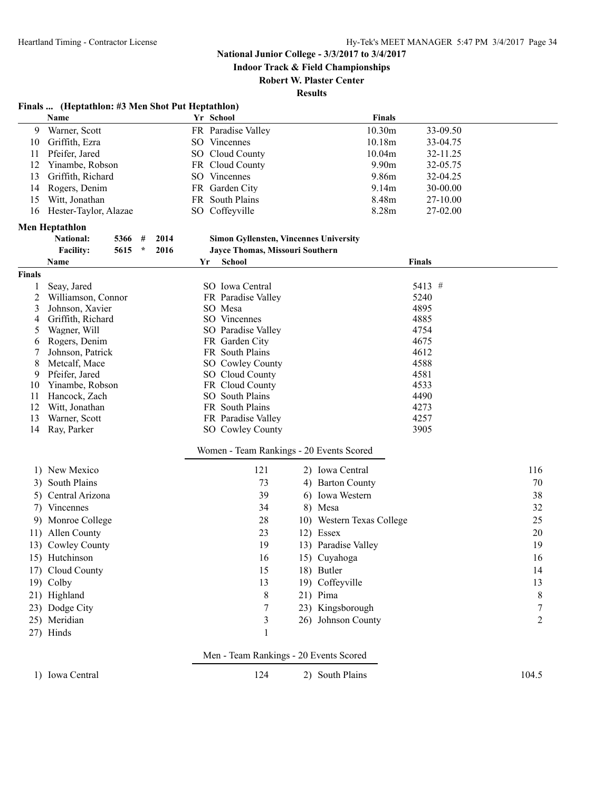**Indoor Track & Field Championships**

|               |                                                  |         |      |           |                                               |                | INQUOT TEACK & FIEIQ UNAMPIONSINPS |                   |               |            |
|---------------|--------------------------------------------------|---------|------|-----------|-----------------------------------------------|----------------|------------------------------------|-------------------|---------------|------------|
|               |                                                  |         |      |           |                                               |                | <b>Robert W. Plaster Center</b>    |                   |               |            |
|               |                                                  |         |      |           |                                               | <b>Results</b> |                                    |                   |               |            |
|               | Finals  (Heptathlon: #3 Men Shot Put Heptathlon) |         |      |           |                                               |                |                                    |                   |               |            |
|               | Name                                             |         |      | Yr School |                                               |                |                                    | <b>Finals</b>     |               |            |
| 9             | Warner, Scott                                    |         |      |           | FR Paradise Valley                            |                | 10.30 <sub>m</sub>                 |                   | 33-09.50      |            |
| 10            | Griffith, Ezra                                   |         |      |           | SO Vincennes                                  |                | 10.18m                             |                   | 33-04.75      |            |
| 11            | Pfeifer, Jared                                   |         |      |           | SO Cloud County                               |                | 10.04m                             |                   | 32-11.25      |            |
| 12            | Yinambe, Robson                                  |         |      |           | FR Cloud County                               |                |                                    | 9.90 <sub>m</sub> | 32-05.75      |            |
| 13            | Griffith, Richard                                |         |      |           | SO Vincennes                                  |                | 9.86m                              |                   | 32-04.25      |            |
| 14            | Rogers, Denim                                    |         |      |           | FR Garden City                                |                |                                    | 9.14m             | 30-00.00      |            |
| 15            | Witt, Jonathan                                   |         |      |           | FR South Plains                               |                |                                    | 8.48m             | 27-10.00      |            |
| 16            | Hester-Taylor, Alazae                            |         |      |           | SO Coffeyville                                |                |                                    | 8.28m             | 27-02.00      |            |
|               | <b>Men Heptathlon</b>                            |         |      |           |                                               |                |                                    |                   |               |            |
|               | <b>National:</b><br>5366                         | #       | 2014 |           | <b>Simon Gyllensten, Vincennes University</b> |                |                                    |                   |               |            |
|               | <b>Facility:</b><br>5615                         | $\star$ | 2016 |           | Jayce Thomas, Missouri Southern               |                |                                    |                   |               |            |
|               | Name                                             |         |      | Yr        | School                                        |                |                                    |                   | <b>Finals</b> |            |
| <b>Finals</b> |                                                  |         |      |           |                                               |                |                                    |                   |               |            |
| 1             | Seay, Jared                                      |         |      |           | SO Iowa Central                               |                |                                    |                   | 5413 #        |            |
| 2             | Williamson, Connor                               |         |      |           | FR Paradise Valley                            |                |                                    |                   | 5240          |            |
| 3             | Johnson, Xavier                                  |         |      |           | SO Mesa                                       |                |                                    |                   | 4895          |            |
| 4             | Griffith, Richard<br>Wagner, Will                |         |      |           | SO Vincennes<br>SO Paradise Valley            |                |                                    |                   | 4885          |            |
| 5<br>6        | Rogers, Denim                                    |         |      |           | FR Garden City                                |                |                                    |                   | 4754<br>4675  |            |
| 7             | Johnson, Patrick                                 |         |      |           | FR South Plains                               |                |                                    |                   | 4612          |            |
| 8             | Metcalf, Mace                                    |         |      |           | SO Cowley County                              |                |                                    |                   | 4588          |            |
| 9             | Pfeifer, Jared                                   |         |      |           | SO Cloud County                               |                |                                    |                   | 4581          |            |
| 10            | Yinambe, Robson                                  |         |      |           | FR Cloud County                               |                |                                    |                   | 4533          |            |
| 11            | Hancock, Zach                                    |         |      |           | SO South Plains                               |                |                                    |                   | 4490          |            |
| 12            | Witt, Jonathan                                   |         |      |           | FR South Plains                               |                |                                    |                   | 4273          |            |
| 13            | Warner, Scott                                    |         |      |           | FR Paradise Valley                            |                |                                    |                   | 4257          |            |
| 14            | Ray, Parker                                      |         |      |           | SO Cowley County                              |                |                                    |                   | 3905          |            |
|               |                                                  |         |      |           | Women - Team Rankings - 20 Events Scored      |                |                                    |                   |               |            |
|               | 1) New Mexico                                    |         |      |           | 121                                           |                | 2) Iowa Central                    |                   |               | 116        |
|               | 3) South Plains                                  |         |      |           | 73                                            |                | 4) Barton County                   |                   |               | 70         |
|               | 5) Central Arizona                               |         |      |           | 39                                            |                | 6) Iowa Western                    |                   |               | 38         |
|               | 7) Vincennes                                     |         |      |           | 34                                            |                | 8) Mesa                            |                   |               | 32         |
|               | 9) Monroe College                                |         |      |           | 28                                            |                | 10) Western Texas College          |                   |               | 25         |
|               | 11) Allen County                                 |         |      |           | 23                                            |                | 12) Essex                          |                   |               | 20         |
|               | 13) Cowley County                                |         |      |           | 19                                            |                | 13) Paradise Valley                |                   |               | 19         |
|               | 15) Hutchinson                                   |         |      |           | 16                                            |                | 15) Cuyahoga                       |                   |               | 16         |
|               | 17) Cloud County                                 |         |      |           | 15                                            |                | 18) Butler                         |                   |               | 14         |
|               |                                                  |         |      |           |                                               |                |                                    |                   |               |            |
|               | 19) Colby                                        |         |      |           | 13                                            |                | 19) Coffeyville                    |                   |               | 13         |
|               | 21) Highland                                     |         |      |           | 8                                             |                | 21) Pima                           |                   |               | 8          |
|               | 23) Dodge City                                   |         |      |           | 7                                             |                | 23) Kingsborough                   |                   |               | $\tau$     |
|               | 25) Meridian                                     |         |      |           | 3                                             |                | 26) Johnson County                 |                   |               | $\sqrt{2}$ |
|               | 27) Hinds                                        |         |      |           | 1                                             |                |                                    |                   |               |            |
|               |                                                  |         |      |           | Men - Team Rankings - 20 Events Scored        |                |                                    |                   |               |            |
|               | 1) Iowa Central                                  |         |      |           | 124                                           |                | 2) South Plains                    |                   |               | 104.5      |